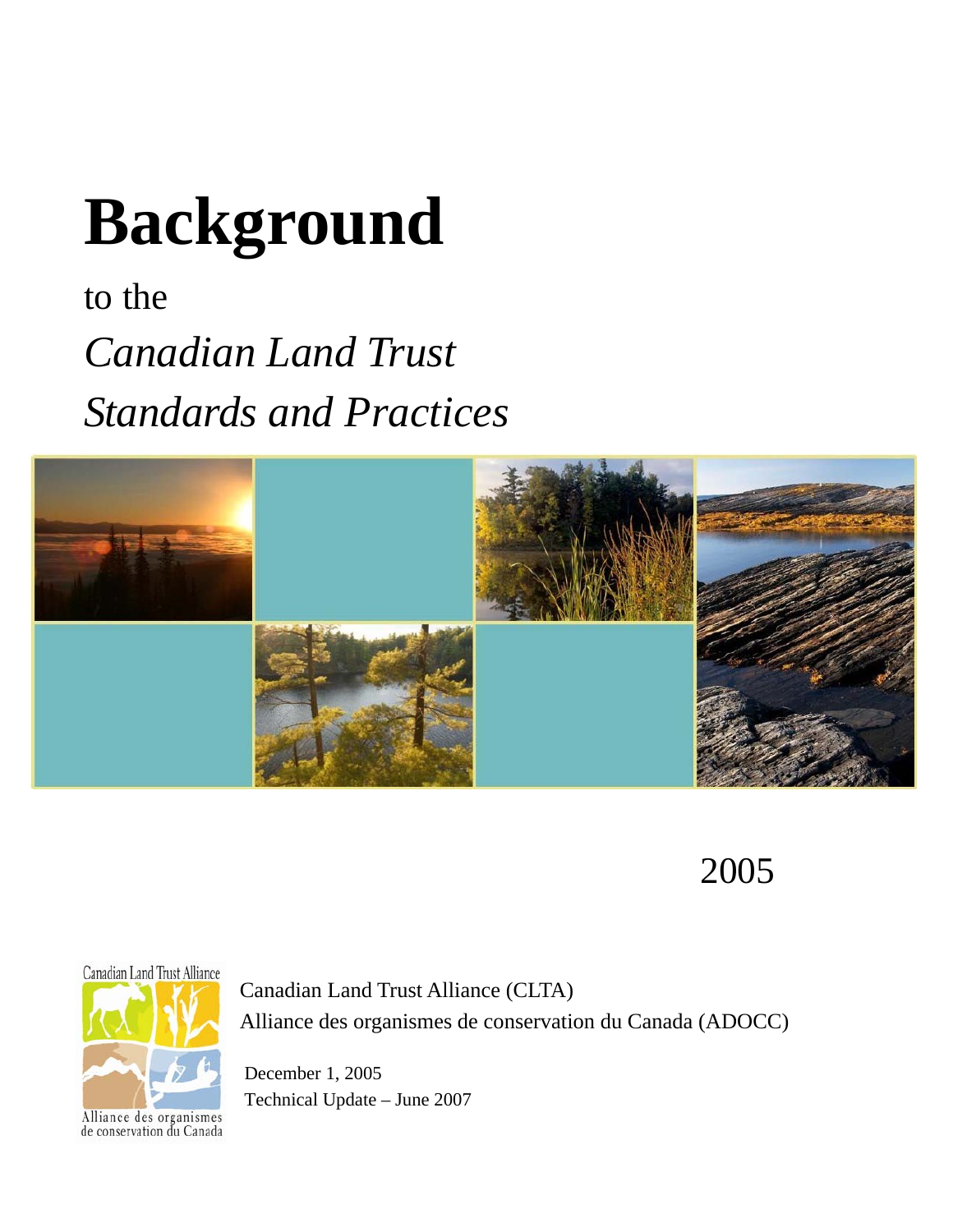# **Background**

## to the *Canadian Land Trust Standards and Practices*



## 2005



Canadian Land Trust Alliance (CLTA) Alliance des organismes de conservation du Canada (ADOCC)

 December 1, 2005 Technical Update – June 2007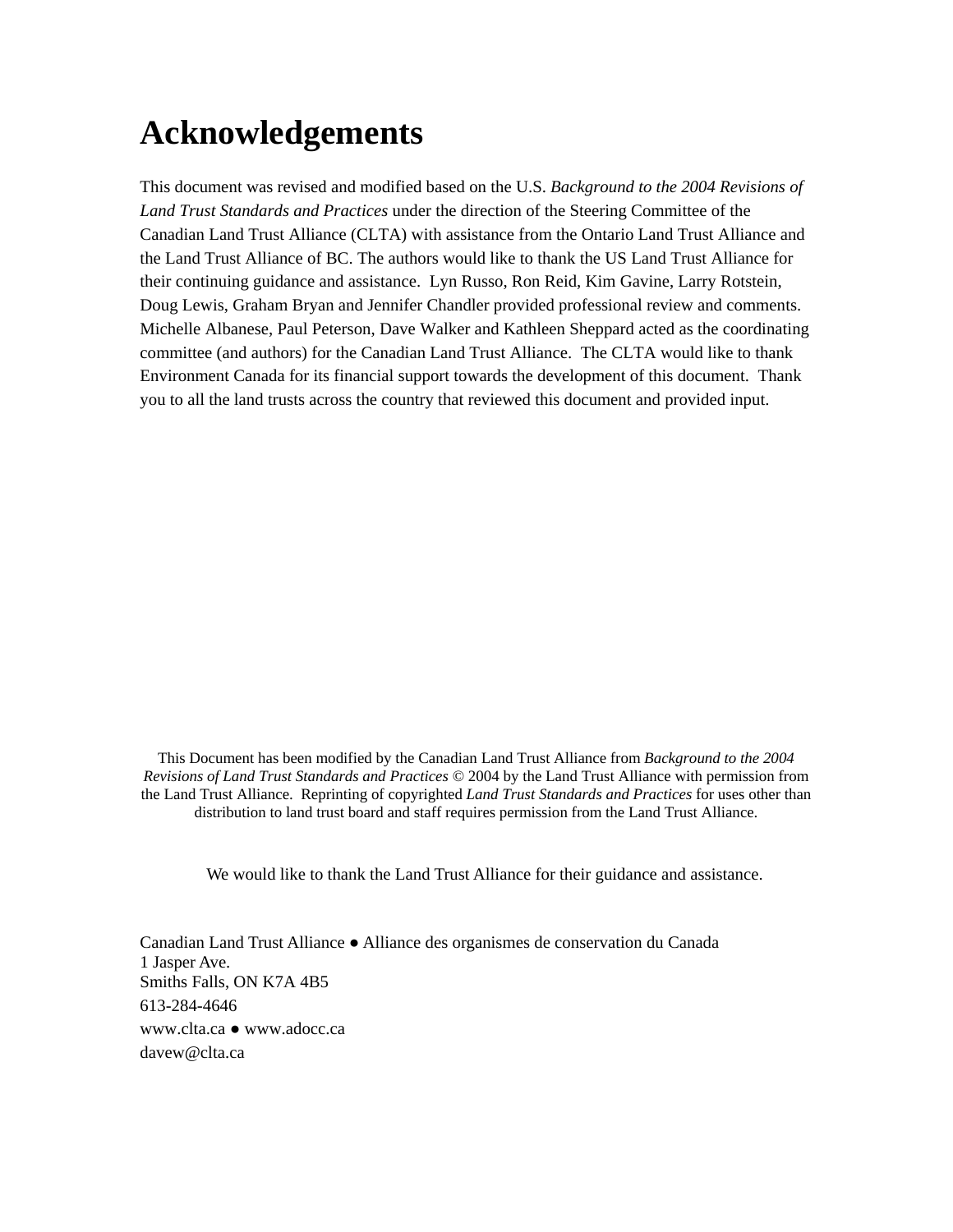### **Acknowledgements**

This document was revised and modified based on the U.S. *Background to the 2004 Revisions of Land Trust Standards and Practices* under the direction of the Steering Committee of the Canadian Land Trust Alliance (CLTA) with assistance from the Ontario Land Trust Alliance and the Land Trust Alliance of BC. The authors would like to thank the US Land Trust Alliance for their continuing guidance and assistance. Lyn Russo, Ron Reid, Kim Gavine, Larry Rotstein, Doug Lewis, Graham Bryan and Jennifer Chandler provided professional review and comments. Michelle Albanese, Paul Peterson, Dave Walker and Kathleen Sheppard acted as the coordinating committee (and authors) for the Canadian Land Trust Alliance. The CLTA would like to thank Environment Canada for its financial support towards the development of this document. Thank you to all the land trusts across the country that reviewed this document and provided input.

This Document has been modified by the Canadian Land Trust Alliance from *Background to the 2004 Revisions of Land Trust Standards and Practices* © 2004 by the Land Trust Alliance with permission from the Land Trust Alliance. Reprinting of copyrighted *Land Trust Standards and Practices* for uses other than distribution to land trust board and staff requires permission from the Land Trust Alliance.

We would like to thank the Land Trust Alliance for their guidance and assistance.

Canadian Land Trust Alliance ● Alliance des organismes de conservation du Canada 1 Jasper Ave. Smiths Falls, ON K7A 4B5 613-284-4646 www.clta.ca ● www.adocc.ca davew@clta.ca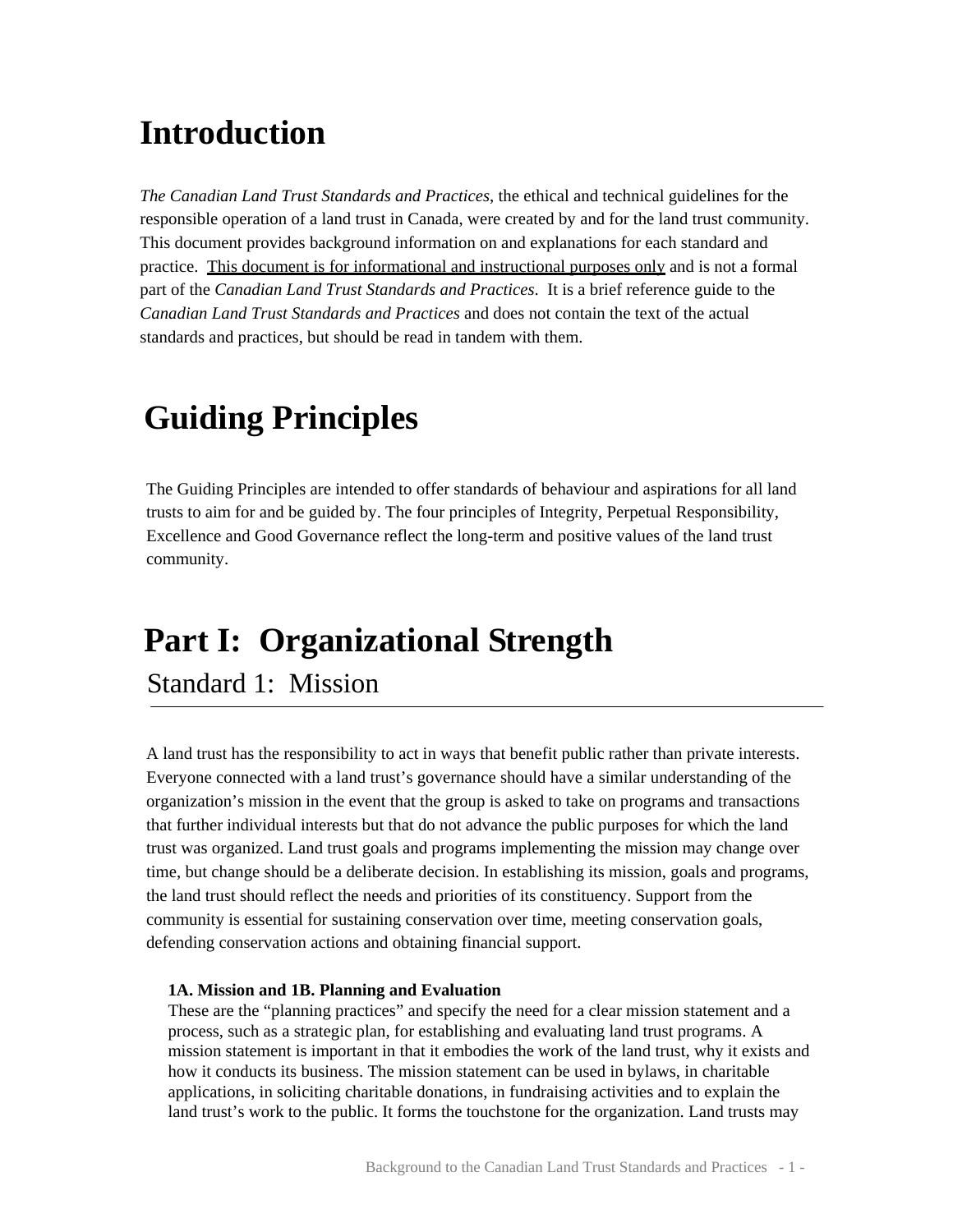### **Introduction**

*The Canadian Land Trust Standards and Practices*, the ethical and technical guidelines for the responsible operation of a land trust in Canada, were created by and for the land trust community. This document provides background information on and explanations for each standard and practice. This document is for informational and instructional purposes only and is not a formal part of the *Canadian Land Trust Standards and Practices*. It is a brief reference guide to the *Canadian Land Trust Standards and Practices* and does not contain the text of the actual standards and practices, but should be read in tandem with them.

### **Guiding Principles**

The Guiding Principles are intended to offer standards of behaviour and aspirations for all land trusts to aim for and be guided by. The four principles of Integrity, Perpetual Responsibility, Excellence and Good Governance reflect the long-term and positive values of the land trust community.

### **Part I: Organizational Strength**

Standard 1: Mission

A land trust has the responsibility to act in ways that benefit public rather than private interests. Everyone connected with a land trust's governance should have a similar understanding of the organization's mission in the event that the group is asked to take on programs and transactions that further individual interests but that do not advance the public purposes for which the land trust was organized. Land trust goals and programs implementing the mission may change over time, but change should be a deliberate decision. In establishing its mission, goals and programs, the land trust should reflect the needs and priorities of its constituency. Support from the community is essential for sustaining conservation over time, meeting conservation goals, defending conservation actions and obtaining financial support.

#### **1A. Mission and 1B. Planning and Evaluation**

These are the "planning practices" and specify the need for a clear mission statement and a process, such as a strategic plan, for establishing and evaluating land trust programs. A mission statement is important in that it embodies the work of the land trust, why it exists and how it conducts its business. The mission statement can be used in bylaws, in charitable applications, in soliciting charitable donations, in fundraising activities and to explain the land trust's work to the public. It forms the touchstone for the organization. Land trusts may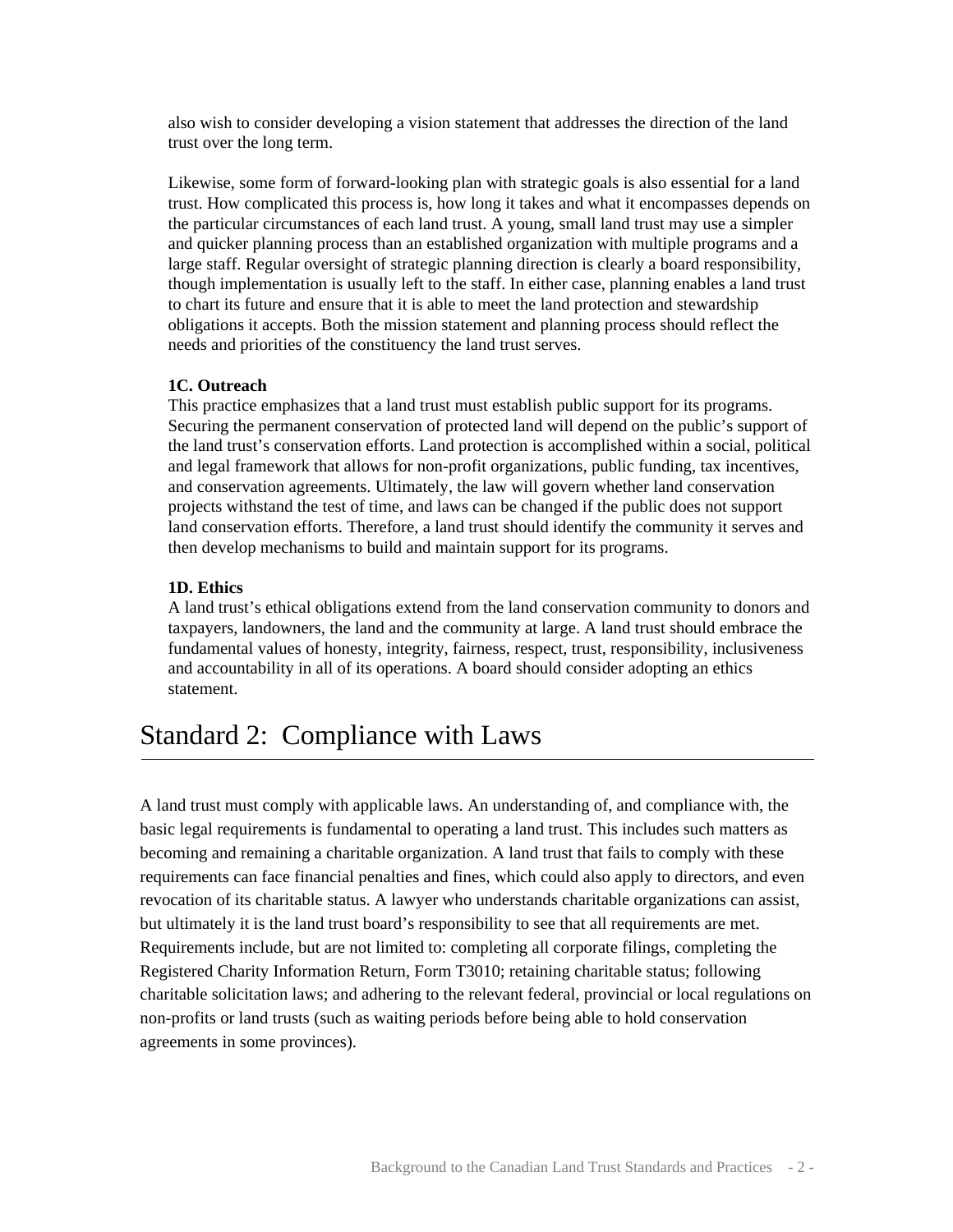also wish to consider developing a vision statement that addresses the direction of the land trust over the long term.

Likewise, some form of forward-looking plan with strategic goals is also essential for a land trust. How complicated this process is, how long it takes and what it encompasses depends on the particular circumstances of each land trust. A young, small land trust may use a simpler and quicker planning process than an established organization with multiple programs and a large staff. Regular oversight of strategic planning direction is clearly a board responsibility, though implementation is usually left to the staff. In either case, planning enables a land trust to chart its future and ensure that it is able to meet the land protection and stewardship obligations it accepts. Both the mission statement and planning process should reflect the needs and priorities of the constituency the land trust serves.

#### **1C. Outreach**

This practice emphasizes that a land trust must establish public support for its programs. Securing the permanent conservation of protected land will depend on the public's support of the land trust's conservation efforts. Land protection is accomplished within a social, political and legal framework that allows for non-profit organizations, public funding, tax incentives, and conservation agreements. Ultimately, the law will govern whether land conservation projects withstand the test of time, and laws can be changed if the public does not support land conservation efforts. Therefore, a land trust should identify the community it serves and then develop mechanisms to build and maintain support for its programs.

#### **1D. Ethics**

A land trust's ethical obligations extend from the land conservation community to donors and taxpayers, landowners, the land and the community at large. A land trust should embrace the fundamental values of honesty, integrity, fairness, respect, trust, responsibility, inclusiveness and accountability in all of its operations. A board should consider adopting an ethics statement.

### Standard 2: Compliance with Laws

A land trust must comply with applicable laws. An understanding of, and compliance with, the basic legal requirements is fundamental to operating a land trust. This includes such matters as becoming and remaining a charitable organization. A land trust that fails to comply with these requirements can face financial penalties and fines, which could also apply to directors, and even revocation of its charitable status. A lawyer who understands charitable organizations can assist, but ultimately it is the land trust board's responsibility to see that all requirements are met. Requirements include, but are not limited to: completing all corporate filings, completing the Registered Charity Information Return, Form T3010; retaining charitable status; following charitable solicitation laws; and adhering to the relevant federal, provincial or local regulations on non-profits or land trusts (such as waiting periods before being able to hold conservation agreements in some provinces).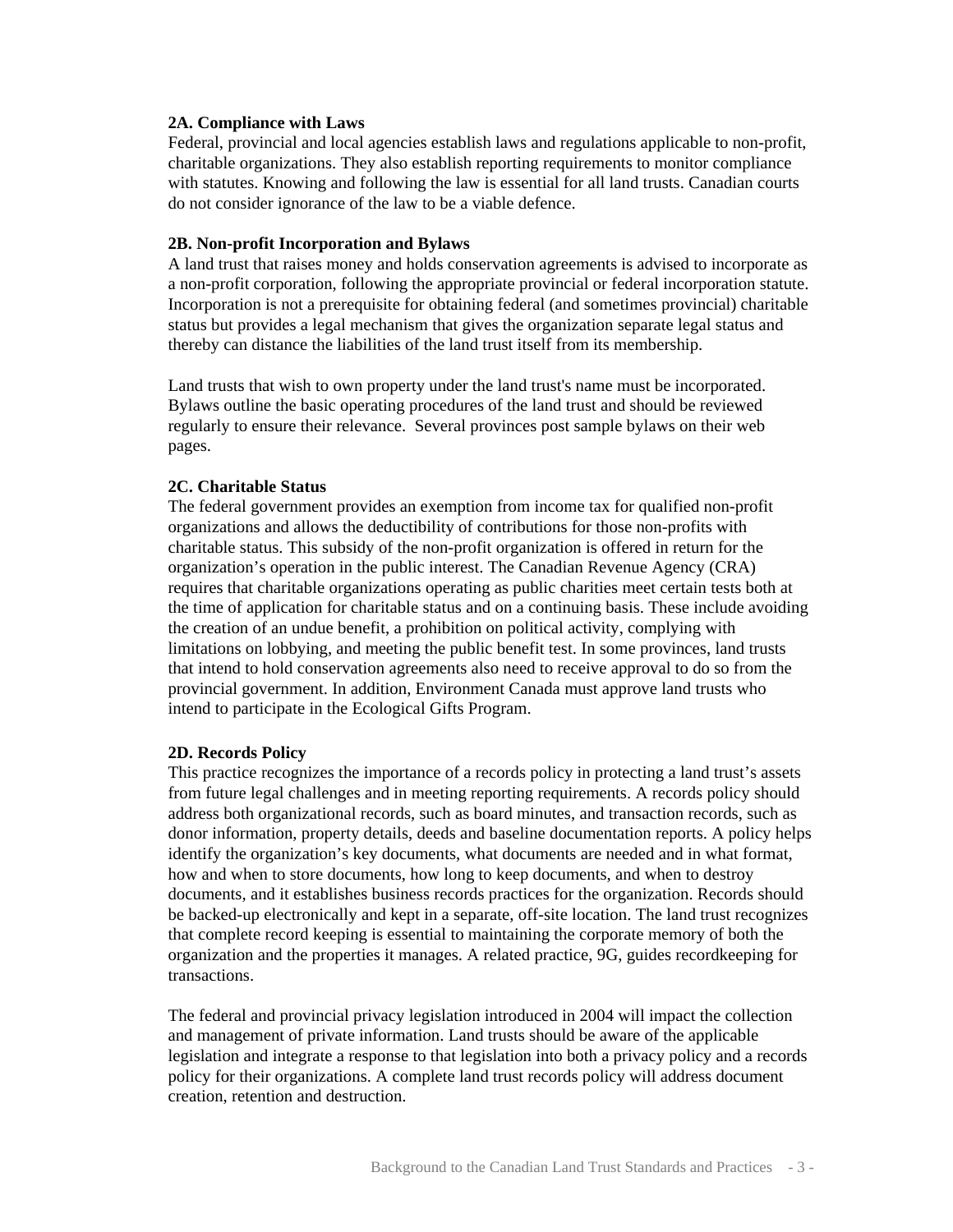#### **2A. Compliance with Laws**

Federal, provincial and local agencies establish laws and regulations applicable to non-profit, charitable organizations. They also establish reporting requirements to monitor compliance with statutes. Knowing and following the law is essential for all land trusts. Canadian courts do not consider ignorance of the law to be a viable defence.

#### **2B. Non-profit Incorporation and Bylaws**

A land trust that raises money and holds conservation agreements is advised to incorporate as a non-profit corporation, following the appropriate provincial or federal incorporation statute. Incorporation is not a prerequisite for obtaining federal (and sometimes provincial) charitable status but provides a legal mechanism that gives the organization separate legal status and thereby can distance the liabilities of the land trust itself from its membership.

Land trusts that wish to own property under the land trust's name must be incorporated. Bylaws outline the basic operating procedures of the land trust and should be reviewed regularly to ensure their relevance. Several provinces post sample bylaws on their web pages.

#### **2C. Charitable Status**

The federal government provides an exemption from income tax for qualified non-profit organizations and allows the deductibility of contributions for those non-profits with charitable status. This subsidy of the non-profit organization is offered in return for the organization's operation in the public interest. The Canadian Revenue Agency (CRA) requires that charitable organizations operating as public charities meet certain tests both at the time of application for charitable status and on a continuing basis. These include avoiding the creation of an undue benefit, a prohibition on political activity, complying with limitations on lobbying, and meeting the public benefit test. In some provinces, land trusts that intend to hold conservation agreements also need to receive approval to do so from the provincial government. In addition, Environment Canada must approve land trusts who intend to participate in the Ecological Gifts Program.

#### **2D. Records Policy**

This practice recognizes the importance of a records policy in protecting a land trust's assets from future legal challenges and in meeting reporting requirements. A records policy should address both organizational records, such as board minutes, and transaction records, such as donor information, property details, deeds and baseline documentation reports. A policy helps identify the organization's key documents, what documents are needed and in what format, how and when to store documents, how long to keep documents, and when to destroy documents, and it establishes business records practices for the organization. Records should be backed-up electronically and kept in a separate, off-site location. The land trust recognizes that complete record keeping is essential to maintaining the corporate memory of both the organization and the properties it manages. A related practice, 9G, guides recordkeeping for transactions.

The federal and provincial privacy legislation introduced in 2004 will impact the collection and management of private information. Land trusts should be aware of the applicable legislation and integrate a response to that legislation into both a privacy policy and a records policy for their organizations. A complete land trust records policy will address document creation, retention and destruction.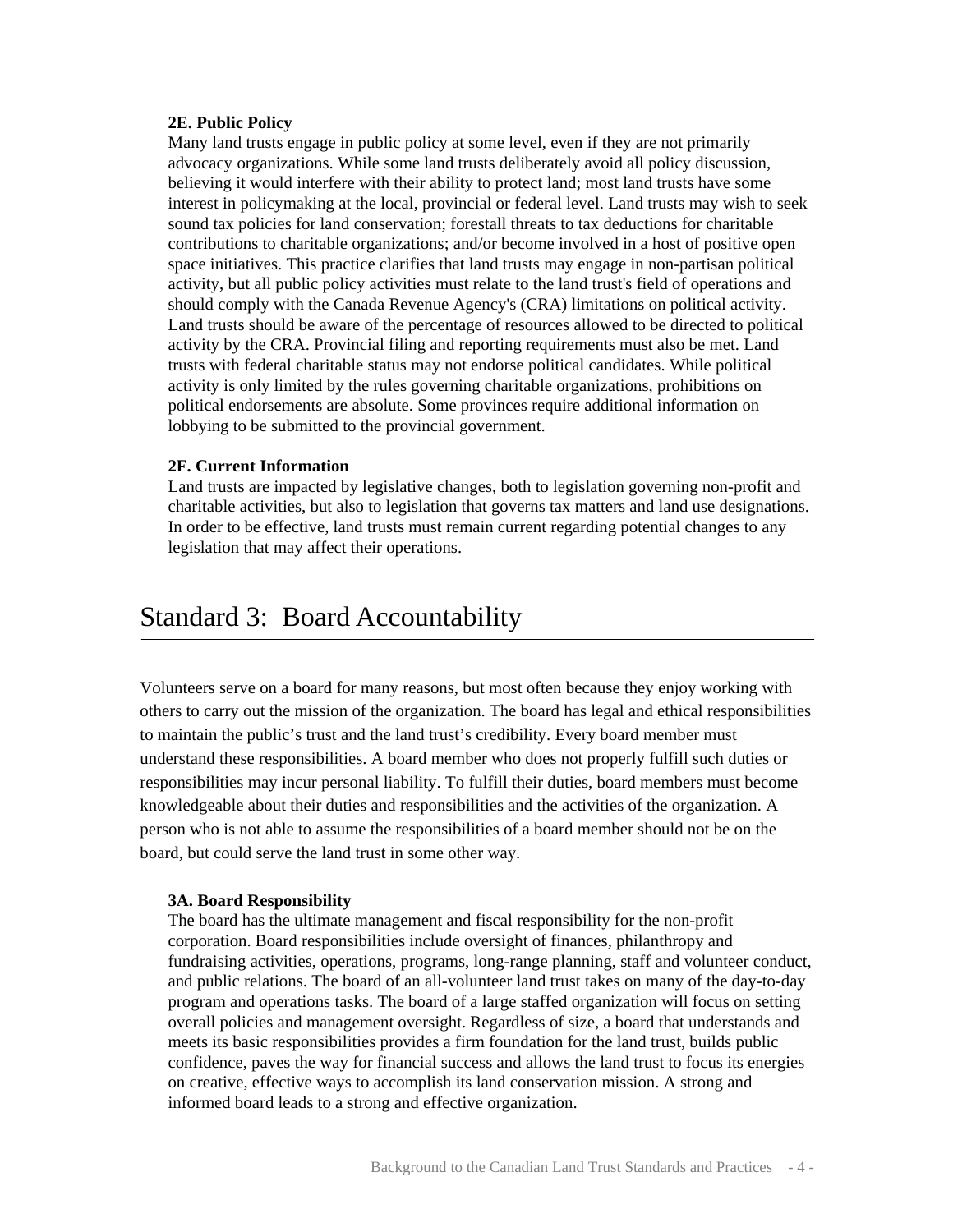#### **2E. Public Policy**

Many land trusts engage in public policy at some level, even if they are not primarily advocacy organizations. While some land trusts deliberately avoid all policy discussion, believing it would interfere with their ability to protect land; most land trusts have some interest in policymaking at the local, provincial or federal level. Land trusts may wish to seek sound tax policies for land conservation; forestall threats to tax deductions for charitable contributions to charitable organizations; and/or become involved in a host of positive open space initiatives. This practice clarifies that land trusts may engage in non-partisan political activity, but all public policy activities must relate to the land trust's field of operations and should comply with the Canada Revenue Agency's (CRA) limitations on political activity. Land trusts should be aware of the percentage of resources allowed to be directed to political activity by the CRA. Provincial filing and reporting requirements must also be met. Land trusts with federal charitable status may not endorse political candidates. While political activity is only limited by the rules governing charitable organizations, prohibitions on political endorsements are absolute. Some provinces require additional information on lobbying to be submitted to the provincial government.

#### **2F. Current Information**

Land trusts are impacted by legislative changes, both to legislation governing non-profit and charitable activities, but also to legislation that governs tax matters and land use designations. In order to be effective, land trusts must remain current regarding potential changes to any legislation that may affect their operations.

### Standard 3: Board Accountability

Volunteers serve on a board for many reasons, but most often because they enjoy working with others to carry out the mission of the organization. The board has legal and ethical responsibilities to maintain the public's trust and the land trust's credibility. Every board member must understand these responsibilities. A board member who does not properly fulfill such duties or responsibilities may incur personal liability. To fulfill their duties, board members must become knowledgeable about their duties and responsibilities and the activities of the organization. A person who is not able to assume the responsibilities of a board member should not be on the board, but could serve the land trust in some other way.

#### **3A. Board Responsibility**

The board has the ultimate management and fiscal responsibility for the non-profit corporation. Board responsibilities include oversight of finances, philanthropy and fundraising activities, operations, programs, long-range planning, staff and volunteer conduct, and public relations. The board of an all-volunteer land trust takes on many of the day-to-day program and operations tasks. The board of a large staffed organization will focus on setting overall policies and management oversight. Regardless of size, a board that understands and meets its basic responsibilities provides a firm foundation for the land trust, builds public confidence, paves the way for financial success and allows the land trust to focus its energies on creative, effective ways to accomplish its land conservation mission. A strong and informed board leads to a strong and effective organization.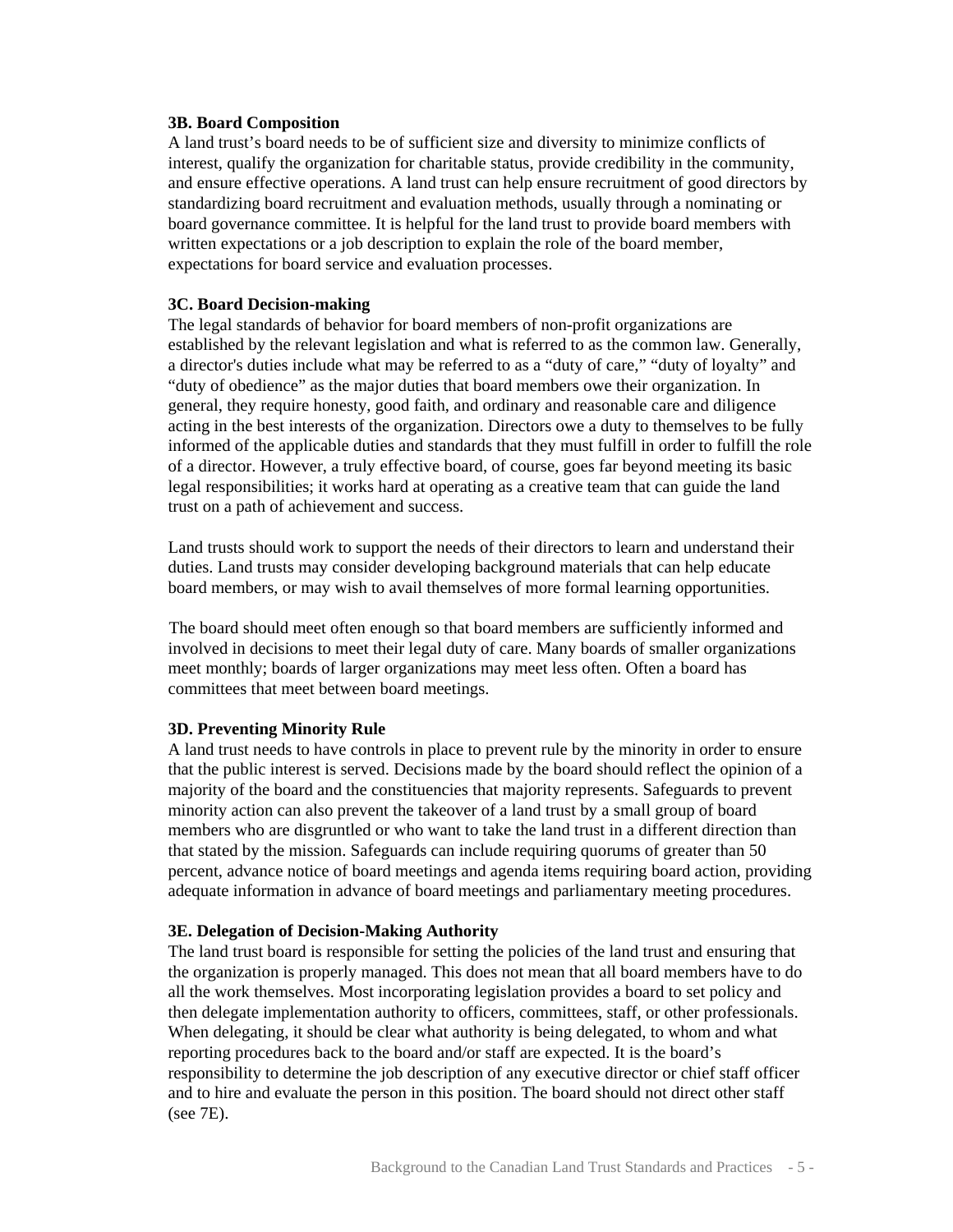#### **3B. Board Composition**

A land trust's board needs to be of sufficient size and diversity to minimize conflicts of interest, qualify the organization for charitable status, provide credibility in the community, and ensure effective operations. A land trust can help ensure recruitment of good directors by standardizing board recruitment and evaluation methods, usually through a nominating or board governance committee. It is helpful for the land trust to provide board members with written expectations or a job description to explain the role of the board member, expectations for board service and evaluation processes.

#### **3C. Board Decision-making**

The legal standards of behavior for board members of non-profit organizations are established by the relevant legislation and what is referred to as the common law. Generally, a director's duties include what may be referred to as a "duty of care," "duty of loyalty" and "duty of obedience" as the major duties that board members owe their organization. In general, they require honesty, good faith, and ordinary and reasonable care and diligence acting in the best interests of the organization. Directors owe a duty to themselves to be fully informed of the applicable duties and standards that they must fulfill in order to fulfill the role of a director. However, a truly effective board, of course, goes far beyond meeting its basic legal responsibilities; it works hard at operating as a creative team that can guide the land trust on a path of achievement and success.

Land trusts should work to support the needs of their directors to learn and understand their duties. Land trusts may consider developing background materials that can help educate board members, or may wish to avail themselves of more formal learning opportunities.

 The board should meet often enough so that board members are sufficiently informed and involved in decisions to meet their legal duty of care. Many boards of smaller organizations meet monthly; boards of larger organizations may meet less often. Often a board has committees that meet between board meetings.

#### **3D. Preventing Minority Rule**

A land trust needs to have controls in place to prevent rule by the minority in order to ensure that the public interest is served. Decisions made by the board should reflect the opinion of a majority of the board and the constituencies that majority represents. Safeguards to prevent minority action can also prevent the takeover of a land trust by a small group of board members who are disgruntled or who want to take the land trust in a different direction than that stated by the mission. Safeguards can include requiring quorums of greater than 50 percent, advance notice of board meetings and agenda items requiring board action, providing adequate information in advance of board meetings and parliamentary meeting procedures.

#### **3E. Delegation of Decision-Making Authority**

The land trust board is responsible for setting the policies of the land trust and ensuring that the organization is properly managed. This does not mean that all board members have to do all the work themselves. Most incorporating legislation provides a board to set policy and then delegate implementation authority to officers, committees, staff, or other professionals. When delegating, it should be clear what authority is being delegated, to whom and what reporting procedures back to the board and/or staff are expected. It is the board's responsibility to determine the job description of any executive director or chief staff officer and to hire and evaluate the person in this position. The board should not direct other staff (see 7E).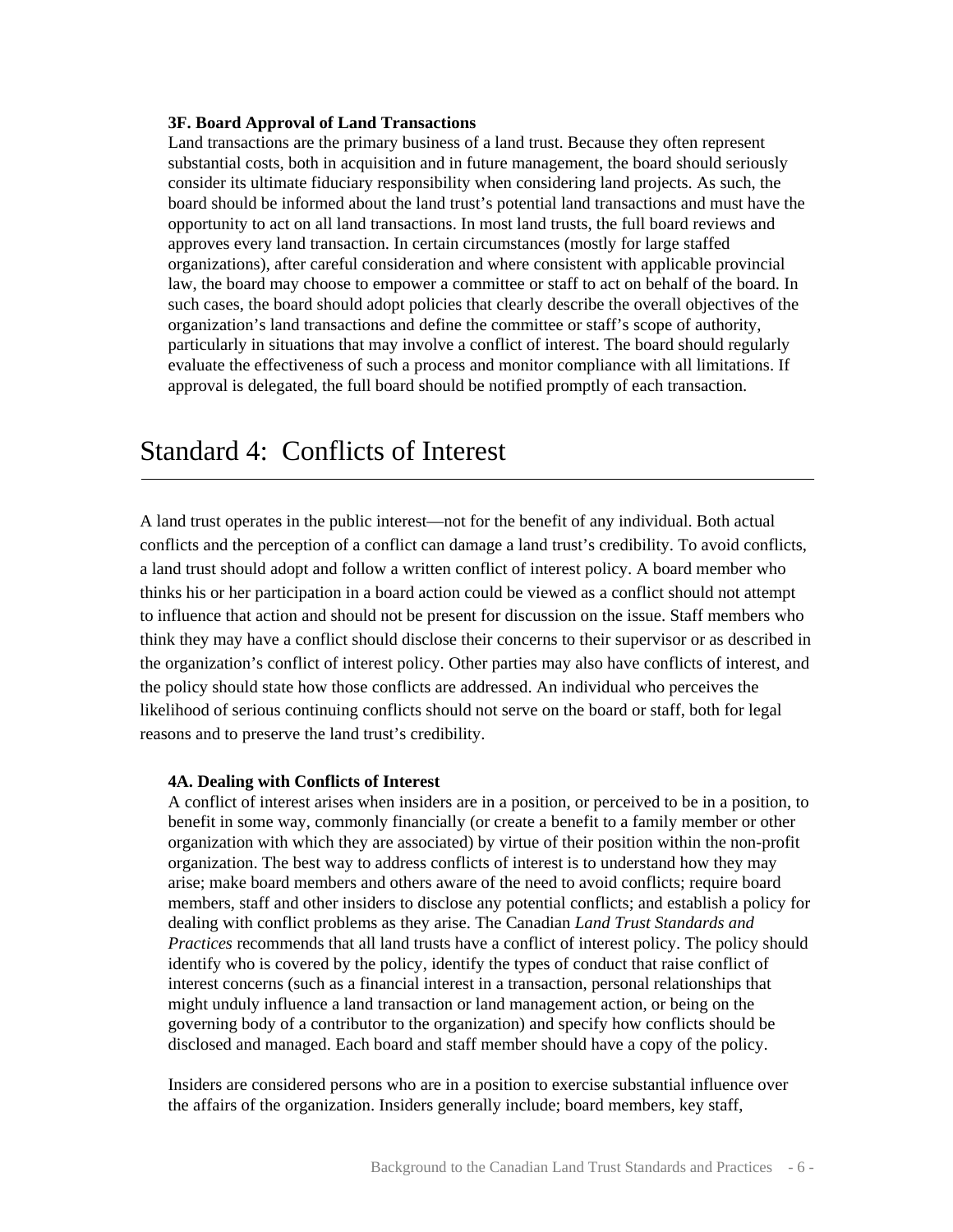#### **3F. Board Approval of Land Transactions**

Land transactions are the primary business of a land trust. Because they often represent substantial costs, both in acquisition and in future management, the board should seriously consider its ultimate fiduciary responsibility when considering land projects. As such, the board should be informed about the land trust's potential land transactions and must have the opportunity to act on all land transactions. In most land trusts, the full board reviews and approves every land transaction. In certain circumstances (mostly for large staffed organizations), after careful consideration and where consistent with applicable provincial law, the board may choose to empower a committee or staff to act on behalf of the board. In such cases, the board should adopt policies that clearly describe the overall objectives of the organization's land transactions and define the committee or staff's scope of authority, particularly in situations that may involve a conflict of interest. The board should regularly evaluate the effectiveness of such a process and monitor compliance with all limitations. If approval is delegated, the full board should be notified promptly of each transaction.

### Standard 4: Conflicts of Interest

A land trust operates in the public interest—not for the benefit of any individual. Both actual conflicts and the perception of a conflict can damage a land trust's credibility. To avoid conflicts, a land trust should adopt and follow a written conflict of interest policy. A board member who thinks his or her participation in a board action could be viewed as a conflict should not attempt to influence that action and should not be present for discussion on the issue. Staff members who think they may have a conflict should disclose their concerns to their supervisor or as described in the organization's conflict of interest policy. Other parties may also have conflicts of interest, and the policy should state how those conflicts are addressed. An individual who perceives the likelihood of serious continuing conflicts should not serve on the board or staff, both for legal reasons and to preserve the land trust's credibility.

#### **4A. Dealing with Conflicts of Interest**

A conflict of interest arises when insiders are in a position, or perceived to be in a position, to benefit in some way, commonly financially (or create a benefit to a family member or other organization with which they are associated) by virtue of their position within the non-profit organization. The best way to address conflicts of interest is to understand how they may arise; make board members and others aware of the need to avoid conflicts; require board members, staff and other insiders to disclose any potential conflicts; and establish a policy for dealing with conflict problems as they arise. The Canadian *Land Trust Standards and Practices* recommends that all land trusts have a conflict of interest policy. The policy should identify who is covered by the policy, identify the types of conduct that raise conflict of interest concerns (such as a financial interest in a transaction, personal relationships that might unduly influence a land transaction or land management action, or being on the governing body of a contributor to the organization) and specify how conflicts should be disclosed and managed. Each board and staff member should have a copy of the policy.

Insiders are considered persons who are in a position to exercise substantial influence over the affairs of the organization. Insiders generally include; board members, key staff,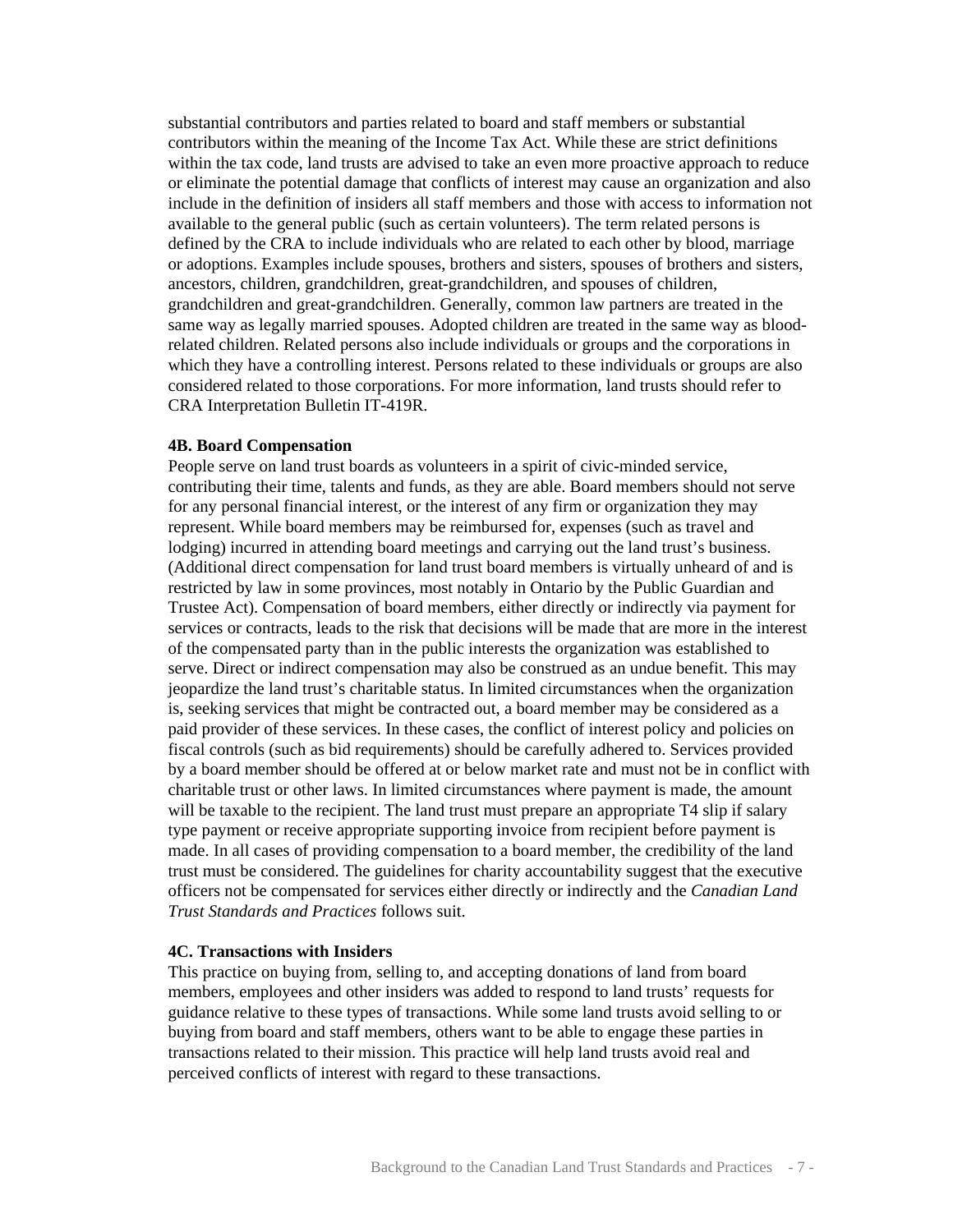substantial contributors and parties related to board and staff members or substantial contributors within the meaning of the Income Tax Act. While these are strict definitions within the tax code, land trusts are advised to take an even more proactive approach to reduce or eliminate the potential damage that conflicts of interest may cause an organization and also include in the definition of insiders all staff members and those with access to information not available to the general public (such as certain volunteers). The term related persons is defined by the CRA to include individuals who are related to each other by blood, marriage or adoptions. Examples include spouses, brothers and sisters, spouses of brothers and sisters, ancestors, children, grandchildren, great-grandchildren, and spouses of children, grandchildren and great-grandchildren. Generally, common law partners are treated in the same way as legally married spouses. Adopted children are treated in the same way as bloodrelated children. Related persons also include individuals or groups and the corporations in which they have a controlling interest. Persons related to these individuals or groups are also considered related to those corporations. For more information, land trusts should refer to CRA Interpretation Bulletin IT-419R.

#### **4B. Board Compensation**

People serve on land trust boards as volunteers in a spirit of civic-minded service, contributing their time, talents and funds, as they are able. Board members should not serve for any personal financial interest, or the interest of any firm or organization they may represent. While board members may be reimbursed for, expenses (such as travel and lodging) incurred in attending board meetings and carrying out the land trust's business. (Additional direct compensation for land trust board members is virtually unheard of and is restricted by law in some provinces, most notably in Ontario by the Public Guardian and Trustee Act). Compensation of board members, either directly or indirectly via payment for services or contracts, leads to the risk that decisions will be made that are more in the interest of the compensated party than in the public interests the organization was established to serve. Direct or indirect compensation may also be construed as an undue benefit. This may jeopardize the land trust's charitable status. In limited circumstances when the organization is, seeking services that might be contracted out, a board member may be considered as a paid provider of these services. In these cases, the conflict of interest policy and policies on fiscal controls (such as bid requirements) should be carefully adhered to. Services provided by a board member should be offered at or below market rate and must not be in conflict with charitable trust or other laws. In limited circumstances where payment is made, the amount will be taxable to the recipient. The land trust must prepare an appropriate T4 slip if salary type payment or receive appropriate supporting invoice from recipient before payment is made. In all cases of providing compensation to a board member, the credibility of the land trust must be considered. The guidelines for charity accountability suggest that the executive officers not be compensated for services either directly or indirectly and the *Canadian Land Trust Standards and Practices* follows suit.

#### **4C. Transactions with Insiders**

This practice on buying from, selling to, and accepting donations of land from board members, employees and other insiders was added to respond to land trusts' requests for guidance relative to these types of transactions. While some land trusts avoid selling to or buying from board and staff members, others want to be able to engage these parties in transactions related to their mission. This practice will help land trusts avoid real and perceived conflicts of interest with regard to these transactions.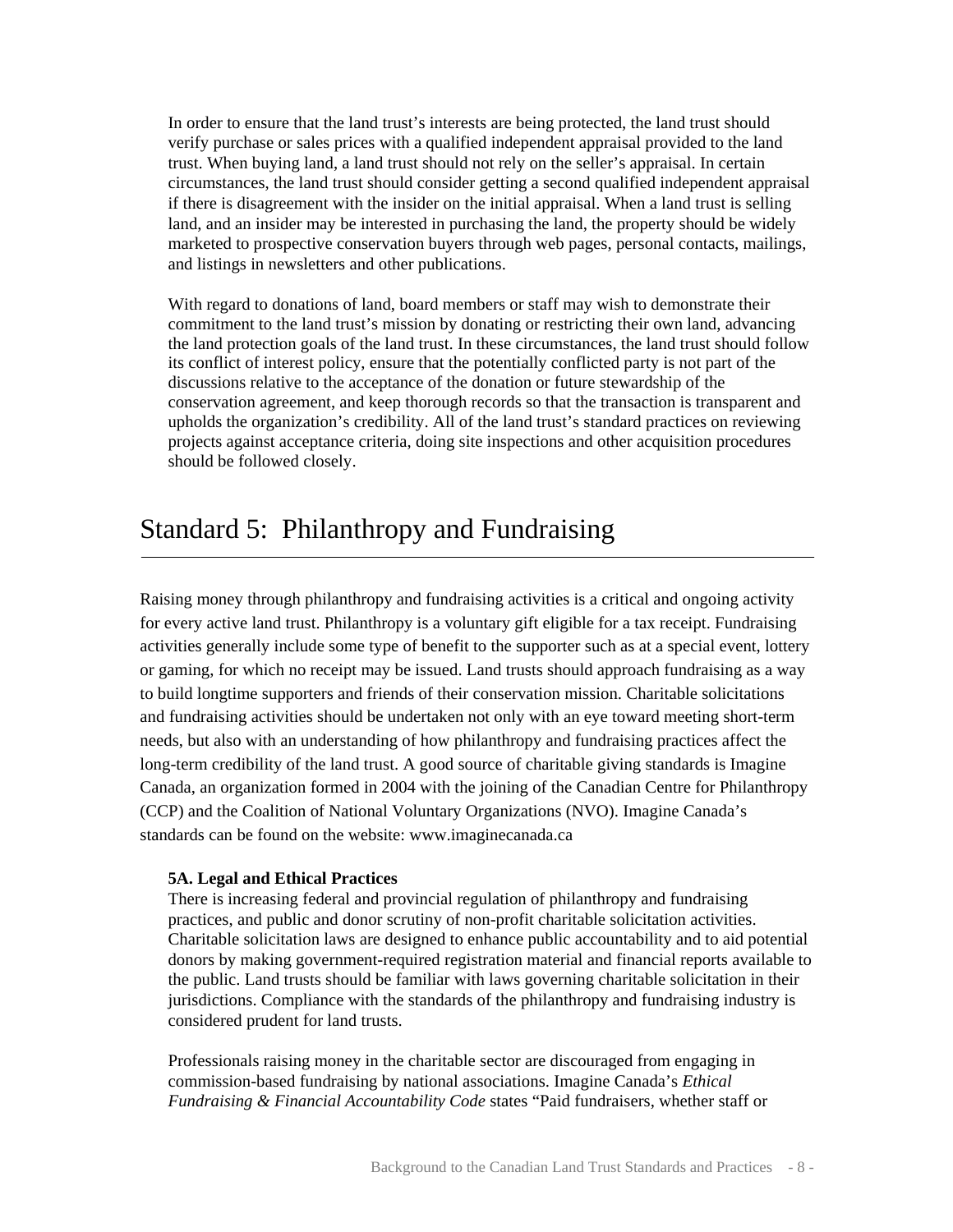In order to ensure that the land trust's interests are being protected, the land trust should verify purchase or sales prices with a qualified independent appraisal provided to the land trust. When buying land, a land trust should not rely on the seller's appraisal. In certain circumstances, the land trust should consider getting a second qualified independent appraisal if there is disagreement with the insider on the initial appraisal. When a land trust is selling land, and an insider may be interested in purchasing the land, the property should be widely marketed to prospective conservation buyers through web pages, personal contacts, mailings, and listings in newsletters and other publications.

With regard to donations of land, board members or staff may wish to demonstrate their commitment to the land trust's mission by donating or restricting their own land, advancing the land protection goals of the land trust. In these circumstances, the land trust should follow its conflict of interest policy, ensure that the potentially conflicted party is not part of the discussions relative to the acceptance of the donation or future stewardship of the conservation agreement, and keep thorough records so that the transaction is transparent and upholds the organization's credibility. All of the land trust's standard practices on reviewing projects against acceptance criteria, doing site inspections and other acquisition procedures should be followed closely.

### Standard 5: Philanthropy and Fundraising

Raising money through philanthropy and fundraising activities is a critical and ongoing activity for every active land trust. Philanthropy is a voluntary gift eligible for a tax receipt. Fundraising activities generally include some type of benefit to the supporter such as at a special event, lottery or gaming, for which no receipt may be issued. Land trusts should approach fundraising as a way to build longtime supporters and friends of their conservation mission. Charitable solicitations and fundraising activities should be undertaken not only with an eye toward meeting short-term needs, but also with an understanding of how philanthropy and fundraising practices affect the long-term credibility of the land trust. A good source of charitable giving standards is Imagine Canada, an organization formed in 2004 with the joining of the Canadian Centre for Philanthropy (CCP) and the Coalition of National Voluntary Organizations (NVO). Imagine Canada's standards can be found on the website: www.imaginecanada.ca

#### **5A. Legal and Ethical Practices**

There is increasing federal and provincial regulation of philanthropy and fundraising practices, and public and donor scrutiny of non-profit charitable solicitation activities. Charitable solicitation laws are designed to enhance public accountability and to aid potential donors by making government-required registration material and financial reports available to the public. Land trusts should be familiar with laws governing charitable solicitation in their jurisdictions. Compliance with the standards of the philanthropy and fundraising industry is considered prudent for land trusts.

Professionals raising money in the charitable sector are discouraged from engaging in commission-based fundraising by national associations. Imagine Canada's *Ethical Fundraising & Financial Accountability Code* states "Paid fundraisers, whether staff or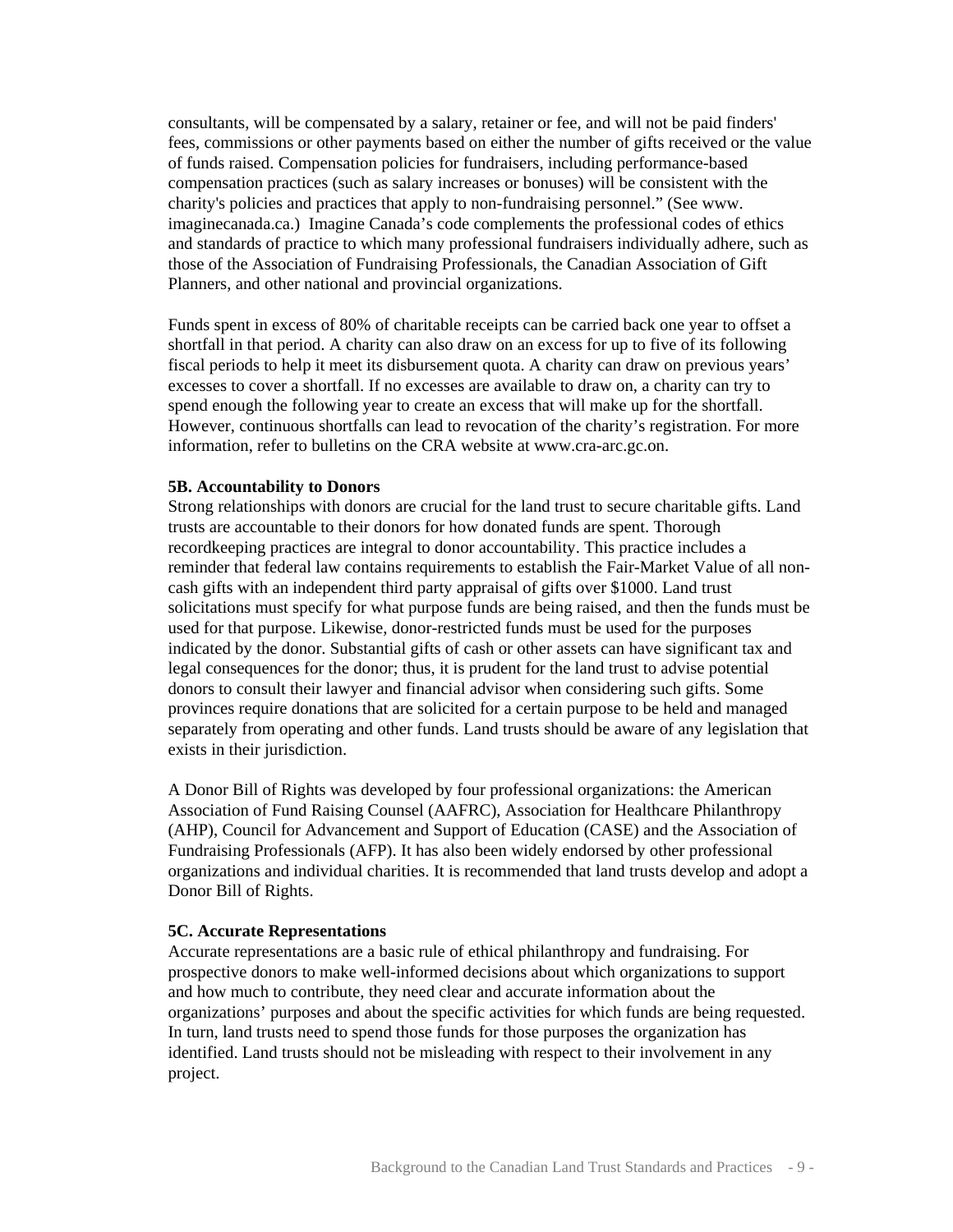consultants, will be compensated by a salary, retainer or fee, and will not be paid finders' fees, commissions or other payments based on either the number of gifts received or the value of funds raised. Compensation policies for fundraisers, including performance-based compensation practices (such as salary increases or bonuses) will be consistent with the charity's policies and practices that apply to non-fundraising personnel." (See www. imaginecanada.ca.) Imagine Canada's code complements the professional codes of ethics and standards of practice to which many professional fundraisers individually adhere, such as those of the Association of Fundraising Professionals, the Canadian Association of Gift Planners, and other national and provincial organizations.

Funds spent in excess of 80% of charitable receipts can be carried back one year to offset a shortfall in that period. A charity can also draw on an excess for up to five of its following fiscal periods to help it meet its disbursement quota. A charity can draw on previous years' excesses to cover a shortfall. If no excesses are available to draw on, a charity can try to spend enough the following year to create an excess that will make up for the shortfall. However, continuous shortfalls can lead to revocation of the charity's registration. For more information, refer to bulletins on the CRA website at www.cra-arc.gc.on.

#### **5B. Accountability to Donors**

 Strong relationships with donors are crucial for the land trust to secure charitable gifts. Land trusts are accountable to their donors for how donated funds are spent. Thorough recordkeeping practices are integral to donor accountability. This practice includes a reminder that federal law contains requirements to establish the Fair-Market Value of all noncash gifts with an independent third party appraisal of gifts over \$1000. Land trust solicitations must specify for what purpose funds are being raised, and then the funds must be used for that purpose. Likewise, donor-restricted funds must be used for the purposes indicated by the donor. Substantial gifts of cash or other assets can have significant tax and legal consequences for the donor; thus, it is prudent for the land trust to advise potential donors to consult their lawyer and financial advisor when considering such gifts. Some provinces require donations that are solicited for a certain purpose to be held and managed separately from operating and other funds. Land trusts should be aware of any legislation that exists in their jurisdiction.

A Donor Bill of Rights was developed by four professional organizations: the American Association of Fund Raising Counsel (AAFRC), Association for Healthcare Philanthropy (AHP), Council for Advancement and Support of Education (CASE) and the Association of Fundraising Professionals (AFP). It has also been widely endorsed by other professional organizations and individual charities. It is recommended that land trusts develop and adopt a Donor Bill of Rights.

#### **5C. Accurate Representations**

Accurate representations are a basic rule of ethical philanthropy and fundraising. For prospective donors to make well-informed decisions about which organizations to support and how much to contribute, they need clear and accurate information about the organizations' purposes and about the specific activities for which funds are being requested. In turn, land trusts need to spend those funds for those purposes the organization has identified. Land trusts should not be misleading with respect to their involvement in any project.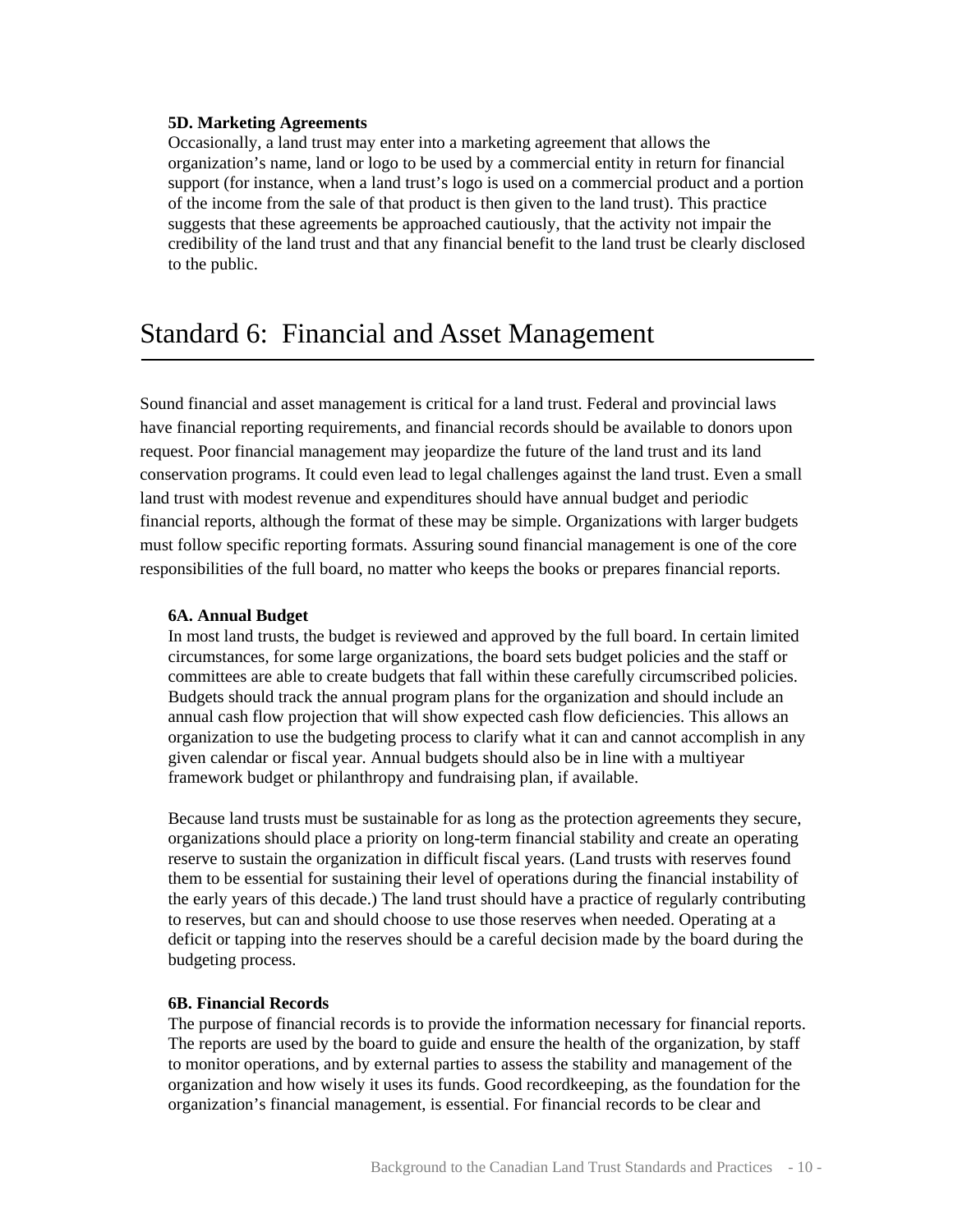#### **5D. Marketing Agreements**

Occasionally, a land trust may enter into a marketing agreement that allows the organization's name, land or logo to be used by a commercial entity in return for financial support (for instance, when a land trust's logo is used on a commercial product and a portion of the income from the sale of that product is then given to the land trust). This practice suggests that these agreements be approached cautiously, that the activity not impair the credibility of the land trust and that any financial benefit to the land trust be clearly disclosed to the public.

### Standard 6: Financial and Asset Management

Sound financial and asset management is critical for a land trust. Federal and provincial laws have financial reporting requirements, and financial records should be available to donors upon request. Poor financial management may jeopardize the future of the land trust and its land conservation programs. It could even lead to legal challenges against the land trust. Even a small land trust with modest revenue and expenditures should have annual budget and periodic financial reports, although the format of these may be simple. Organizations with larger budgets must follow specific reporting formats. Assuring sound financial management is one of the core responsibilities of the full board, no matter who keeps the books or prepares financial reports.

#### **6A. Annual Budget**

In most land trusts, the budget is reviewed and approved by the full board. In certain limited circumstances, for some large organizations, the board sets budget policies and the staff or committees are able to create budgets that fall within these carefully circumscribed policies. Budgets should track the annual program plans for the organization and should include an annual cash flow projection that will show expected cash flow deficiencies. This allows an organization to use the budgeting process to clarify what it can and cannot accomplish in any given calendar or fiscal year. Annual budgets should also be in line with a multiyear framework budget or philanthropy and fundraising plan, if available.

Because land trusts must be sustainable for as long as the protection agreements they secure, organizations should place a priority on long-term financial stability and create an operating reserve to sustain the organization in difficult fiscal years. (Land trusts with reserves found them to be essential for sustaining their level of operations during the financial instability of the early years of this decade.) The land trust should have a practice of regularly contributing to reserves, but can and should choose to use those reserves when needed. Operating at a deficit or tapping into the reserves should be a careful decision made by the board during the budgeting process.

#### **6B. Financial Records**

The purpose of financial records is to provide the information necessary for financial reports. The reports are used by the board to guide and ensure the health of the organization, by staff to monitor operations, and by external parties to assess the stability and management of the organization and how wisely it uses its funds. Good recordkeeping, as the foundation for the organization's financial management, is essential. For financial records to be clear and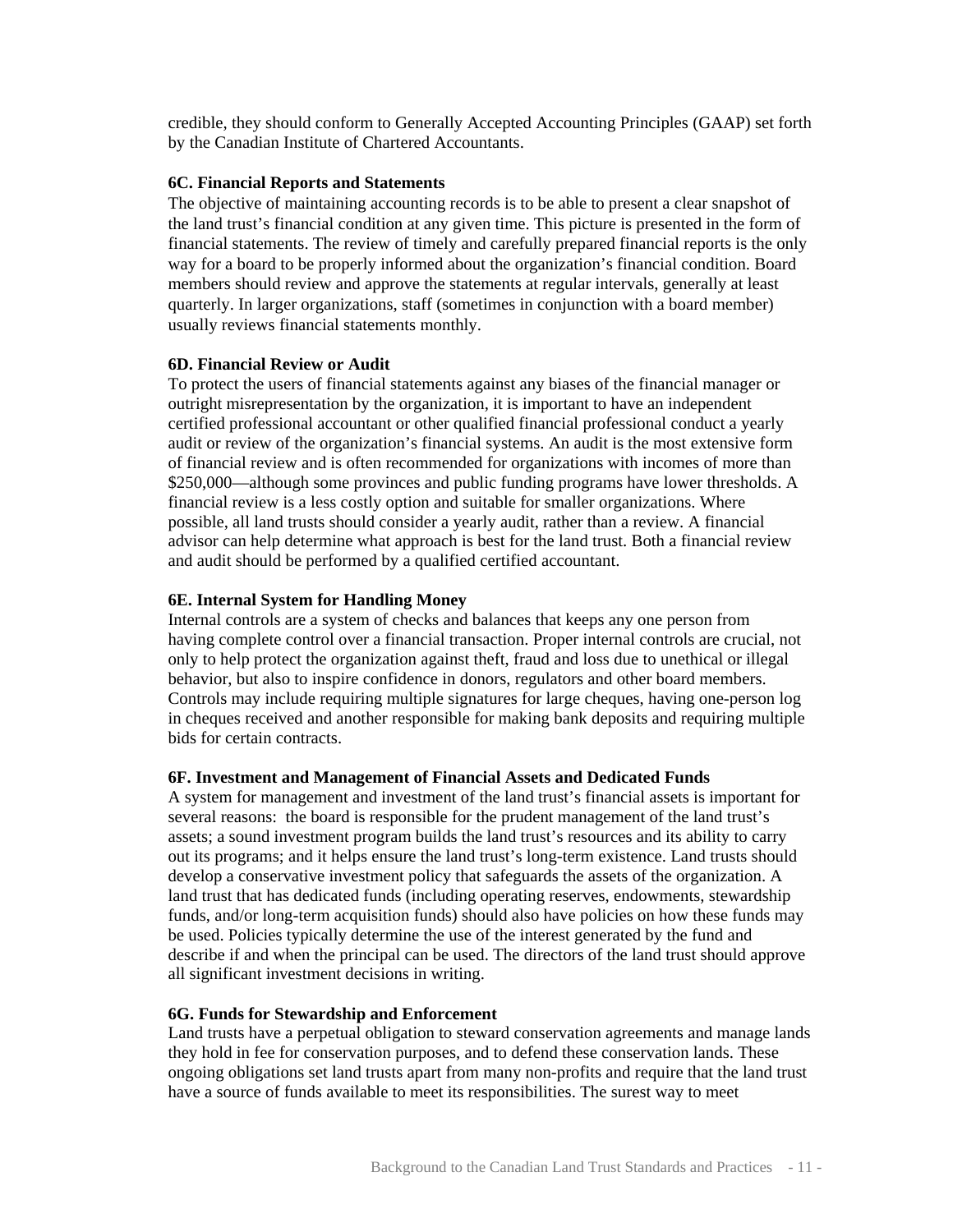credible, they should conform to Generally Accepted Accounting Principles (GAAP) set forth by the Canadian Institute of Chartered Accountants.

#### **6C. Financial Reports and Statements**

The objective of maintaining accounting records is to be able to present a clear snapshot of the land trust's financial condition at any given time. This picture is presented in the form of financial statements. The review of timely and carefully prepared financial reports is the only way for a board to be properly informed about the organization's financial condition. Board members should review and approve the statements at regular intervals, generally at least quarterly. In larger organizations, staff (sometimes in conjunction with a board member) usually reviews financial statements monthly.

#### **6D. Financial Review or Audit**

To protect the users of financial statements against any biases of the financial manager or outright misrepresentation by the organization, it is important to have an independent certified professional accountant or other qualified financial professional conduct a yearly audit or review of the organization's financial systems. An audit is the most extensive form of financial review and is often recommended for organizations with incomes of more than \$250,000—although some provinces and public funding programs have lower thresholds. A financial review is a less costly option and suitable for smaller organizations. Where possible, all land trusts should consider a yearly audit, rather than a review. A financial advisor can help determine what approach is best for the land trust. Both a financial review and audit should be performed by a qualified certified accountant.

#### **6E. Internal System for Handling Money**

Internal controls are a system of checks and balances that keeps any one person from having complete control over a financial transaction. Proper internal controls are crucial, not only to help protect the organization against theft, fraud and loss due to unethical or illegal behavior, but also to inspire confidence in donors, regulators and other board members. Controls may include requiring multiple signatures for large cheques, having one-person log in cheques received and another responsible for making bank deposits and requiring multiple bids for certain contracts.

#### **6F. Investment and Management of Financial Assets and Dedicated Funds**

A system for management and investment of the land trust's financial assets is important for several reasons: the board is responsible for the prudent management of the land trust's assets; a sound investment program builds the land trust's resources and its ability to carry out its programs; and it helps ensure the land trust's long-term existence. Land trusts should develop a conservative investment policy that safeguards the assets of the organization. A land trust that has dedicated funds (including operating reserves, endowments, stewardship funds, and/or long-term acquisition funds) should also have policies on how these funds may be used. Policies typically determine the use of the interest generated by the fund and describe if and when the principal can be used. The directors of the land trust should approve all significant investment decisions in writing.

#### **6G. Funds for Stewardship and Enforcement**

Land trusts have a perpetual obligation to steward conservation agreements and manage lands they hold in fee for conservation purposes, and to defend these conservation lands. These ongoing obligations set land trusts apart from many non-profits and require that the land trust have a source of funds available to meet its responsibilities. The surest way to meet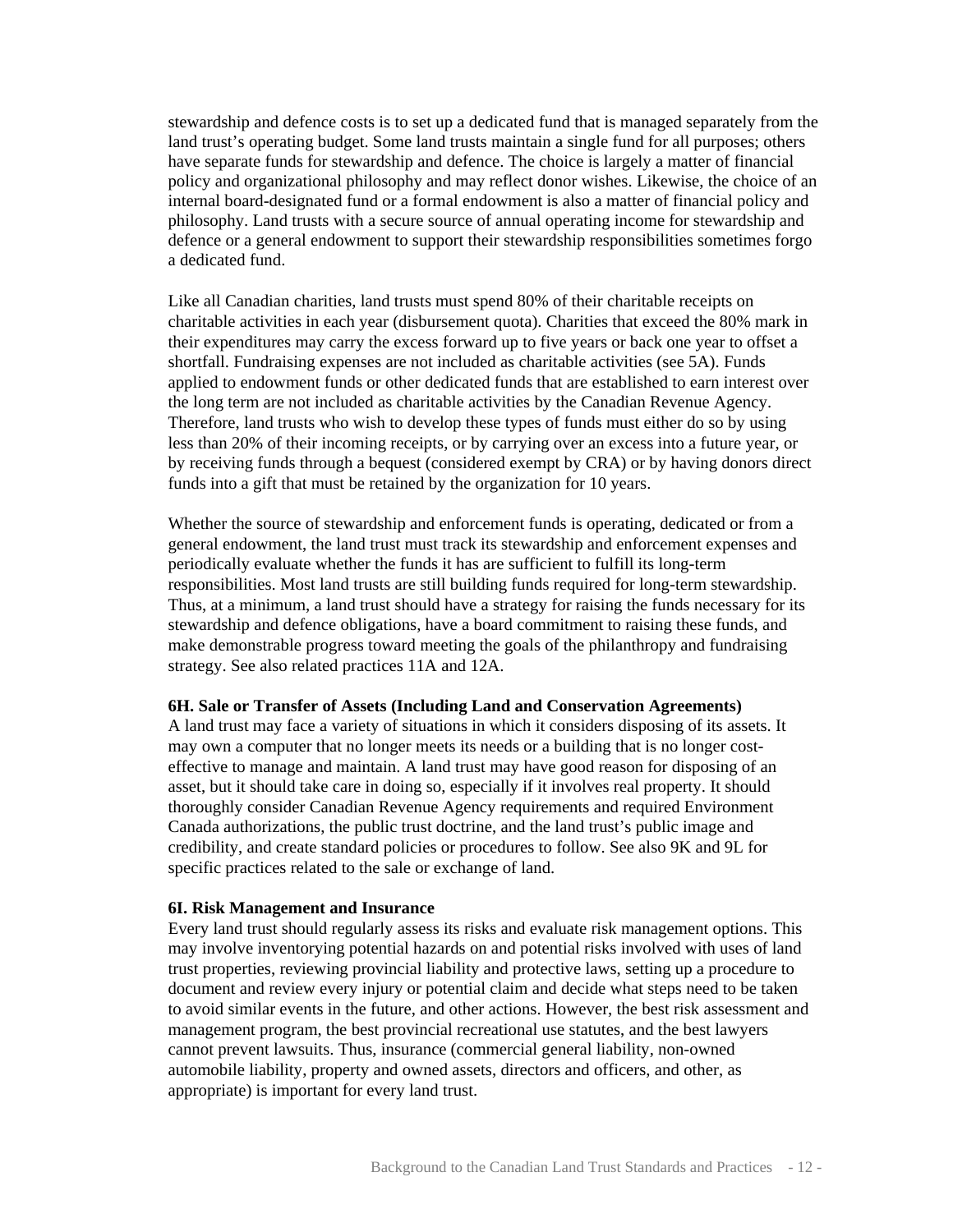stewardship and defence costs is to set up a dedicated fund that is managed separately from the land trust's operating budget. Some land trusts maintain a single fund for all purposes; others have separate funds for stewardship and defence. The choice is largely a matter of financial policy and organizational philosophy and may reflect donor wishes. Likewise, the choice of an internal board-designated fund or a formal endowment is also a matter of financial policy and philosophy. Land trusts with a secure source of annual operating income for stewardship and defence or a general endowment to support their stewardship responsibilities sometimes forgo a dedicated fund.

Like all Canadian charities, land trusts must spend 80% of their charitable receipts on charitable activities in each year (disbursement quota). Charities that exceed the 80% mark in their expenditures may carry the excess forward up to five years or back one year to offset a shortfall. Fundraising expenses are not included as charitable activities (see 5A). Funds applied to endowment funds or other dedicated funds that are established to earn interest over the long term are not included as charitable activities by the Canadian Revenue Agency. Therefore, land trusts who wish to develop these types of funds must either do so by using less than 20% of their incoming receipts, or by carrying over an excess into a future year, or by receiving funds through a bequest (considered exempt by CRA) or by having donors direct funds into a gift that must be retained by the organization for 10 years.

Whether the source of stewardship and enforcement funds is operating, dedicated or from a general endowment, the land trust must track its stewardship and enforcement expenses and periodically evaluate whether the funds it has are sufficient to fulfill its long-term responsibilities. Most land trusts are still building funds required for long-term stewardship. Thus, at a minimum, a land trust should have a strategy for raising the funds necessary for its stewardship and defence obligations, have a board commitment to raising these funds, and make demonstrable progress toward meeting the goals of the philanthropy and fundraising strategy. See also related practices 11A and 12A.

#### **6H. Sale or Transfer of Assets (Including Land and Conservation Agreements)**

A land trust may face a variety of situations in which it considers disposing of its assets. It may own a computer that no longer meets its needs or a building that is no longer costeffective to manage and maintain. A land trust may have good reason for disposing of an asset, but it should take care in doing so, especially if it involves real property. It should thoroughly consider Canadian Revenue Agency requirements and required Environment Canada authorizations, the public trust doctrine, and the land trust's public image and credibility, and create standard policies or procedures to follow. See also 9K and 9L for specific practices related to the sale or exchange of land.

#### **6I. Risk Management and Insurance**

Every land trust should regularly assess its risks and evaluate risk management options. This may involve inventorying potential hazards on and potential risks involved with uses of land trust properties, reviewing provincial liability and protective laws, setting up a procedure to document and review every injury or potential claim and decide what steps need to be taken to avoid similar events in the future, and other actions. However, the best risk assessment and management program, the best provincial recreational use statutes, and the best lawyers cannot prevent lawsuits. Thus, insurance (commercial general liability, non-owned automobile liability, property and owned assets, directors and officers, and other, as appropriate) is important for every land trust.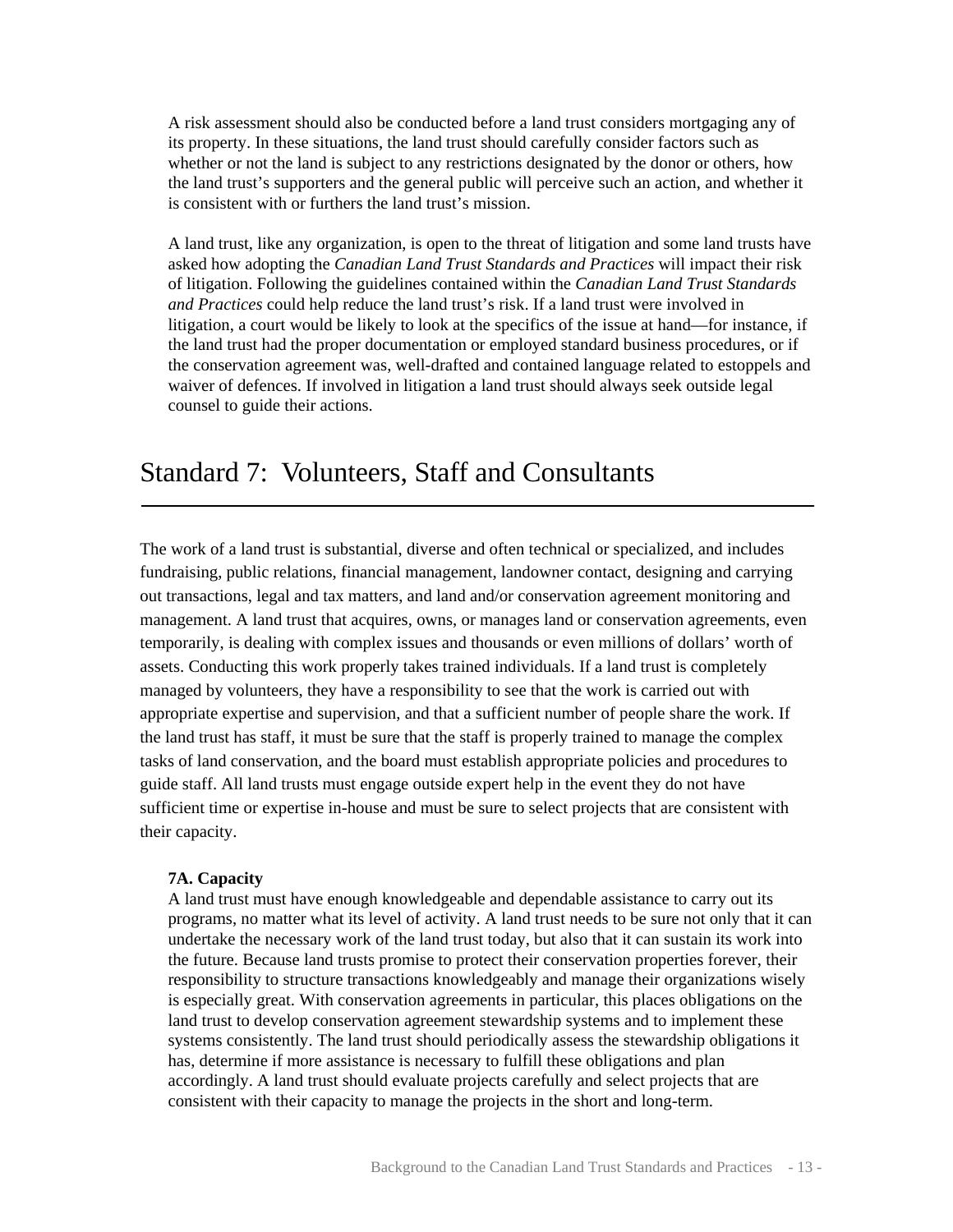A risk assessment should also be conducted before a land trust considers mortgaging any of its property. In these situations, the land trust should carefully consider factors such as whether or not the land is subject to any restrictions designated by the donor or others, how the land trust's supporters and the general public will perceive such an action, and whether it is consistent with or furthers the land trust's mission.

A land trust, like any organization, is open to the threat of litigation and some land trusts have asked how adopting the *Canadian Land Trust Standards and Practices* will impact their risk of litigation. Following the guidelines contained within the *Canadian Land Trust Standards and Practices* could help reduce the land trust's risk. If a land trust were involved in litigation, a court would be likely to look at the specifics of the issue at hand—for instance, if the land trust had the proper documentation or employed standard business procedures, or if the conservation agreement was, well-drafted and contained language related to estoppels and waiver of defences. If involved in litigation a land trust should always seek outside legal counsel to guide their actions.

### Standard 7: Volunteers, Staff and Consultants

The work of a land trust is substantial, diverse and often technical or specialized, and includes fundraising, public relations, financial management, landowner contact, designing and carrying out transactions, legal and tax matters, and land and/or conservation agreement monitoring and management. A land trust that acquires, owns, or manages land or conservation agreements, even temporarily, is dealing with complex issues and thousands or even millions of dollars' worth of assets. Conducting this work properly takes trained individuals. If a land trust is completely managed by volunteers, they have a responsibility to see that the work is carried out with appropriate expertise and supervision, and that a sufficient number of people share the work. If the land trust has staff, it must be sure that the staff is properly trained to manage the complex tasks of land conservation, and the board must establish appropriate policies and procedures to guide staff. All land trusts must engage outside expert help in the event they do not have sufficient time or expertise in-house and must be sure to select projects that are consistent with their capacity.

#### **7A. Capacity**

A land trust must have enough knowledgeable and dependable assistance to carry out its programs, no matter what its level of activity. A land trust needs to be sure not only that it can undertake the necessary work of the land trust today, but also that it can sustain its work into the future. Because land trusts promise to protect their conservation properties forever, their responsibility to structure transactions knowledgeably and manage their organizations wisely is especially great. With conservation agreements in particular, this places obligations on the land trust to develop conservation agreement stewardship systems and to implement these systems consistently. The land trust should periodically assess the stewardship obligations it has, determine if more assistance is necessary to fulfill these obligations and plan accordingly. A land trust should evaluate projects carefully and select projects that are consistent with their capacity to manage the projects in the short and long-term.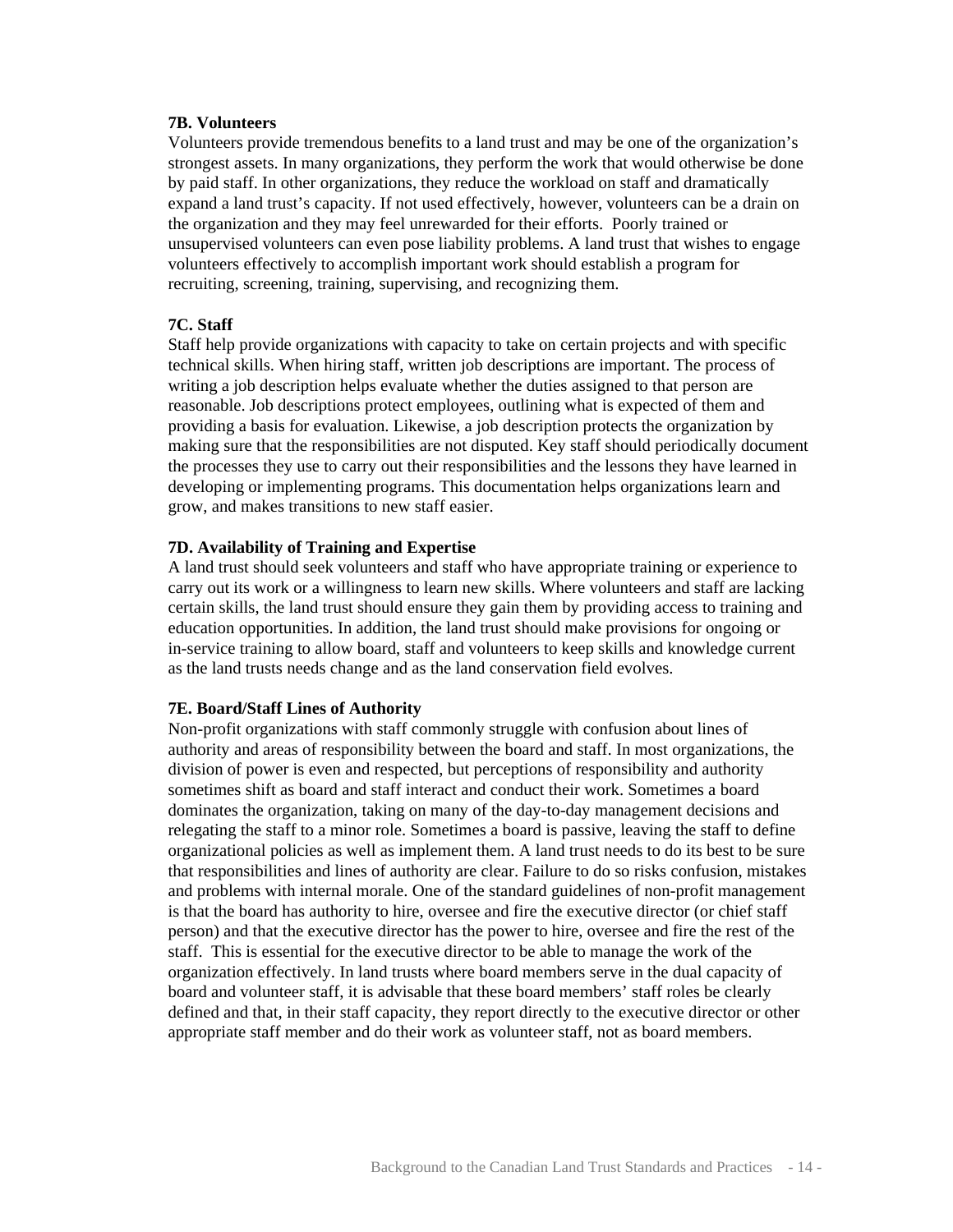#### **7B. Volunteers**

Volunteers provide tremendous benefits to a land trust and may be one of the organization's strongest assets. In many organizations, they perform the work that would otherwise be done by paid staff. In other organizations, they reduce the workload on staff and dramatically expand a land trust's capacity. If not used effectively, however, volunteers can be a drain on the organization and they may feel unrewarded for their efforts. Poorly trained or unsupervised volunteers can even pose liability problems. A land trust that wishes to engage volunteers effectively to accomplish important work should establish a program for recruiting, screening, training, supervising, and recognizing them.

#### **7C. Staff**

Staff help provide organizations with capacity to take on certain projects and with specific technical skills. When hiring staff, written job descriptions are important. The process of writing a job description helps evaluate whether the duties assigned to that person are reasonable. Job descriptions protect employees, outlining what is expected of them and providing a basis for evaluation. Likewise, a job description protects the organization by making sure that the responsibilities are not disputed. Key staff should periodically document the processes they use to carry out their responsibilities and the lessons they have learned in developing or implementing programs. This documentation helps organizations learn and grow, and makes transitions to new staff easier.

#### **7D. Availability of Training and Expertise**

A land trust should seek volunteers and staff who have appropriate training or experience to carry out its work or a willingness to learn new skills. Where volunteers and staff are lacking certain skills, the land trust should ensure they gain them by providing access to training and education opportunities. In addition, the land trust should make provisions for ongoing or in-service training to allow board, staff and volunteers to keep skills and knowledge current as the land trusts needs change and as the land conservation field evolves.

#### **7E. Board/Staff Lines of Authority**

Non-profit organizations with staff commonly struggle with confusion about lines of authority and areas of responsibility between the board and staff. In most organizations, the division of power is even and respected, but perceptions of responsibility and authority sometimes shift as board and staff interact and conduct their work. Sometimes a board dominates the organization, taking on many of the day-to-day management decisions and relegating the staff to a minor role. Sometimes a board is passive, leaving the staff to define organizational policies as well as implement them. A land trust needs to do its best to be sure that responsibilities and lines of authority are clear. Failure to do so risks confusion, mistakes and problems with internal morale. One of the standard guidelines of non-profit management is that the board has authority to hire, oversee and fire the executive director (or chief staff person) and that the executive director has the power to hire, oversee and fire the rest of the staff. This is essential for the executive director to be able to manage the work of the organization effectively. In land trusts where board members serve in the dual capacity of board and volunteer staff, it is advisable that these board members' staff roles be clearly defined and that, in their staff capacity, they report directly to the executive director or other appropriate staff member and do their work as volunteer staff, not as board members.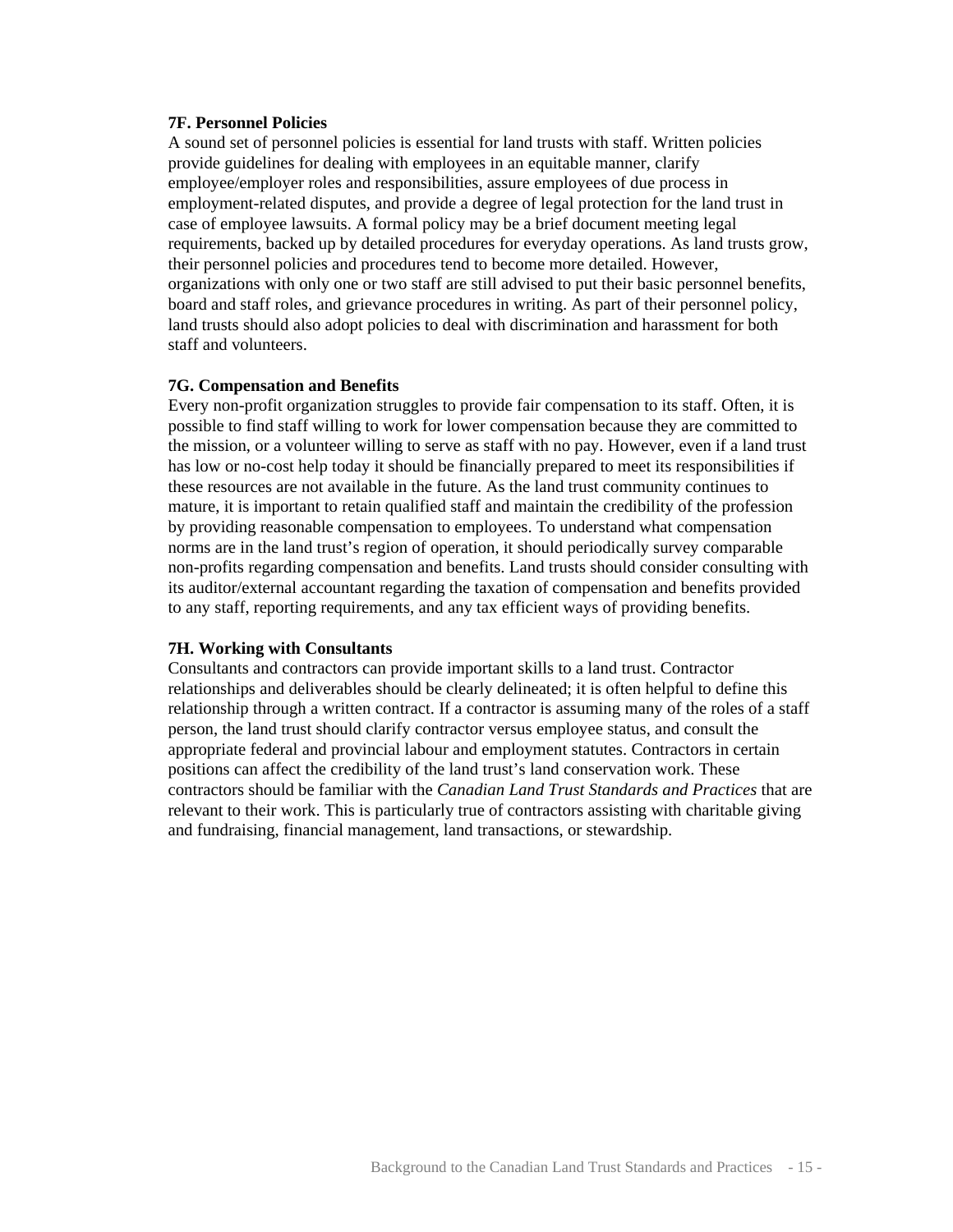#### **7F. Personnel Policies**

A sound set of personnel policies is essential for land trusts with staff. Written policies provide guidelines for dealing with employees in an equitable manner, clarify employee/employer roles and responsibilities, assure employees of due process in employment-related disputes, and provide a degree of legal protection for the land trust in case of employee lawsuits. A formal policy may be a brief document meeting legal requirements, backed up by detailed procedures for everyday operations. As land trusts grow, their personnel policies and procedures tend to become more detailed. However, organizations with only one or two staff are still advised to put their basic personnel benefits, board and staff roles, and grievance procedures in writing. As part of their personnel policy, land trusts should also adopt policies to deal with discrimination and harassment for both staff and volunteers.

#### **7G. Compensation and Benefits**

Every non-profit organization struggles to provide fair compensation to its staff. Often, it is possible to find staff willing to work for lower compensation because they are committed to the mission, or a volunteer willing to serve as staff with no pay. However, even if a land trust has low or no-cost help today it should be financially prepared to meet its responsibilities if these resources are not available in the future. As the land trust community continues to mature, it is important to retain qualified staff and maintain the credibility of the profession by providing reasonable compensation to employees. To understand what compensation norms are in the land trust's region of operation, it should periodically survey comparable non-profits regarding compensation and benefits. Land trusts should consider consulting with its auditor/external accountant regarding the taxation of compensation and benefits provided to any staff, reporting requirements, and any tax efficient ways of providing benefits.

#### **7H. Working with Consultants**

Consultants and contractors can provide important skills to a land trust. Contractor relationships and deliverables should be clearly delineated; it is often helpful to define this relationship through a written contract. If a contractor is assuming many of the roles of a staff person, the land trust should clarify contractor versus employee status, and consult the appropriate federal and provincial labour and employment statutes. Contractors in certain positions can affect the credibility of the land trust's land conservation work. These contractors should be familiar with the *Canadian Land Trust Standards and Practices* that are relevant to their work. This is particularly true of contractors assisting with charitable giving and fundraising, financial management, land transactions, or stewardship.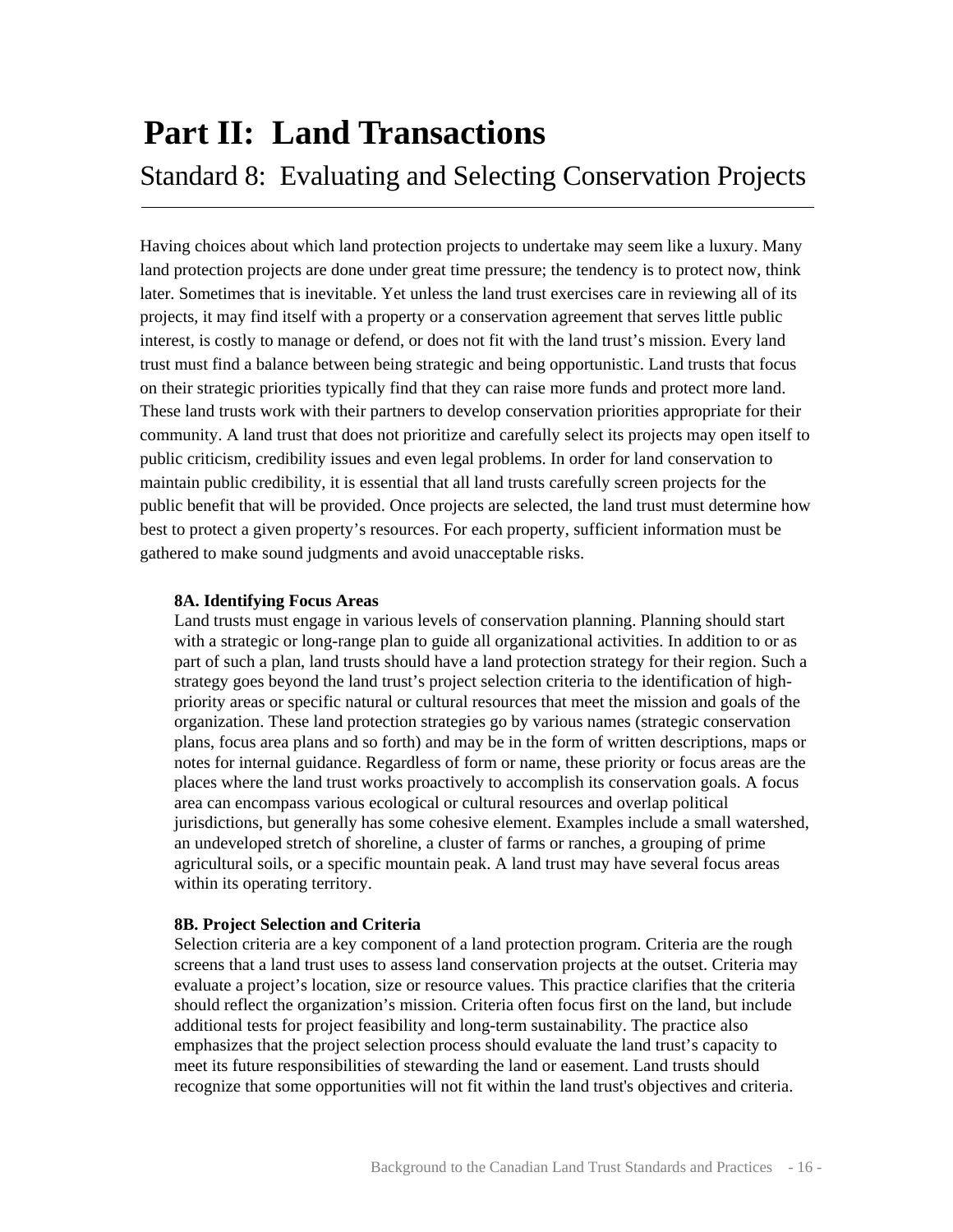## **Part II: Land Transactions**  Standard 8: Evaluating and Selecting Conservation Projects

Having choices about which land protection projects to undertake may seem like a luxury. Many land protection projects are done under great time pressure; the tendency is to protect now, think later. Sometimes that is inevitable. Yet unless the land trust exercises care in reviewing all of its projects, it may find itself with a property or a conservation agreement that serves little public interest, is costly to manage or defend, or does not fit with the land trust's mission. Every land trust must find a balance between being strategic and being opportunistic. Land trusts that focus on their strategic priorities typically find that they can raise more funds and protect more land. These land trusts work with their partners to develop conservation priorities appropriate for their community. A land trust that does not prioritize and carefully select its projects may open itself to public criticism, credibility issues and even legal problems. In order for land conservation to maintain public credibility, it is essential that all land trusts carefully screen projects for the public benefit that will be provided. Once projects are selected, the land trust must determine how best to protect a given property's resources. For each property, sufficient information must be gathered to make sound judgments and avoid unacceptable risks.

#### **8A. Identifying Focus Areas**

Land trusts must engage in various levels of conservation planning. Planning should start with a strategic or long-range plan to guide all organizational activities. In addition to or as part of such a plan, land trusts should have a land protection strategy for their region. Such a strategy goes beyond the land trust's project selection criteria to the identification of highpriority areas or specific natural or cultural resources that meet the mission and goals of the organization. These land protection strategies go by various names (strategic conservation plans, focus area plans and so forth) and may be in the form of written descriptions, maps or notes for internal guidance. Regardless of form or name, these priority or focus areas are the places where the land trust works proactively to accomplish its conservation goals. A focus area can encompass various ecological or cultural resources and overlap political jurisdictions, but generally has some cohesive element. Examples include a small watershed, an undeveloped stretch of shoreline, a cluster of farms or ranches, a grouping of prime agricultural soils, or a specific mountain peak. A land trust may have several focus areas within its operating territory.

#### **8B. Project Selection and Criteria**

Selection criteria are a key component of a land protection program. Criteria are the rough screens that a land trust uses to assess land conservation projects at the outset. Criteria may evaluate a project's location, size or resource values. This practice clarifies that the criteria should reflect the organization's mission. Criteria often focus first on the land, but include additional tests for project feasibility and long-term sustainability. The practice also emphasizes that the project selection process should evaluate the land trust's capacity to meet its future responsibilities of stewarding the land or easement. Land trusts should recognize that some opportunities will not fit within the land trust's objectives and criteria.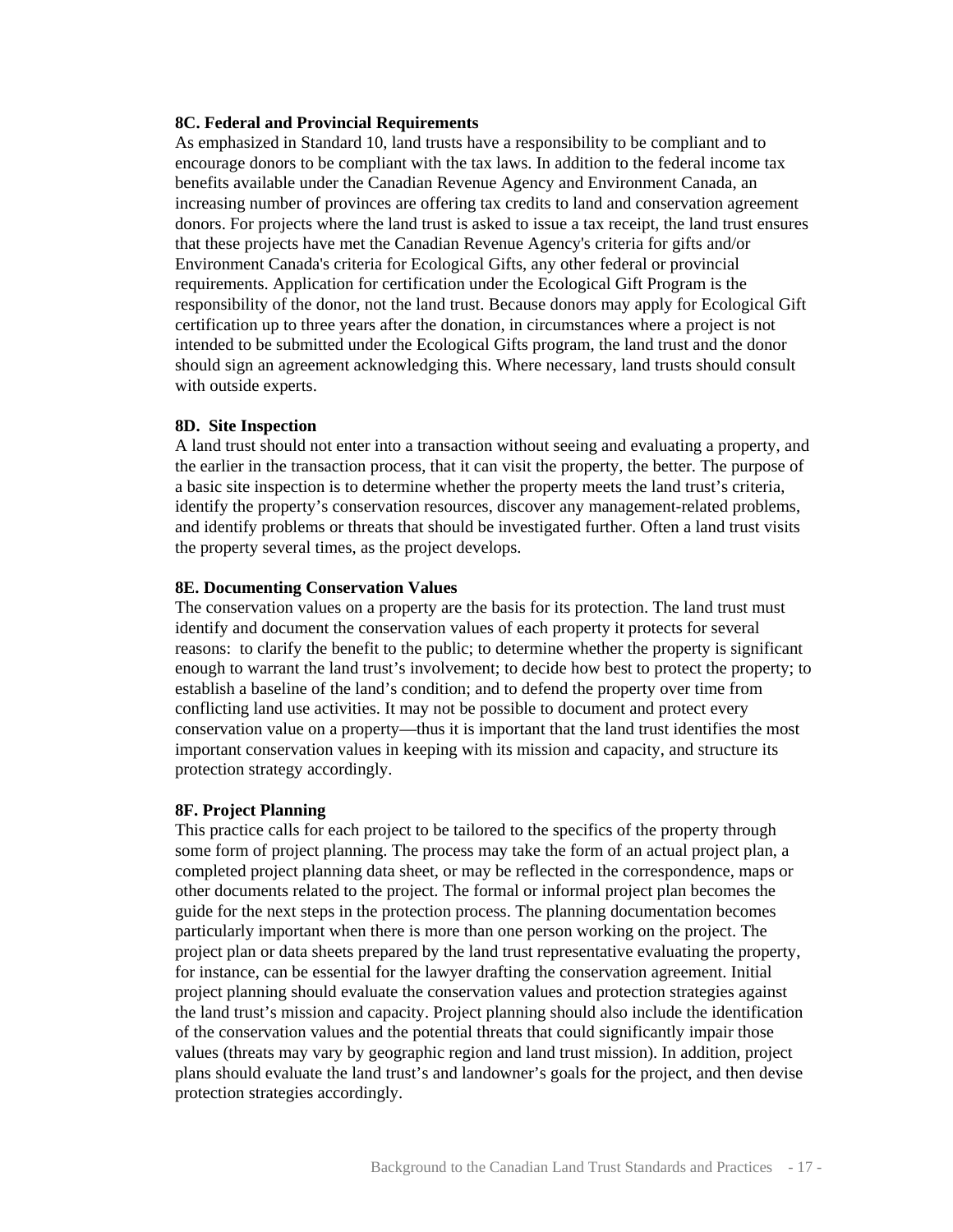#### **8C. Federal and Provincial Requirements**

As emphasized in Standard 10, land trusts have a responsibility to be compliant and to encourage donors to be compliant with the tax laws. In addition to the federal income tax benefits available under the Canadian Revenue Agency and Environment Canada, an increasing number of provinces are offering tax credits to land and conservation agreement donors. For projects where the land trust is asked to issue a tax receipt, the land trust ensures that these projects have met the Canadian Revenue Agency's criteria for gifts and/or Environment Canada's criteria for Ecological Gifts, any other federal or provincial requirements. Application for certification under the Ecological Gift Program is the responsibility of the donor, not the land trust. Because donors may apply for Ecological Gift certification up to three years after the donation, in circumstances where a project is not intended to be submitted under the Ecological Gifts program, the land trust and the donor should sign an agreement acknowledging this. Where necessary, land trusts should consult with outside experts.

#### **8D. Site Inspection**

A land trust should not enter into a transaction without seeing and evaluating a property, and the earlier in the transaction process, that it can visit the property, the better. The purpose of a basic site inspection is to determine whether the property meets the land trust's criteria, identify the property's conservation resources, discover any management-related problems, and identify problems or threats that should be investigated further. Often a land trust visits the property several times, as the project develops.

#### **8E. Documenting Conservation Values**

The conservation values on a property are the basis for its protection. The land trust must identify and document the conservation values of each property it protects for several reasons: to clarify the benefit to the public; to determine whether the property is significant enough to warrant the land trust's involvement; to decide how best to protect the property; to establish a baseline of the land's condition; and to defend the property over time from conflicting land use activities. It may not be possible to document and protect every conservation value on a property—thus it is important that the land trust identifies the most important conservation values in keeping with its mission and capacity, and structure its protection strategy accordingly.

#### **8F. Project Planning**

This practice calls for each project to be tailored to the specifics of the property through some form of project planning. The process may take the form of an actual project plan, a completed project planning data sheet, or may be reflected in the correspondence, maps or other documents related to the project. The formal or informal project plan becomes the guide for the next steps in the protection process. The planning documentation becomes particularly important when there is more than one person working on the project. The project plan or data sheets prepared by the land trust representative evaluating the property, for instance, can be essential for the lawyer drafting the conservation agreement. Initial project planning should evaluate the conservation values and protection strategies against the land trust's mission and capacity. Project planning should also include the identification of the conservation values and the potential threats that could significantly impair those values (threats may vary by geographic region and land trust mission). In addition, project plans should evaluate the land trust's and landowner's goals for the project, and then devise protection strategies accordingly.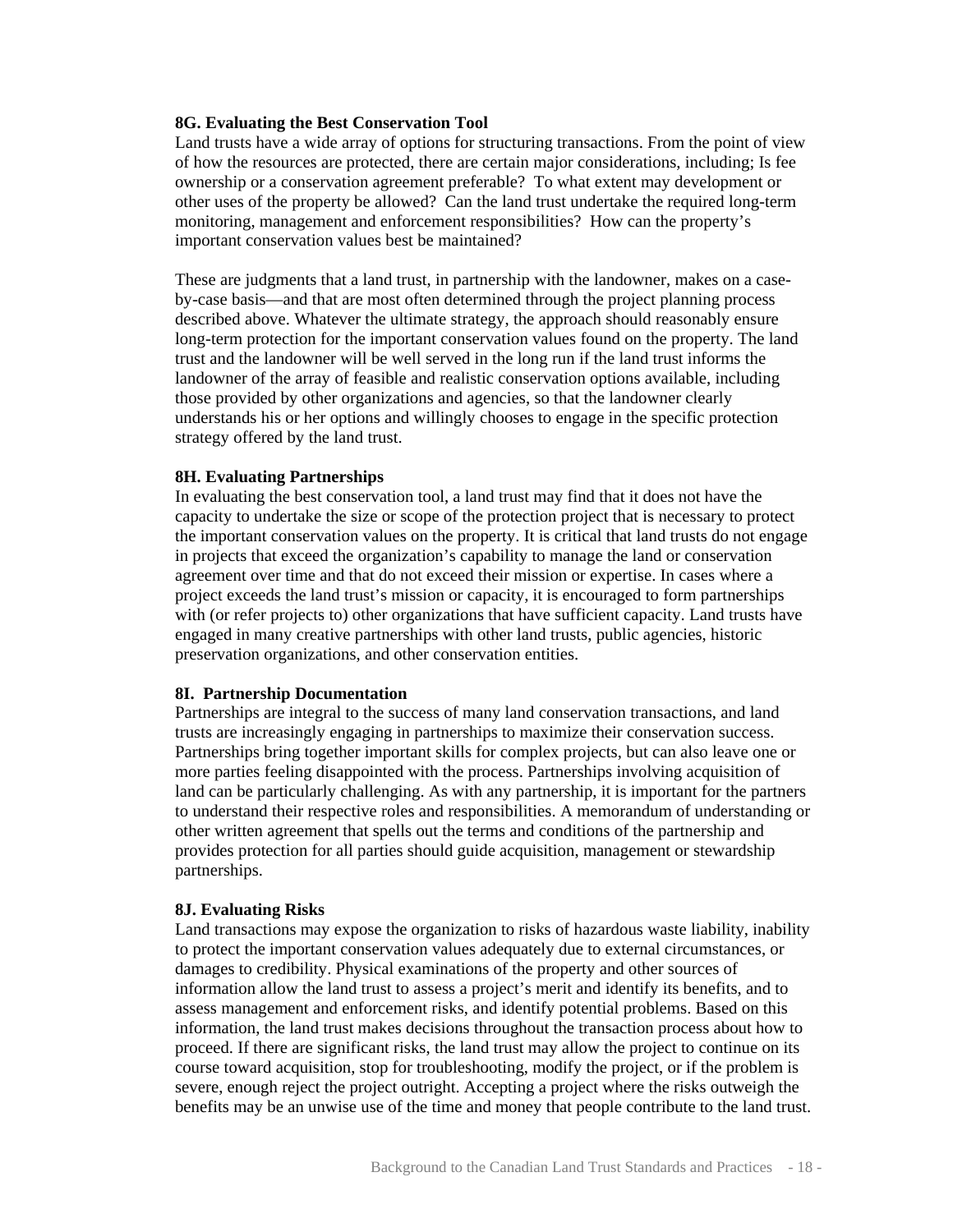#### **8G. Evaluating the Best Conservation Tool**

Land trusts have a wide array of options for structuring transactions. From the point of view of how the resources are protected, there are certain major considerations, including; Is fee ownership or a conservation agreement preferable? To what extent may development or other uses of the property be allowed? Can the land trust undertake the required long-term monitoring, management and enforcement responsibilities? How can the property's important conservation values best be maintained?

These are judgments that a land trust, in partnership with the landowner, makes on a caseby-case basis—and that are most often determined through the project planning process described above. Whatever the ultimate strategy, the approach should reasonably ensure long-term protection for the important conservation values found on the property. The land trust and the landowner will be well served in the long run if the land trust informs the landowner of the array of feasible and realistic conservation options available, including those provided by other organizations and agencies, so that the landowner clearly understands his or her options and willingly chooses to engage in the specific protection strategy offered by the land trust.

#### **8H. Evaluating Partnerships**

In evaluating the best conservation tool, a land trust may find that it does not have the capacity to undertake the size or scope of the protection project that is necessary to protect the important conservation values on the property. It is critical that land trusts do not engage in projects that exceed the organization's capability to manage the land or conservation agreement over time and that do not exceed their mission or expertise. In cases where a project exceeds the land trust's mission or capacity, it is encouraged to form partnerships with (or refer projects to) other organizations that have sufficient capacity. Land trusts have engaged in many creative partnerships with other land trusts, public agencies, historic preservation organizations, and other conservation entities.

#### **8I. Partnership Documentation**

Partnerships are integral to the success of many land conservation transactions, and land trusts are increasingly engaging in partnerships to maximize their conservation success. Partnerships bring together important skills for complex projects, but can also leave one or more parties feeling disappointed with the process. Partnerships involving acquisition of land can be particularly challenging. As with any partnership, it is important for the partners to understand their respective roles and responsibilities. A memorandum of understanding or other written agreement that spells out the terms and conditions of the partnership and provides protection for all parties should guide acquisition, management or stewardship partnerships.

#### **8J. Evaluating Risks**

Land transactions may expose the organization to risks of hazardous waste liability, inability to protect the important conservation values adequately due to external circumstances, or damages to credibility. Physical examinations of the property and other sources of information allow the land trust to assess a project's merit and identify its benefits, and to assess management and enforcement risks, and identify potential problems. Based on this information, the land trust makes decisions throughout the transaction process about how to proceed. If there are significant risks, the land trust may allow the project to continue on its course toward acquisition, stop for troubleshooting, modify the project, or if the problem is severe, enough reject the project outright. Accepting a project where the risks outweigh the benefits may be an unwise use of the time and money that people contribute to the land trust.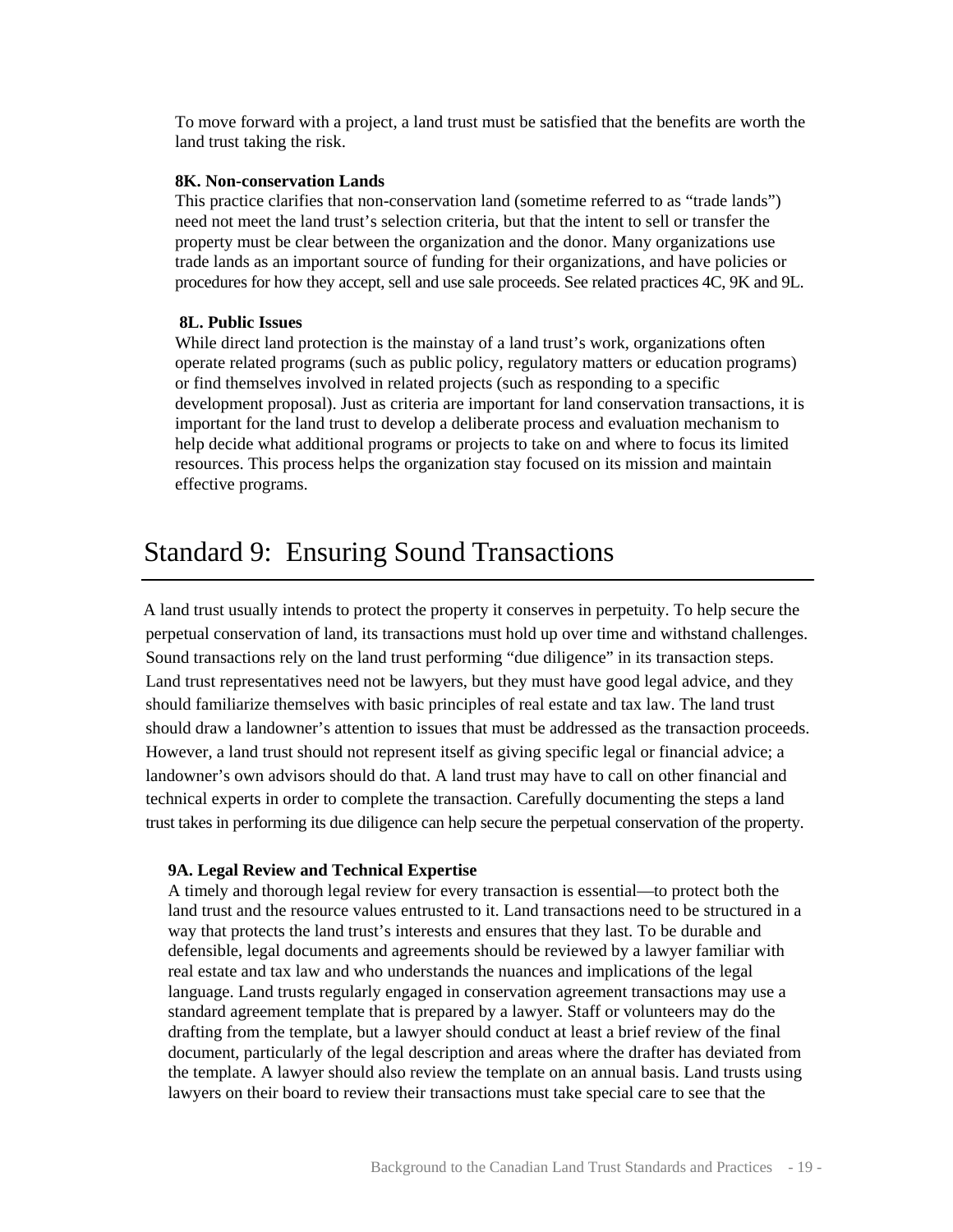To move forward with a project, a land trust must be satisfied that the benefits are worth the land trust taking the risk.

#### **8K. Non-conservation Lands**

This practice clarifies that non-conservation land (sometime referred to as "trade lands") need not meet the land trust's selection criteria, but that the intent to sell or transfer the property must be clear between the organization and the donor. Many organizations use trade lands as an important source of funding for their organizations, and have policies or procedures for how they accept, sell and use sale proceeds. See related practices 4C, 9K and 9L.

#### **8L. Public Issues**

While direct land protection is the mainstay of a land trust's work, organizations often operate related programs (such as public policy, regulatory matters or education programs) or find themselves involved in related projects (such as responding to a specific development proposal). Just as criteria are important for land conservation transactions, it is important for the land trust to develop a deliberate process and evaluation mechanism to help decide what additional programs or projects to take on and where to focus its limited resources. This process helps the organization stay focused on its mission and maintain effective programs.

#### Standard 9: Ensuring Sound Transactions

A land trust usually intends to protect the property it conserves in perpetuity. To help secure the perpetual conservation of land, its transactions must hold up over time and withstand challenges. Sound transactions rely on the land trust performing "due diligence" in its transaction steps. Land trust representatives need not be lawyers, but they must have good legal advice, and they should familiarize themselves with basic principles of real estate and tax law. The land trust should draw a landowner's attention to issues that must be addressed as the transaction proceeds. However, a land trust should not represent itself as giving specific legal or financial advice; a landowner's own advisors should do that. A land trust may have to call on other financial and technical experts in order to complete the transaction. Carefully documenting the steps a land trust takes in performing its due diligence can help secure the perpetual conservation of the property.

#### **9A. Legal Review and Technical Expertise**

A timely and thorough legal review for every transaction is essential—to protect both the land trust and the resource values entrusted to it. Land transactions need to be structured in a way that protects the land trust's interests and ensures that they last. To be durable and defensible, legal documents and agreements should be reviewed by a lawyer familiar with real estate and tax law and who understands the nuances and implications of the legal language. Land trusts regularly engaged in conservation agreement transactions may use a standard agreement template that is prepared by a lawyer. Staff or volunteers may do the drafting from the template, but a lawyer should conduct at least a brief review of the final document, particularly of the legal description and areas where the drafter has deviated from the template. A lawyer should also review the template on an annual basis. Land trusts using lawyers on their board to review their transactions must take special care to see that the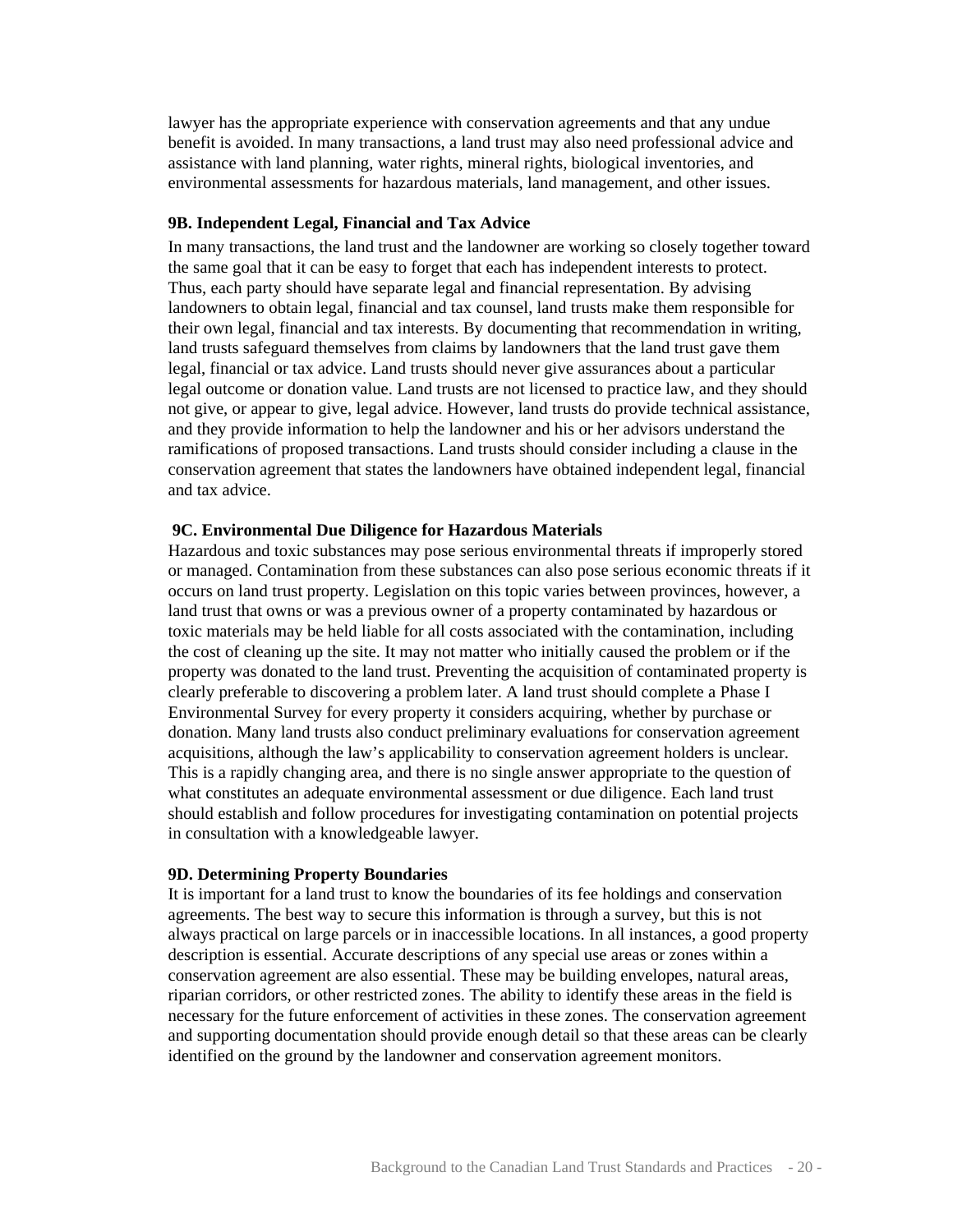lawyer has the appropriate experience with conservation agreements and that any undue benefit is avoided. In many transactions, a land trust may also need professional advice and assistance with land planning, water rights, mineral rights, biological inventories, and environmental assessments for hazardous materials, land management, and other issues.

#### **9B. Independent Legal, Financial and Tax Advice**

In many transactions, the land trust and the landowner are working so closely together toward the same goal that it can be easy to forget that each has independent interests to protect. Thus, each party should have separate legal and financial representation. By advising landowners to obtain legal, financial and tax counsel, land trusts make them responsible for their own legal, financial and tax interests. By documenting that recommendation in writing, land trusts safeguard themselves from claims by landowners that the land trust gave them legal, financial or tax advice. Land trusts should never give assurances about a particular legal outcome or donation value. Land trusts are not licensed to practice law, and they should not give, or appear to give, legal advice. However, land trusts do provide technical assistance, and they provide information to help the landowner and his or her advisors understand the ramifications of proposed transactions. Land trusts should consider including a clause in the conservation agreement that states the landowners have obtained independent legal, financial and tax advice.

#### **9C. Environmental Due Diligence for Hazardous Materials**

Hazardous and toxic substances may pose serious environmental threats if improperly stored or managed. Contamination from these substances can also pose serious economic threats if it occurs on land trust property. Legislation on this topic varies between provinces, however, a land trust that owns or was a previous owner of a property contaminated by hazardous or toxic materials may be held liable for all costs associated with the contamination, including the cost of cleaning up the site. It may not matter who initially caused the problem or if the property was donated to the land trust. Preventing the acquisition of contaminated property is clearly preferable to discovering a problem later. A land trust should complete a Phase I Environmental Survey for every property it considers acquiring, whether by purchase or donation. Many land trusts also conduct preliminary evaluations for conservation agreement acquisitions, although the law's applicability to conservation agreement holders is unclear. This is a rapidly changing area, and there is no single answer appropriate to the question of what constitutes an adequate environmental assessment or due diligence. Each land trust should establish and follow procedures for investigating contamination on potential projects in consultation with a knowledgeable lawyer.

#### **9D. Determining Property Boundaries**

It is important for a land trust to know the boundaries of its fee holdings and conservation agreements. The best way to secure this information is through a survey, but this is not always practical on large parcels or in inaccessible locations. In all instances, a good property description is essential. Accurate descriptions of any special use areas or zones within a conservation agreement are also essential. These may be building envelopes, natural areas, riparian corridors, or other restricted zones. The ability to identify these areas in the field is necessary for the future enforcement of activities in these zones. The conservation agreement and supporting documentation should provide enough detail so that these areas can be clearly identified on the ground by the landowner and conservation agreement monitors.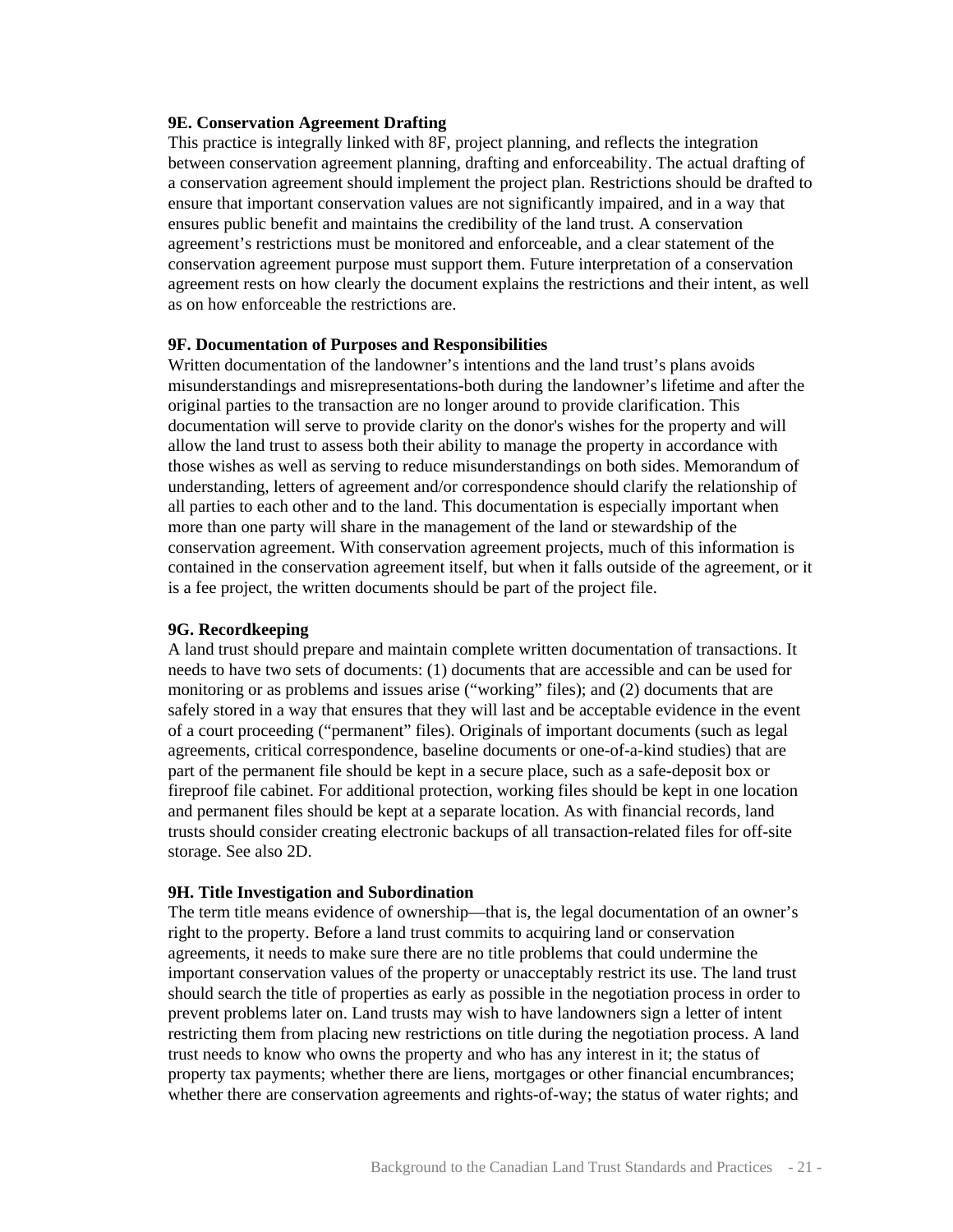#### **9E. Conservation Agreement Drafting**

This practice is integrally linked with 8F, project planning, and reflects the integration between conservation agreement planning, drafting and enforceability. The actual drafting of a conservation agreement should implement the project plan. Restrictions should be drafted to ensure that important conservation values are not significantly impaired, and in a way that ensures public benefit and maintains the credibility of the land trust. A conservation agreement's restrictions must be monitored and enforceable, and a clear statement of the conservation agreement purpose must support them. Future interpretation of a conservation agreement rests on how clearly the document explains the restrictions and their intent, as well as on how enforceable the restrictions are.

#### **9F. Documentation of Purposes and Responsibilities**

Written documentation of the landowner's intentions and the land trust's plans avoids misunderstandings and misrepresentations-both during the landowner's lifetime and after the original parties to the transaction are no longer around to provide clarification. This documentation will serve to provide clarity on the donor's wishes for the property and will allow the land trust to assess both their ability to manage the property in accordance with those wishes as well as serving to reduce misunderstandings on both sides. Memorandum of understanding, letters of agreement and/or correspondence should clarify the relationship of all parties to each other and to the land. This documentation is especially important when more than one party will share in the management of the land or stewardship of the conservation agreement. With conservation agreement projects, much of this information is contained in the conservation agreement itself, but when it falls outside of the agreement, or it is a fee project, the written documents should be part of the project file.

#### **9G. Recordkeeping**

A land trust should prepare and maintain complete written documentation of transactions. It needs to have two sets of documents: (1) documents that are accessible and can be used for monitoring or as problems and issues arise ("working" files); and (2) documents that are safely stored in a way that ensures that they will last and be acceptable evidence in the event of a court proceeding ("permanent" files). Originals of important documents (such as legal agreements, critical correspondence, baseline documents or one-of-a-kind studies) that are part of the permanent file should be kept in a secure place, such as a safe-deposit box or fireproof file cabinet. For additional protection, working files should be kept in one location and permanent files should be kept at a separate location. As with financial records, land trusts should consider creating electronic backups of all transaction-related files for off-site storage. See also 2D.

#### **9H. Title Investigation and Subordination**

The term title means evidence of ownership—that is, the legal documentation of an owner's right to the property. Before a land trust commits to acquiring land or conservation agreements, it needs to make sure there are no title problems that could undermine the important conservation values of the property or unacceptably restrict its use. The land trust should search the title of properties as early as possible in the negotiation process in order to prevent problems later on. Land trusts may wish to have landowners sign a letter of intent restricting them from placing new restrictions on title during the negotiation process. A land trust needs to know who owns the property and who has any interest in it; the status of property tax payments; whether there are liens, mortgages or other financial encumbrances; whether there are conservation agreements and rights-of-way; the status of water rights; and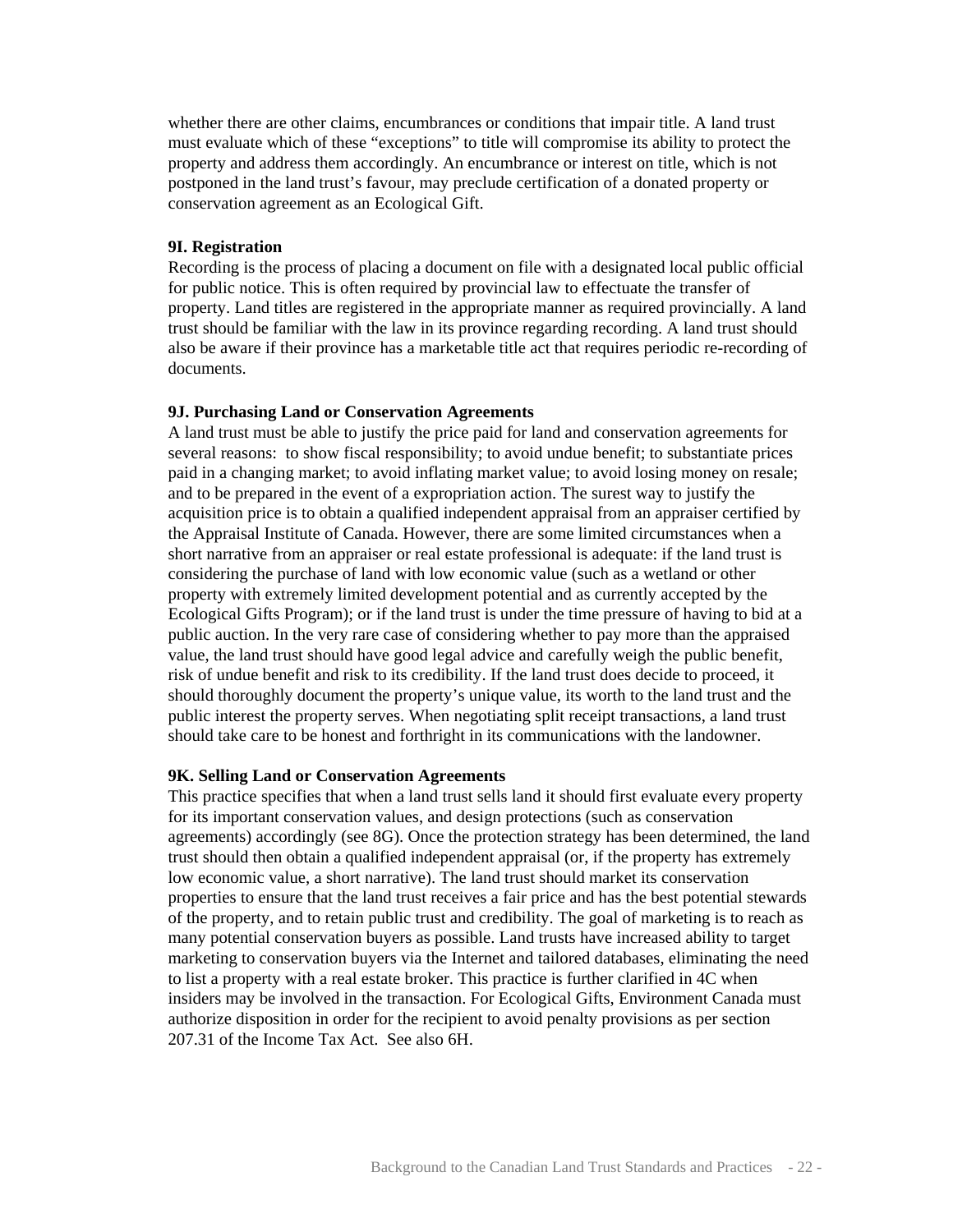whether there are other claims, encumbrances or conditions that impair title. A land trust must evaluate which of these "exceptions" to title will compromise its ability to protect the property and address them accordingly. An encumbrance or interest on title, which is not postponed in the land trust's favour, may preclude certification of a donated property or conservation agreement as an Ecological Gift.

#### **9I. Registration**

Recording is the process of placing a document on file with a designated local public official for public notice. This is often required by provincial law to effectuate the transfer of property. Land titles are registered in the appropriate manner as required provincially. A land trust should be familiar with the law in its province regarding recording. A land trust should also be aware if their province has a marketable title act that requires periodic re-recording of documents.

#### **9J. Purchasing Land or Conservation Agreements**

A land trust must be able to justify the price paid for land and conservation agreements for several reasons: to show fiscal responsibility; to avoid undue benefit; to substantiate prices paid in a changing market; to avoid inflating market value; to avoid losing money on resale; and to be prepared in the event of a expropriation action. The surest way to justify the acquisition price is to obtain a qualified independent appraisal from an appraiser certified by the Appraisal Institute of Canada. However, there are some limited circumstances when a short narrative from an appraiser or real estate professional is adequate: if the land trust is considering the purchase of land with low economic value (such as a wetland or other property with extremely limited development potential and as currently accepted by the Ecological Gifts Program); or if the land trust is under the time pressure of having to bid at a public auction. In the very rare case of considering whether to pay more than the appraised value, the land trust should have good legal advice and carefully weigh the public benefit, risk of undue benefit and risk to its credibility. If the land trust does decide to proceed, it should thoroughly document the property's unique value, its worth to the land trust and the public interest the property serves. When negotiating split receipt transactions, a land trust should take care to be honest and forthright in its communications with the landowner.

#### **9K. Selling Land or Conservation Agreements**

This practice specifies that when a land trust sells land it should first evaluate every property for its important conservation values, and design protections (such as conservation agreements) accordingly (see 8G). Once the protection strategy has been determined, the land trust should then obtain a qualified independent appraisal (or, if the property has extremely low economic value, a short narrative). The land trust should market its conservation properties to ensure that the land trust receives a fair price and has the best potential stewards of the property, and to retain public trust and credibility. The goal of marketing is to reach as many potential conservation buyers as possible. Land trusts have increased ability to target marketing to conservation buyers via the Internet and tailored databases, eliminating the need to list a property with a real estate broker. This practice is further clarified in 4C when insiders may be involved in the transaction. For Ecological Gifts, Environment Canada must authorize disposition in order for the recipient to avoid penalty provisions as per section 207.31 of the Income Tax Act. See also 6H.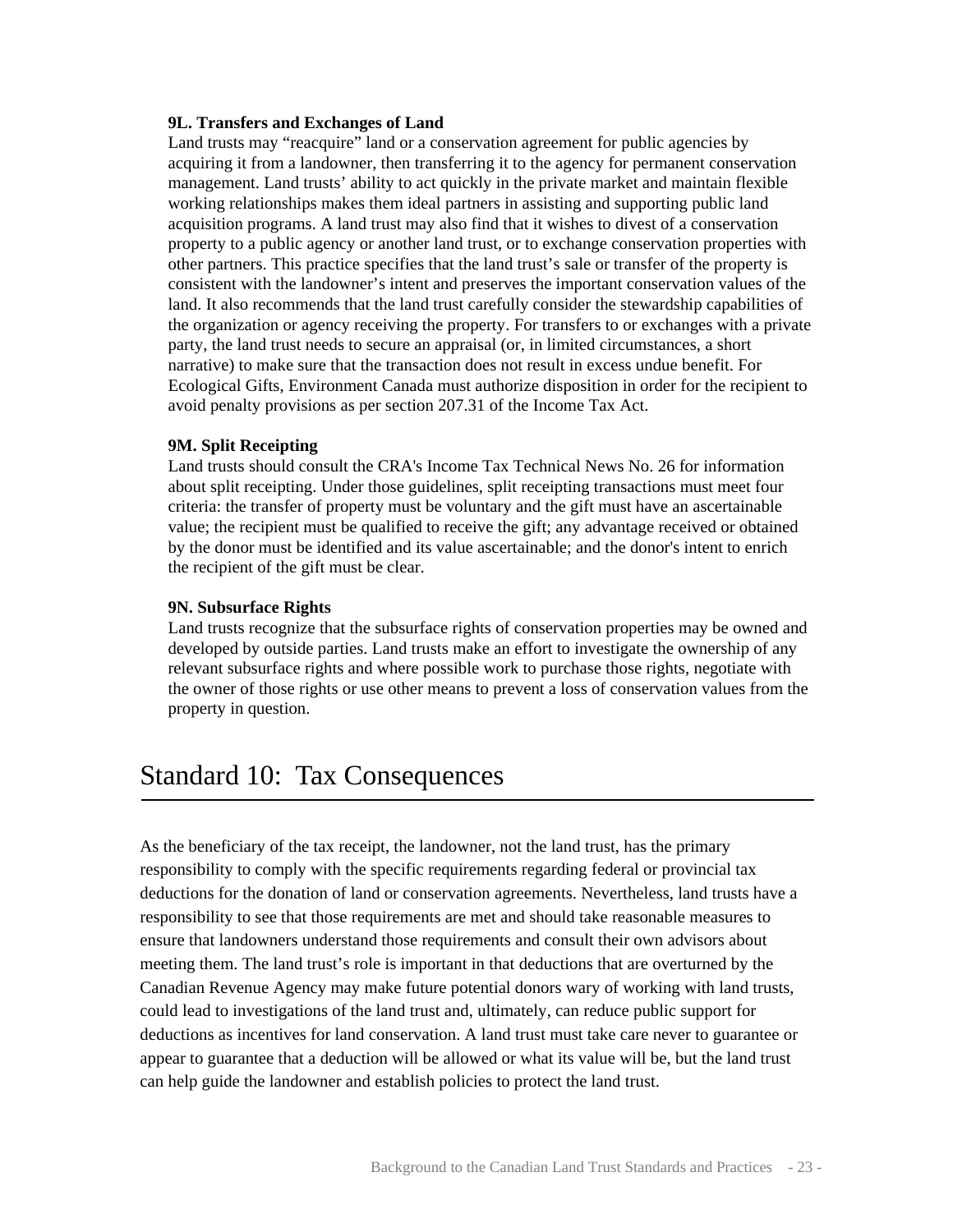#### **9L. Transfers and Exchanges of Land**

Land trusts may "reacquire" land or a conservation agreement for public agencies by acquiring it from a landowner, then transferring it to the agency for permanent conservation management. Land trusts' ability to act quickly in the private market and maintain flexible working relationships makes them ideal partners in assisting and supporting public land acquisition programs. A land trust may also find that it wishes to divest of a conservation property to a public agency or another land trust, or to exchange conservation properties with other partners. This practice specifies that the land trust's sale or transfer of the property is consistent with the landowner's intent and preserves the important conservation values of the land. It also recommends that the land trust carefully consider the stewardship capabilities of the organization or agency receiving the property. For transfers to or exchanges with a private party, the land trust needs to secure an appraisal (or, in limited circumstances, a short narrative) to make sure that the transaction does not result in excess undue benefit. For Ecological Gifts, Environment Canada must authorize disposition in order for the recipient to avoid penalty provisions as per section 207.31 of the Income Tax Act.

#### **9M. Split Receipting**

Land trusts should consult the CRA's Income Tax Technical News No. 26 for information about split receipting. Under those guidelines, split receipting transactions must meet four criteria: the transfer of property must be voluntary and the gift must have an ascertainable value; the recipient must be qualified to receive the gift; any advantage received or obtained by the donor must be identified and its value ascertainable; and the donor's intent to enrich the recipient of the gift must be clear.

#### **9N. Subsurface Rights**

Land trusts recognize that the subsurface rights of conservation properties may be owned and developed by outside parties. Land trusts make an effort to investigate the ownership of any relevant subsurface rights and where possible work to purchase those rights, negotiate with the owner of those rights or use other means to prevent a loss of conservation values from the property in question.

### Standard 10: Tax Consequences

As the beneficiary of the tax receipt, the landowner, not the land trust, has the primary responsibility to comply with the specific requirements regarding federal or provincial tax deductions for the donation of land or conservation agreements. Nevertheless, land trusts have a responsibility to see that those requirements are met and should take reasonable measures to ensure that landowners understand those requirements and consult their own advisors about meeting them. The land trust's role is important in that deductions that are overturned by the Canadian Revenue Agency may make future potential donors wary of working with land trusts, could lead to investigations of the land trust and, ultimately, can reduce public support for deductions as incentives for land conservation. A land trust must take care never to guarantee or appear to guarantee that a deduction will be allowed or what its value will be, but the land trust can help guide the landowner and establish policies to protect the land trust.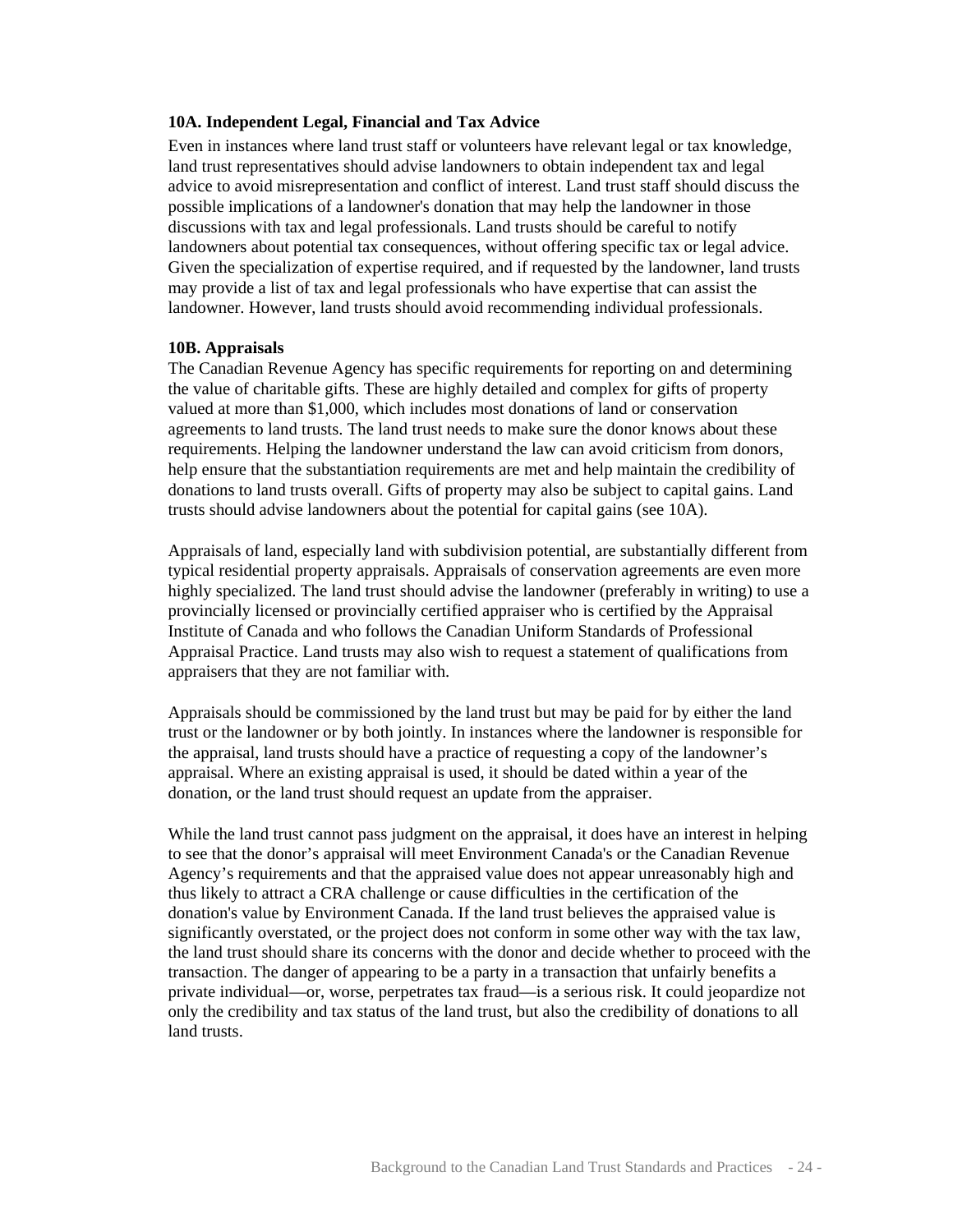#### **10A. Independent Legal, Financial and Tax Advice**

Even in instances where land trust staff or volunteers have relevant legal or tax knowledge, land trust representatives should advise landowners to obtain independent tax and legal advice to avoid misrepresentation and conflict of interest. Land trust staff should discuss the possible implications of a landowner's donation that may help the landowner in those discussions with tax and legal professionals. Land trusts should be careful to notify landowners about potential tax consequences, without offering specific tax or legal advice. Given the specialization of expertise required, and if requested by the landowner, land trusts may provide a list of tax and legal professionals who have expertise that can assist the landowner. However, land trusts should avoid recommending individual professionals.

#### **10B. Appraisals**

The Canadian Revenue Agency has specific requirements for reporting on and determining the value of charitable gifts. These are highly detailed and complex for gifts of property valued at more than \$1,000, which includes most donations of land or conservation agreements to land trusts. The land trust needs to make sure the donor knows about these requirements. Helping the landowner understand the law can avoid criticism from donors, help ensure that the substantiation requirements are met and help maintain the credibility of donations to land trusts overall. Gifts of property may also be subject to capital gains. Land trusts should advise landowners about the potential for capital gains (see 10A).

Appraisals of land, especially land with subdivision potential, are substantially different from typical residential property appraisals. Appraisals of conservation agreements are even more highly specialized. The land trust should advise the landowner (preferably in writing) to use a provincially licensed or provincially certified appraiser who is certified by the Appraisal Institute of Canada and who follows the Canadian Uniform Standards of Professional Appraisal Practice. Land trusts may also wish to request a statement of qualifications from appraisers that they are not familiar with.

Appraisals should be commissioned by the land trust but may be paid for by either the land trust or the landowner or by both jointly. In instances where the landowner is responsible for the appraisal, land trusts should have a practice of requesting a copy of the landowner's appraisal. Where an existing appraisal is used, it should be dated within a year of the donation, or the land trust should request an update from the appraiser.

While the land trust cannot pass judgment on the appraisal, it does have an interest in helping to see that the donor's appraisal will meet Environment Canada's or the Canadian Revenue Agency's requirements and that the appraised value does not appear unreasonably high and thus likely to attract a CRA challenge or cause difficulties in the certification of the donation's value by Environment Canada. If the land trust believes the appraised value is significantly overstated, or the project does not conform in some other way with the tax law, the land trust should share its concerns with the donor and decide whether to proceed with the transaction. The danger of appearing to be a party in a transaction that unfairly benefits a private individual—or, worse, perpetrates tax fraud—is a serious risk. It could jeopardize not only the credibility and tax status of the land trust, but also the credibility of donations to all land trusts.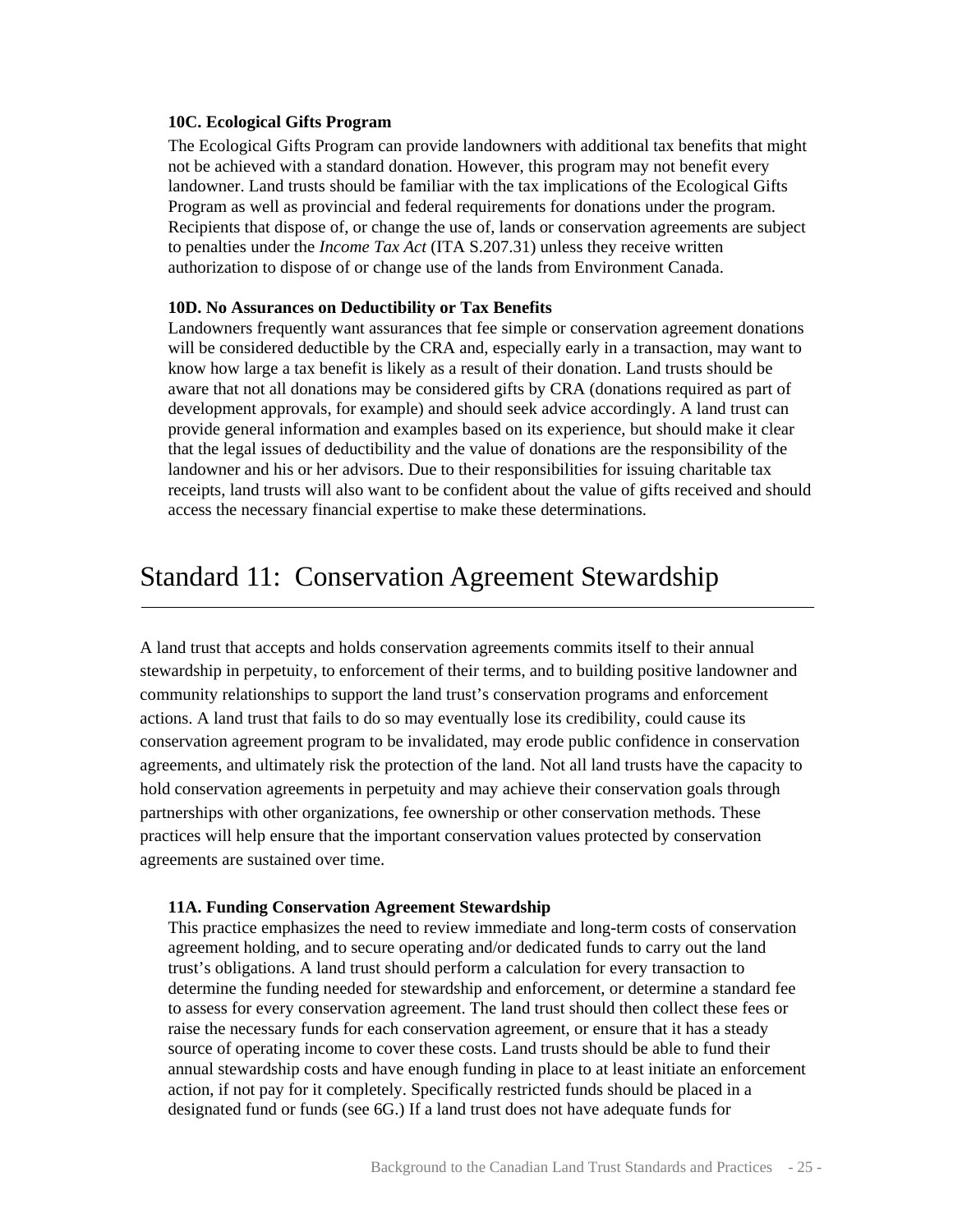#### **10C. Ecological Gifts Program**

The Ecological Gifts Program can provide landowners with additional tax benefits that might not be achieved with a standard donation. However, this program may not benefit every landowner. Land trusts should be familiar with the tax implications of the Ecological Gifts Program as well as provincial and federal requirements for donations under the program. Recipients that dispose of, or change the use of, lands or conservation agreements are subject to penalties under the *Income Tax Act* (ITA S.207.31) unless they receive written authorization to dispose of or change use of the lands from Environment Canada.

#### **10D. No Assurances on Deductibility or Tax Benefits**

Landowners frequently want assurances that fee simple or conservation agreement donations will be considered deductible by the CRA and, especially early in a transaction, may want to know how large a tax benefit is likely as a result of their donation. Land trusts should be aware that not all donations may be considered gifts by CRA (donations required as part of development approvals, for example) and should seek advice accordingly. A land trust can provide general information and examples based on its experience, but should make it clear that the legal issues of deductibility and the value of donations are the responsibility of the landowner and his or her advisors. Due to their responsibilities for issuing charitable tax receipts, land trusts will also want to be confident about the value of gifts received and should access the necessary financial expertise to make these determinations.

### Standard 11: Conservation Agreement Stewardship

A land trust that accepts and holds conservation agreements commits itself to their annual stewardship in perpetuity, to enforcement of their terms, and to building positive landowner and community relationships to support the land trust's conservation programs and enforcement actions. A land trust that fails to do so may eventually lose its credibility, could cause its conservation agreement program to be invalidated, may erode public confidence in conservation agreements, and ultimately risk the protection of the land. Not all land trusts have the capacity to hold conservation agreements in perpetuity and may achieve their conservation goals through partnerships with other organizations, fee ownership or other conservation methods. These practices will help ensure that the important conservation values protected by conservation agreements are sustained over time.

#### **11A. Funding Conservation Agreement Stewardship**

This practice emphasizes the need to review immediate and long-term costs of conservation agreement holding, and to secure operating and/or dedicated funds to carry out the land trust's obligations. A land trust should perform a calculation for every transaction to determine the funding needed for stewardship and enforcement, or determine a standard fee to assess for every conservation agreement. The land trust should then collect these fees or raise the necessary funds for each conservation agreement, or ensure that it has a steady source of operating income to cover these costs. Land trusts should be able to fund their annual stewardship costs and have enough funding in place to at least initiate an enforcement action, if not pay for it completely. Specifically restricted funds should be placed in a designated fund or funds (see 6G.) If a land trust does not have adequate funds for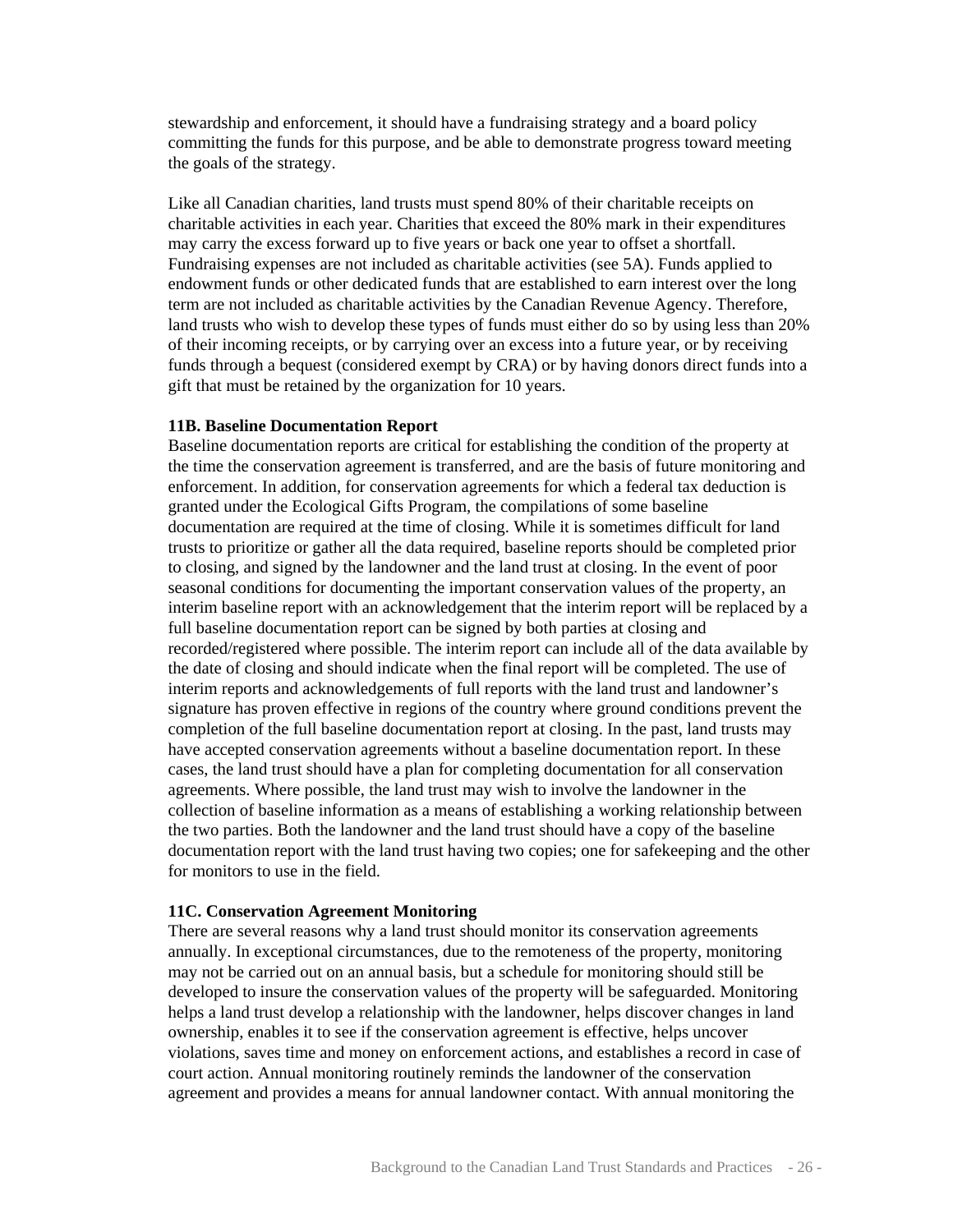stewardship and enforcement, it should have a fundraising strategy and a board policy committing the funds for this purpose, and be able to demonstrate progress toward meeting the goals of the strategy.

Like all Canadian charities, land trusts must spend 80% of their charitable receipts on charitable activities in each year. Charities that exceed the 80% mark in their expenditures may carry the excess forward up to five years or back one year to offset a shortfall. Fundraising expenses are not included as charitable activities (see 5A). Funds applied to endowment funds or other dedicated funds that are established to earn interest over the long term are not included as charitable activities by the Canadian Revenue Agency. Therefore, land trusts who wish to develop these types of funds must either do so by using less than 20% of their incoming receipts, or by carrying over an excess into a future year, or by receiving funds through a bequest (considered exempt by CRA) or by having donors direct funds into a gift that must be retained by the organization for 10 years.

#### **11B. Baseline Documentation Report**

Baseline documentation reports are critical for establishing the condition of the property at the time the conservation agreement is transferred, and are the basis of future monitoring and enforcement. In addition, for conservation agreements for which a federal tax deduction is granted under the Ecological Gifts Program, the compilations of some baseline documentation are required at the time of closing. While it is sometimes difficult for land trusts to prioritize or gather all the data required, baseline reports should be completed prior to closing, and signed by the landowner and the land trust at closing. In the event of poor seasonal conditions for documenting the important conservation values of the property, an interim baseline report with an acknowledgement that the interim report will be replaced by a full baseline documentation report can be signed by both parties at closing and recorded/registered where possible. The interim report can include all of the data available by the date of closing and should indicate when the final report will be completed. The use of interim reports and acknowledgements of full reports with the land trust and landowner's signature has proven effective in regions of the country where ground conditions prevent the completion of the full baseline documentation report at closing. In the past, land trusts may have accepted conservation agreements without a baseline documentation report. In these cases, the land trust should have a plan for completing documentation for all conservation agreements. Where possible, the land trust may wish to involve the landowner in the collection of baseline information as a means of establishing a working relationship between the two parties. Both the landowner and the land trust should have a copy of the baseline documentation report with the land trust having two copies; one for safekeeping and the other for monitors to use in the field.

#### **11C. Conservation Agreement Monitoring**

There are several reasons why a land trust should monitor its conservation agreements annually. In exceptional circumstances, due to the remoteness of the property, monitoring may not be carried out on an annual basis, but a schedule for monitoring should still be developed to insure the conservation values of the property will be safeguarded. Monitoring helps a land trust develop a relationship with the landowner, helps discover changes in land ownership, enables it to see if the conservation agreement is effective, helps uncover violations, saves time and money on enforcement actions, and establishes a record in case of court action. Annual monitoring routinely reminds the landowner of the conservation agreement and provides a means for annual landowner contact. With annual monitoring the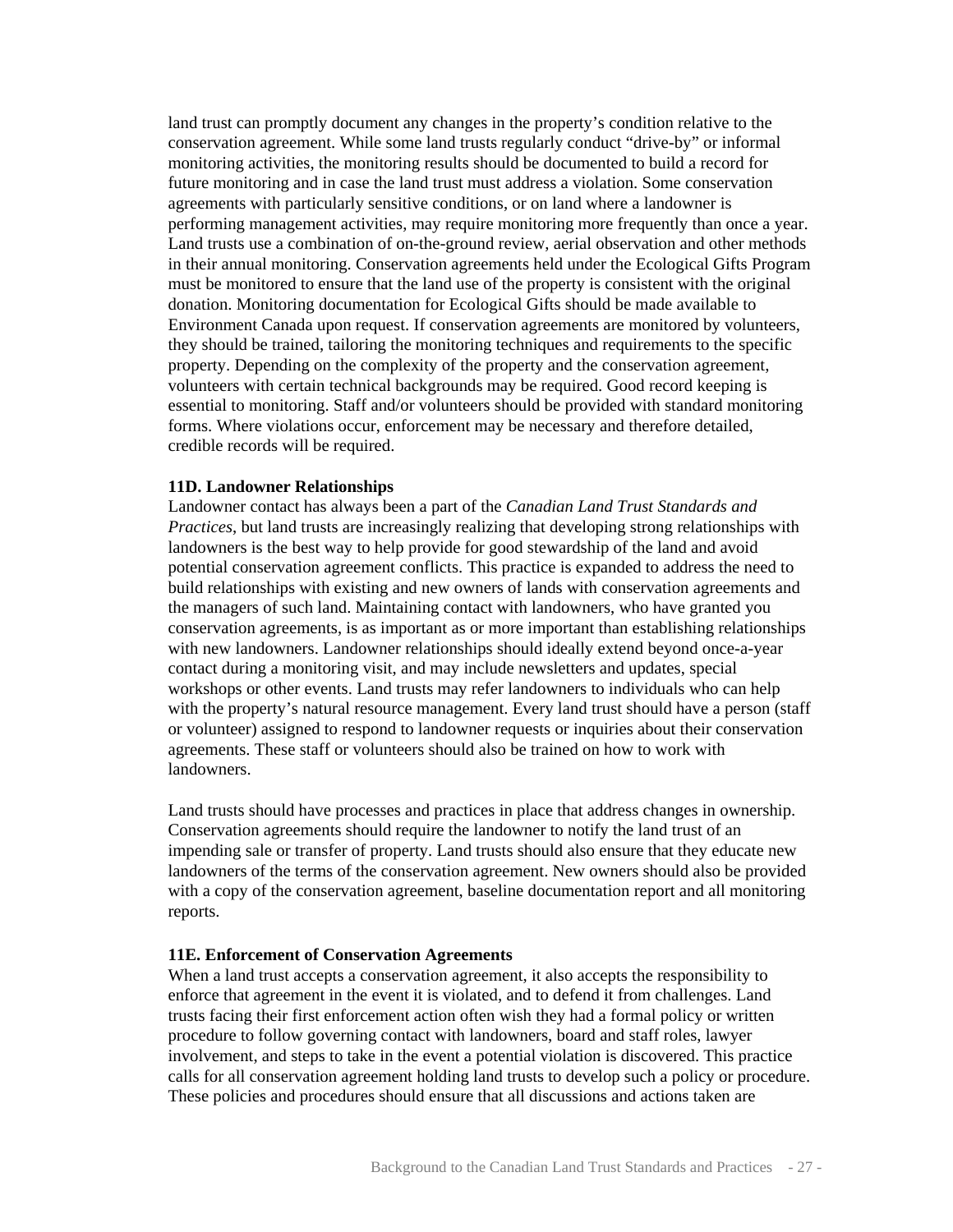land trust can promptly document any changes in the property's condition relative to the conservation agreement. While some land trusts regularly conduct "drive-by" or informal monitoring activities, the monitoring results should be documented to build a record for future monitoring and in case the land trust must address a violation. Some conservation agreements with particularly sensitive conditions, or on land where a landowner is performing management activities, may require monitoring more frequently than once a year. Land trusts use a combination of on-the-ground review, aerial observation and other methods in their annual monitoring. Conservation agreements held under the Ecological Gifts Program must be monitored to ensure that the land use of the property is consistent with the original donation. Monitoring documentation for Ecological Gifts should be made available to Environment Canada upon request. If conservation agreements are monitored by volunteers, they should be trained, tailoring the monitoring techniques and requirements to the specific property. Depending on the complexity of the property and the conservation agreement, volunteers with certain technical backgrounds may be required. Good record keeping is essential to monitoring. Staff and/or volunteers should be provided with standard monitoring forms. Where violations occur, enforcement may be necessary and therefore detailed, credible records will be required.

#### **11D. Landowner Relationships**

Landowner contact has always been a part of the *Canadian Land Trust Standards and Practices*, but land trusts are increasingly realizing that developing strong relationships with landowners is the best way to help provide for good stewardship of the land and avoid potential conservation agreement conflicts. This practice is expanded to address the need to build relationships with existing and new owners of lands with conservation agreements and the managers of such land. Maintaining contact with landowners, who have granted you conservation agreements, is as important as or more important than establishing relationships with new landowners. Landowner relationships should ideally extend beyond once-a-year contact during a monitoring visit, and may include newsletters and updates, special workshops or other events. Land trusts may refer landowners to individuals who can help with the property's natural resource management. Every land trust should have a person (staff or volunteer) assigned to respond to landowner requests or inquiries about their conservation agreements. These staff or volunteers should also be trained on how to work with landowners.

Land trusts should have processes and practices in place that address changes in ownership. Conservation agreements should require the landowner to notify the land trust of an impending sale or transfer of property. Land trusts should also ensure that they educate new landowners of the terms of the conservation agreement. New owners should also be provided with a copy of the conservation agreement, baseline documentation report and all monitoring reports.

#### **11E. Enforcement of Conservation Agreements**

When a land trust accepts a conservation agreement, it also accepts the responsibility to enforce that agreement in the event it is violated, and to defend it from challenges. Land trusts facing their first enforcement action often wish they had a formal policy or written procedure to follow governing contact with landowners, board and staff roles, lawyer involvement, and steps to take in the event a potential violation is discovered. This practice calls for all conservation agreement holding land trusts to develop such a policy or procedure. These policies and procedures should ensure that all discussions and actions taken are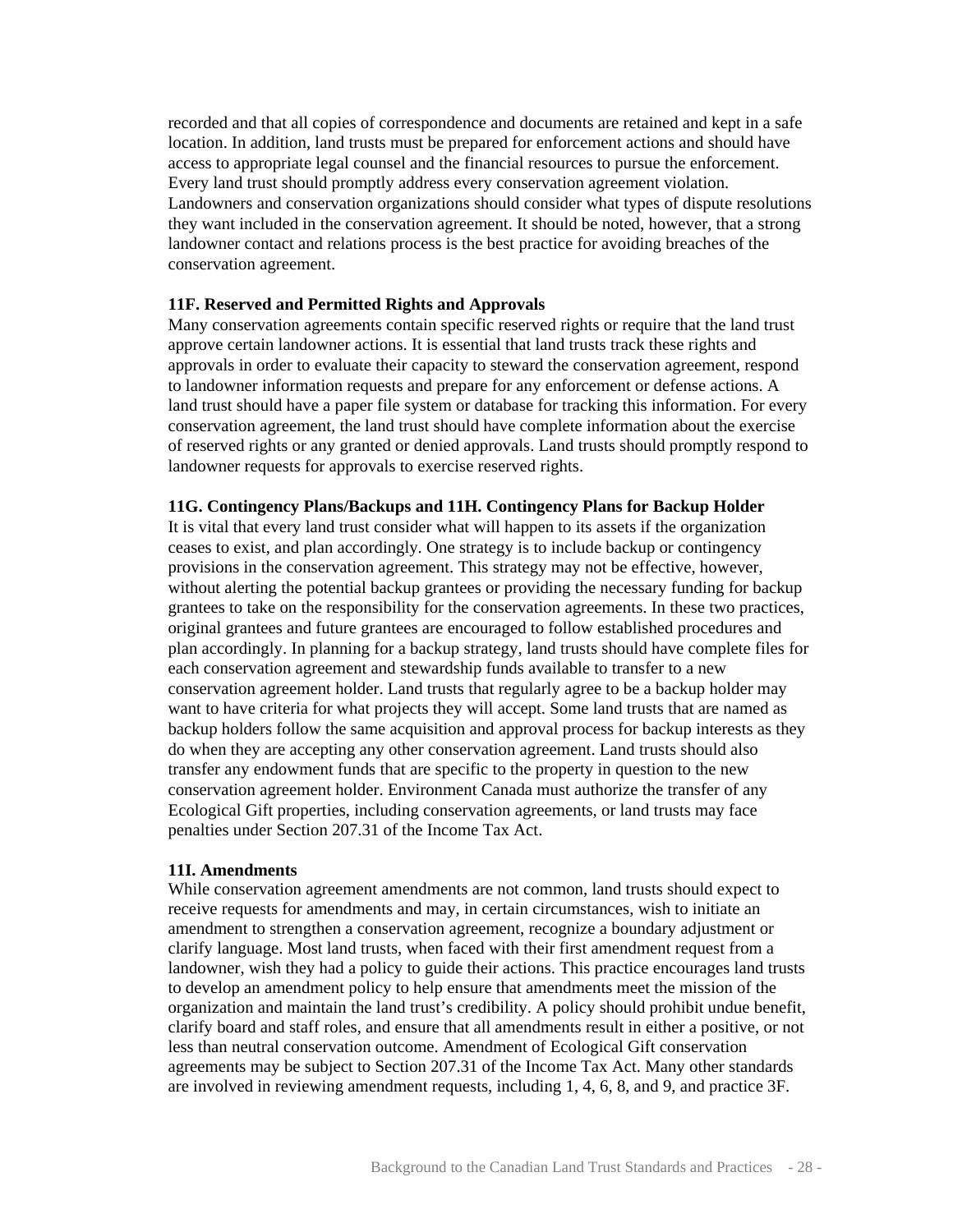recorded and that all copies of correspondence and documents are retained and kept in a safe location. In addition, land trusts must be prepared for enforcement actions and should have access to appropriate legal counsel and the financial resources to pursue the enforcement. Every land trust should promptly address every conservation agreement violation. Landowners and conservation organizations should consider what types of dispute resolutions they want included in the conservation agreement. It should be noted, however, that a strong landowner contact and relations process is the best practice for avoiding breaches of the conservation agreement.

#### **11F. Reserved and Permitted Rights and Approvals**

Many conservation agreements contain specific reserved rights or require that the land trust approve certain landowner actions. It is essential that land trusts track these rights and approvals in order to evaluate their capacity to steward the conservation agreement, respond to landowner information requests and prepare for any enforcement or defense actions. A land trust should have a paper file system or database for tracking this information. For every conservation agreement, the land trust should have complete information about the exercise of reserved rights or any granted or denied approvals. Land trusts should promptly respond to landowner requests for approvals to exercise reserved rights.

#### **11G. Contingency Plans/Backups and 11H. Contingency Plans for Backup Holder**

It is vital that every land trust consider what will happen to its assets if the organization ceases to exist, and plan accordingly. One strategy is to include backup or contingency provisions in the conservation agreement. This strategy may not be effective, however, without alerting the potential backup grantees or providing the necessary funding for backup grantees to take on the responsibility for the conservation agreements. In these two practices, original grantees and future grantees are encouraged to follow established procedures and plan accordingly. In planning for a backup strategy, land trusts should have complete files for each conservation agreement and stewardship funds available to transfer to a new conservation agreement holder. Land trusts that regularly agree to be a backup holder may want to have criteria for what projects they will accept. Some land trusts that are named as backup holders follow the same acquisition and approval process for backup interests as they do when they are accepting any other conservation agreement. Land trusts should also transfer any endowment funds that are specific to the property in question to the new conservation agreement holder. Environment Canada must authorize the transfer of any Ecological Gift properties, including conservation agreements, or land trusts may face penalties under Section 207.31 of the Income Tax Act.

#### **11I. Amendments**

While conservation agreement amendments are not common, land trusts should expect to receive requests for amendments and may, in certain circumstances, wish to initiate an amendment to strengthen a conservation agreement, recognize a boundary adjustment or clarify language. Most land trusts, when faced with their first amendment request from a landowner, wish they had a policy to guide their actions. This practice encourages land trusts to develop an amendment policy to help ensure that amendments meet the mission of the organization and maintain the land trust's credibility. A policy should prohibit undue benefit, clarify board and staff roles, and ensure that all amendments result in either a positive, or not less than neutral conservation outcome. Amendment of Ecological Gift conservation agreements may be subject to Section 207.31 of the Income Tax Act. Many other standards are involved in reviewing amendment requests, including 1, 4, 6, 8, and 9, and practice 3F.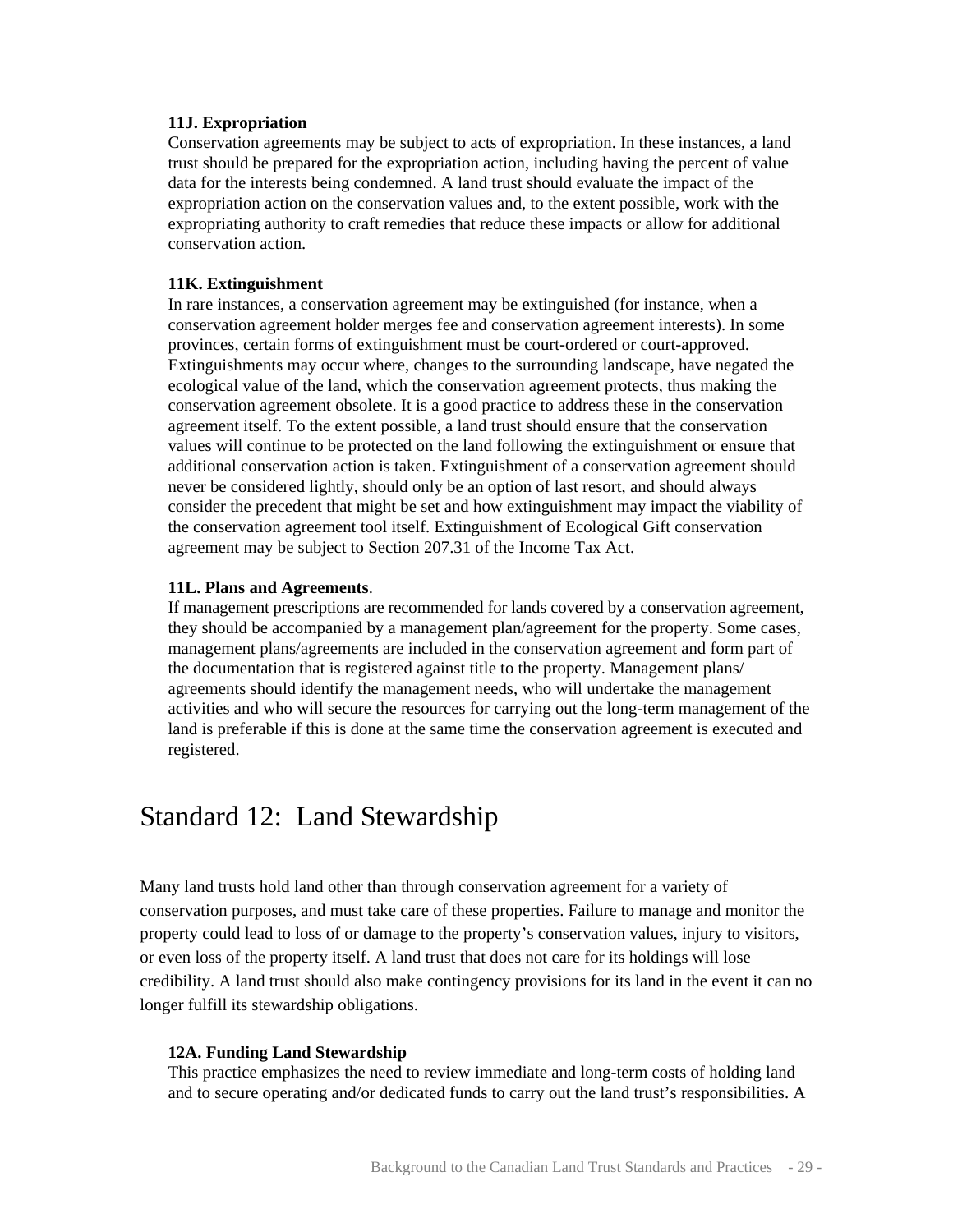#### **11J. Expropriation**

Conservation agreements may be subject to acts of expropriation. In these instances, a land trust should be prepared for the expropriation action, including having the percent of value data for the interests being condemned. A land trust should evaluate the impact of the expropriation action on the conservation values and, to the extent possible, work with the expropriating authority to craft remedies that reduce these impacts or allow for additional conservation action.

#### **11K. Extinguishment**

In rare instances, a conservation agreement may be extinguished (for instance, when a conservation agreement holder merges fee and conservation agreement interests). In some provinces, certain forms of extinguishment must be court-ordered or court-approved. Extinguishments may occur where, changes to the surrounding landscape, have negated the ecological value of the land, which the conservation agreement protects, thus making the conservation agreement obsolete. It is a good practice to address these in the conservation agreement itself. To the extent possible, a land trust should ensure that the conservation values will continue to be protected on the land following the extinguishment or ensure that additional conservation action is taken. Extinguishment of a conservation agreement should never be considered lightly, should only be an option of last resort, and should always consider the precedent that might be set and how extinguishment may impact the viability of the conservation agreement tool itself. Extinguishment of Ecological Gift conservation agreement may be subject to Section 207.31 of the Income Tax Act.

#### **11L. Plans and Agreements**.

If management prescriptions are recommended for lands covered by a conservation agreement, they should be accompanied by a management plan/agreement for the property. Some cases, management plans/agreements are included in the conservation agreement and form part of the documentation that is registered against title to the property. Management plans/ agreements should identify the management needs, who will undertake the management activities and who will secure the resources for carrying out the long-term management of the land is preferable if this is done at the same time the conservation agreement is executed and registered.

### Standard 12: Land Stewardship

Many land trusts hold land other than through conservation agreement for a variety of conservation purposes, and must take care of these properties. Failure to manage and monitor the property could lead to loss of or damage to the property's conservation values, injury to visitors, or even loss of the property itself. A land trust that does not care for its holdings will lose credibility. A land trust should also make contingency provisions for its land in the event it can no longer fulfill its stewardship obligations.

#### **12A. Funding Land Stewardship**

This practice emphasizes the need to review immediate and long-term costs of holding land and to secure operating and/or dedicated funds to carry out the land trust's responsibilities. A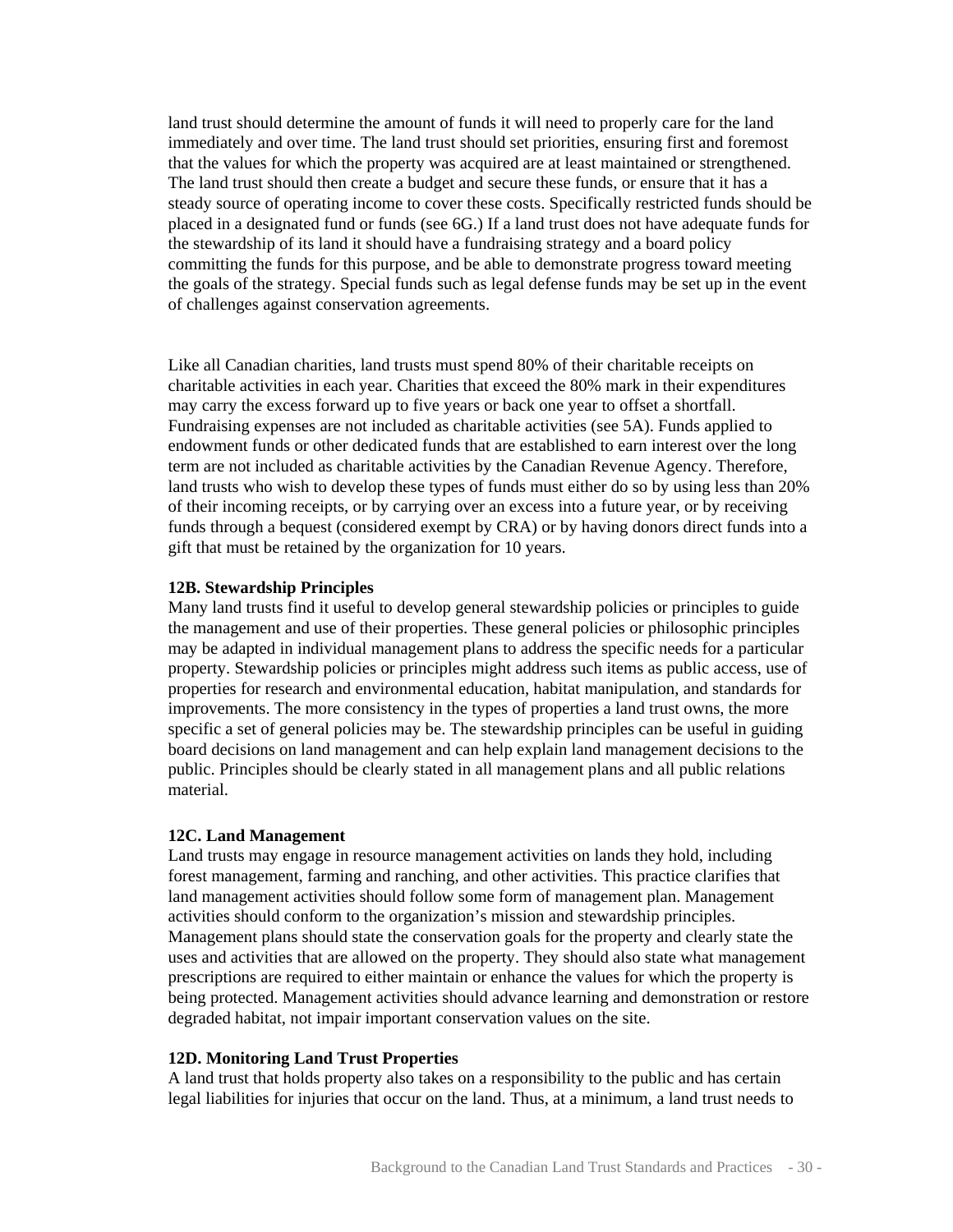land trust should determine the amount of funds it will need to properly care for the land immediately and over time. The land trust should set priorities, ensuring first and foremost that the values for which the property was acquired are at least maintained or strengthened. The land trust should then create a budget and secure these funds, or ensure that it has a steady source of operating income to cover these costs. Specifically restricted funds should be placed in a designated fund or funds (see 6G.) If a land trust does not have adequate funds for the stewardship of its land it should have a fundraising strategy and a board policy committing the funds for this purpose, and be able to demonstrate progress toward meeting the goals of the strategy. Special funds such as legal defense funds may be set up in the event of challenges against conservation agreements.

Like all Canadian charities, land trusts must spend 80% of their charitable receipts on charitable activities in each year. Charities that exceed the 80% mark in their expenditures may carry the excess forward up to five years or back one year to offset a shortfall. Fundraising expenses are not included as charitable activities (see 5A). Funds applied to endowment funds or other dedicated funds that are established to earn interest over the long term are not included as charitable activities by the Canadian Revenue Agency. Therefore, land trusts who wish to develop these types of funds must either do so by using less than 20% of their incoming receipts, or by carrying over an excess into a future year, or by receiving funds through a bequest (considered exempt by CRA) or by having donors direct funds into a gift that must be retained by the organization for 10 years.

#### **12B. Stewardship Principles**

Many land trusts find it useful to develop general stewardship policies or principles to guide the management and use of their properties. These general policies or philosophic principles may be adapted in individual management plans to address the specific needs for a particular property. Stewardship policies or principles might address such items as public access, use of properties for research and environmental education, habitat manipulation, and standards for improvements. The more consistency in the types of properties a land trust owns, the more specific a set of general policies may be. The stewardship principles can be useful in guiding board decisions on land management and can help explain land management decisions to the public. Principles should be clearly stated in all management plans and all public relations material.

#### **12C. Land Management**

Land trusts may engage in resource management activities on lands they hold, including forest management, farming and ranching, and other activities. This practice clarifies that land management activities should follow some form of management plan. Management activities should conform to the organization's mission and stewardship principles. Management plans should state the conservation goals for the property and clearly state the uses and activities that are allowed on the property. They should also state what management prescriptions are required to either maintain or enhance the values for which the property is being protected. Management activities should advance learning and demonstration or restore degraded habitat, not impair important conservation values on the site.

#### **12D. Monitoring Land Trust Properties**

A land trust that holds property also takes on a responsibility to the public and has certain legal liabilities for injuries that occur on the land. Thus, at a minimum, a land trust needs to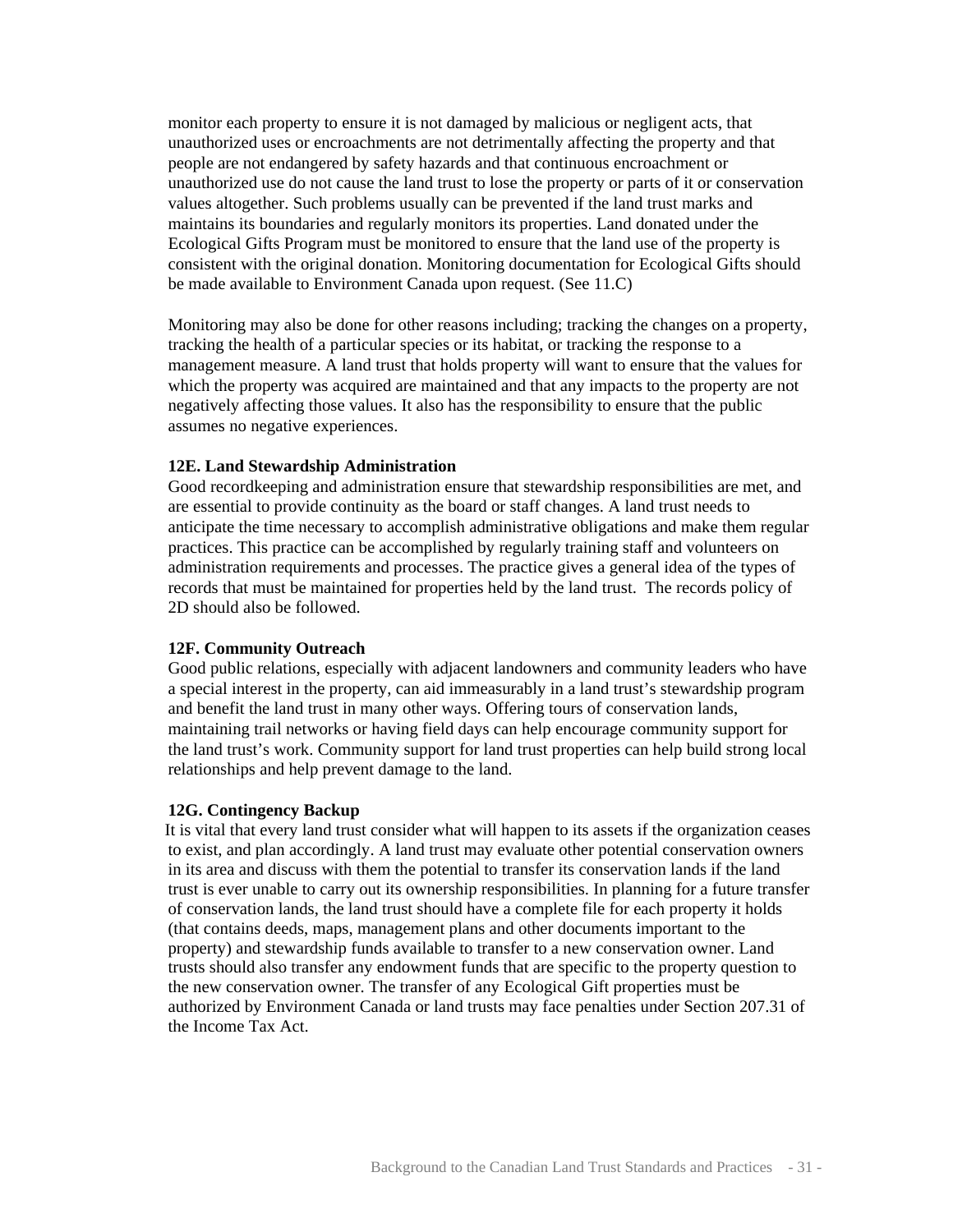monitor each property to ensure it is not damaged by malicious or negligent acts, that unauthorized uses or encroachments are not detrimentally affecting the property and that people are not endangered by safety hazards and that continuous encroachment or unauthorized use do not cause the land trust to lose the property or parts of it or conservation values altogether. Such problems usually can be prevented if the land trust marks and maintains its boundaries and regularly monitors its properties. Land donated under the Ecological Gifts Program must be monitored to ensure that the land use of the property is consistent with the original donation. Monitoring documentation for Ecological Gifts should be made available to Environment Canada upon request. (See 11.C)

Monitoring may also be done for other reasons including; tracking the changes on a property, tracking the health of a particular species or its habitat, or tracking the response to a management measure. A land trust that holds property will want to ensure that the values for which the property was acquired are maintained and that any impacts to the property are not negatively affecting those values. It also has the responsibility to ensure that the public assumes no negative experiences.

#### **12E. Land Stewardship Administration**

Good recordkeeping and administration ensure that stewardship responsibilities are met, and are essential to provide continuity as the board or staff changes. A land trust needs to anticipate the time necessary to accomplish administrative obligations and make them regular practices. This practice can be accomplished by regularly training staff and volunteers on administration requirements and processes. The practice gives a general idea of the types of records that must be maintained for properties held by the land trust. The records policy of 2D should also be followed.

#### **12F. Community Outreach**

Good public relations, especially with adjacent landowners and community leaders who have a special interest in the property, can aid immeasurably in a land trust's stewardship program and benefit the land trust in many other ways. Offering tours of conservation lands, maintaining trail networks or having field days can help encourage community support for the land trust's work. Community support for land trust properties can help build strong local relationships and help prevent damage to the land.

#### **12G. Contingency Backup**

It is vital that every land trust consider what will happen to its assets if the organization ceases to exist, and plan accordingly. A land trust may evaluate other potential conservation owners in its area and discuss with them the potential to transfer its conservation lands if the land trust is ever unable to carry out its ownership responsibilities. In planning for a future transfer of conservation lands, the land trust should have a complete file for each property it holds (that contains deeds, maps, management plans and other documents important to the property) and stewardship funds available to transfer to a new conservation owner. Land trusts should also transfer any endowment funds that are specific to the property question to the new conservation owner. The transfer of any Ecological Gift properties must be authorized by Environment Canada or land trusts may face penalties under Section 207.31 of the Income Tax Act.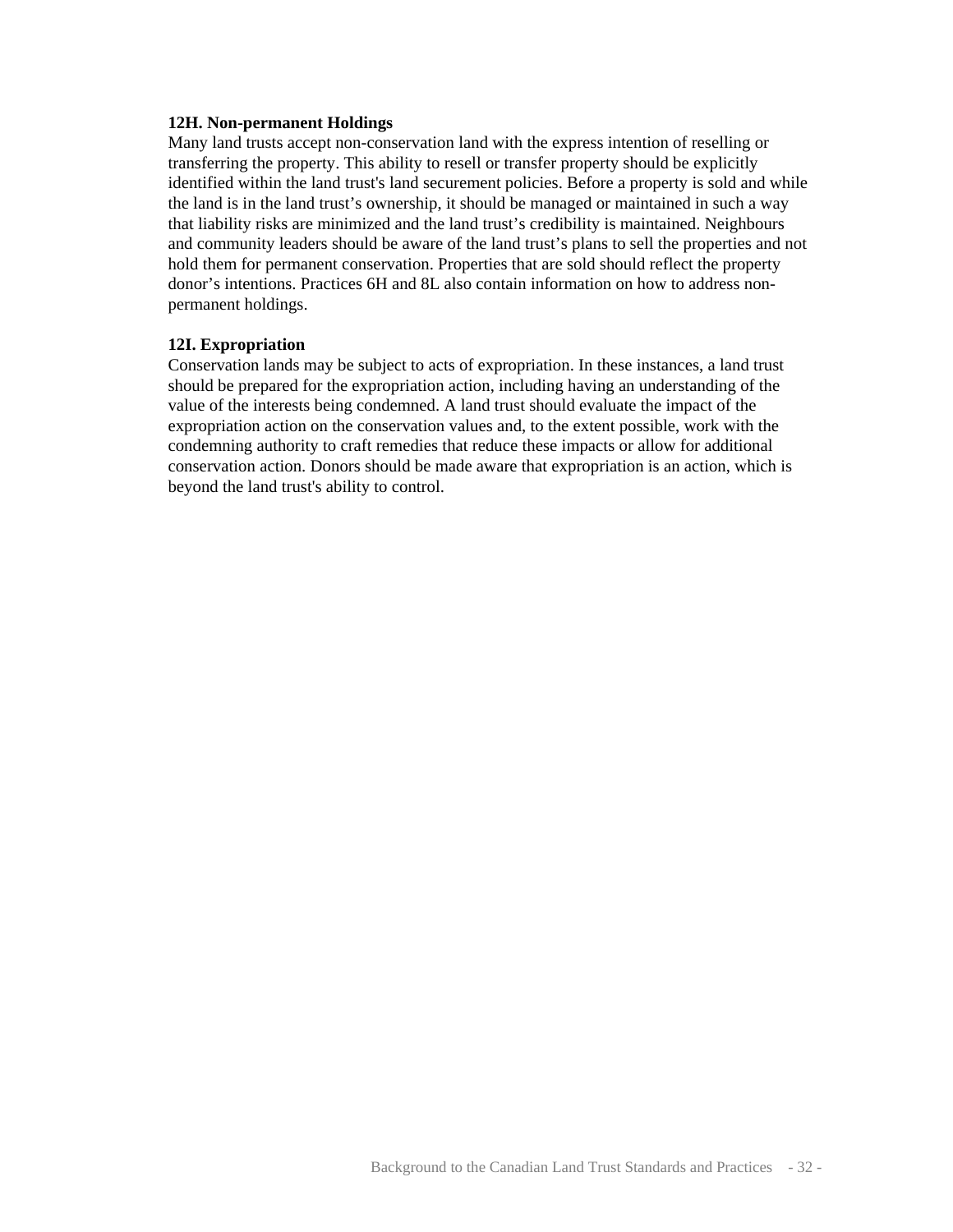#### **12H. Non-permanent Holdings**

Many land trusts accept non-conservation land with the express intention of reselling or transferring the property. This ability to resell or transfer property should be explicitly identified within the land trust's land securement policies. Before a property is sold and while the land is in the land trust's ownership, it should be managed or maintained in such a way that liability risks are minimized and the land trust's credibility is maintained. Neighbours and community leaders should be aware of the land trust's plans to sell the properties and not hold them for permanent conservation. Properties that are sold should reflect the property donor's intentions. Practices 6H and 8L also contain information on how to address nonpermanent holdings.

#### **12I. Expropriation**

Conservation lands may be subject to acts of expropriation. In these instances, a land trust should be prepared for the expropriation action, including having an understanding of the value of the interests being condemned. A land trust should evaluate the impact of the expropriation action on the conservation values and, to the extent possible, work with the condemning authority to craft remedies that reduce these impacts or allow for additional conservation action. Donors should be made aware that expropriation is an action, which is beyond the land trust's ability to control.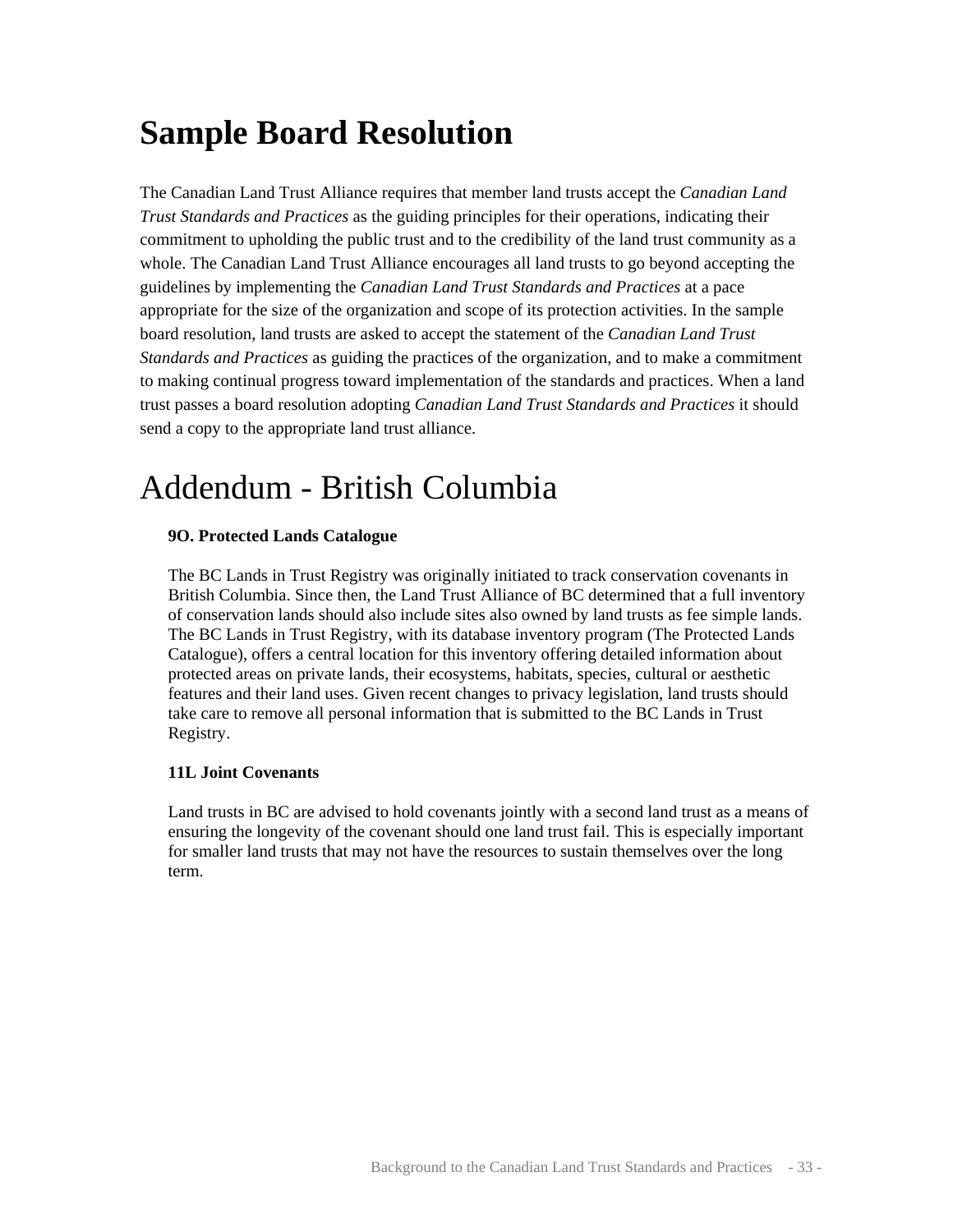## **Sample Board Resolution**

 The Canadian Land Trust Alliance requires that member land trusts accept the *Canadian Land Trust Standards and Practices* as the guiding principles for their operations, indicating their commitment to upholding the public trust and to the credibility of the land trust community as a whole. The Canadian Land Trust Alliance encourages all land trusts to go beyond accepting the guidelines by implementing the *Canadian Land Trust Standards and Practices* at a pace appropriate for the size of the organization and scope of its protection activities. In the sample board resolution, land trusts are asked to accept the statement of the *Canadian Land Trust Standards and Practices* as guiding the practices of the organization, and to make a commitment to making continual progress toward implementation of the standards and practices. When a land trust passes a board resolution adopting *Canadian Land Trust Standards and Practices* it should send a copy to the appropriate land trust alliance.

## Addendum - British Columbia

#### **9O. Protected Lands Catalogue**

The BC Lands in Trust Registry was originally initiated to track conservation covenants in British Columbia. Since then, the Land Trust Alliance of BC determined that a full inventory of conservation lands should also include sites also owned by land trusts as fee simple lands. The BC Lands in Trust Registry, with its database inventory program (The Protected Lands Catalogue), offers a central location for this inventory offering detailed information about protected areas on private lands, their ecosystems, habitats, species, cultural or aesthetic features and their land uses. Given recent changes to privacy legislation, land trusts should take care to remove all personal information that is submitted to the BC Lands in Trust Registry.

#### **11L Joint Covenants**

Land trusts in BC are advised to hold covenants jointly with a second land trust as a means of ensuring the longevity of the covenant should one land trust fail. This is especially important for smaller land trusts that may not have the resources to sustain themselves over the long term.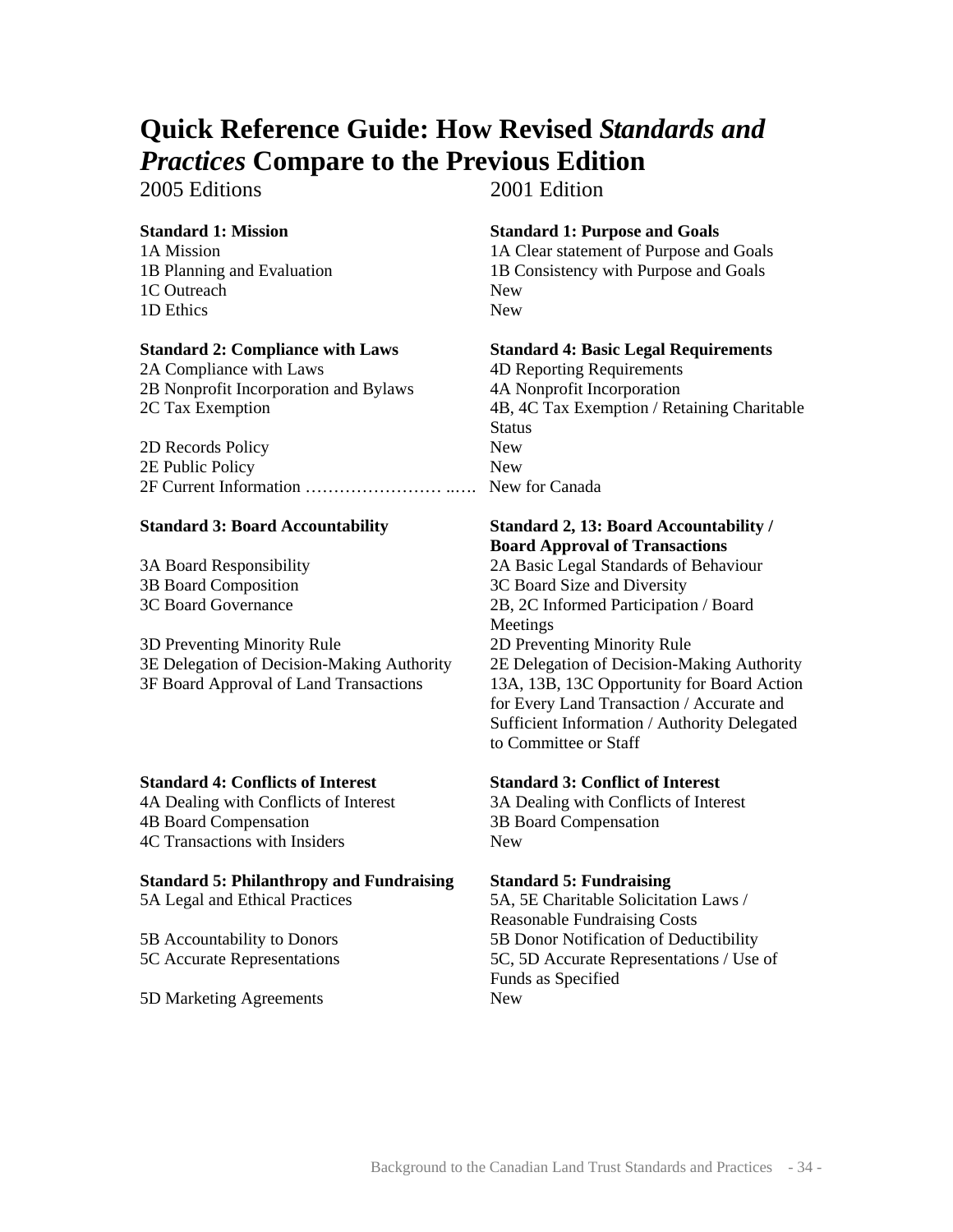### **Quick Reference Guide: How Revised** *Standards and Practices* **Compare to the Previous Edition**

2005 Editions 2001 Edition

1C Outreach New 1D Ethics New

2A Compliance with Laws 4D Reporting Requirements 2B Nonprofit Incorporation and Bylaws 4A Nonprofit Incorporation

2D Records Policy New 2E Public Policy New 2F Current Information …………………… ..…. New for Canada

3D Preventing Minority Rule 2D Preventing Minority Rule

#### **Standard 4: Conflicts of Interest Standard 3: Conflict of Interest**

4B Board Compensation 3B Board Compensation 4C Transactions with Insiders New

#### **Standard 5: Philanthropy and Fundraising Standard 5: Fundraising**

5D Marketing Agreements New

#### **Standard 1: Mission Standard 1: Purpose and Goals**

1A Mission 1A Clear statement of Purpose and Goals 1B Planning and Evaluation 1B Consistency with Purpose and Goals

#### **Standard 2: Compliance with Laws Standard 4: Basic Legal Requirements**

2C Tax Exemption 4B, 4C Tax Exemption / Retaining Charitable Status

#### **Standard 3: Board Accountability Standard 2, 13: Board Accountability / Board Approval of Transactions**

3A Board Responsibility 2A Basic Legal Standards of Behaviour 3B Board Composition 3C Board Size and Diversity 3C Board Governance 2B, 2C Informed Participation / Board Meetings 3E Delegation of Decision-Making Authority 2E Delegation of Decision-Making Authority 3F Board Approval of Land Transactions 13A, 13B, 13C Opportunity for Board Action for Every Land Transaction / Accurate and Sufficient Information / Authority Delegated to Committee or Staff

4A Dealing with Conflicts of Interest 3A Dealing with Conflicts of Interest

5A Legal and Ethical Practices 5A, 5E Charitable Solicitation Laws / Reasonable Fundraising Costs 5B Accountability to Donors 5B Donor Notification of Deductibility 5C Accurate Representations 5C, 5D Accurate Representations / Use of Funds as Specified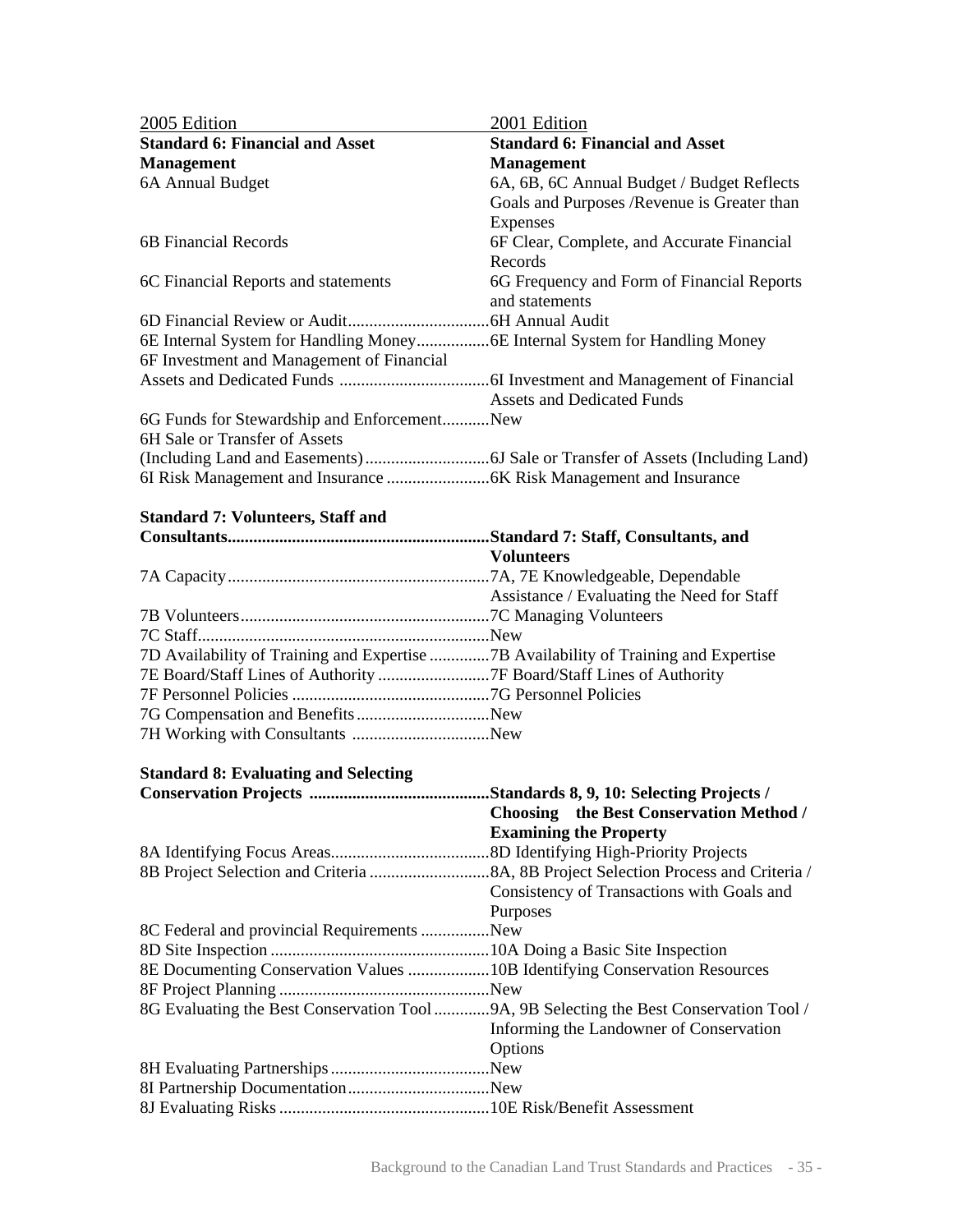| 2005 Edition                                | 2001 Edition                                |
|---------------------------------------------|---------------------------------------------|
| <b>Standard 6: Financial and Asset</b>      | <b>Standard 6: Financial and Asset</b>      |
| <b>Management</b>                           | <b>Management</b>                           |
| 6A Annual Budget                            | 6A, 6B, 6C Annual Budget / Budget Reflects  |
|                                             | Goals and Purposes /Revenue is Greater than |
|                                             | Expenses                                    |
| 6B Financial Records                        | 6F Clear, Complete, and Accurate Financial  |
|                                             | Records                                     |
| 6C Financial Reports and statements         | 6G Frequency and Form of Financial Reports  |
|                                             | and statements                              |
|                                             |                                             |
|                                             |                                             |
| 6F Investment and Management of Financial   |                                             |
|                                             |                                             |
|                                             | <b>Assets and Dedicated Funds</b>           |
| 6G Funds for Stewardship and EnforcementNew |                                             |
| 6H Sale or Transfer of Assets               |                                             |
|                                             |                                             |
|                                             |                                             |
| <b>Standard 7: Volunteers, Staff and</b>    |                                             |
|                                             |                                             |
|                                             | <b>Volunteers</b>                           |
|                                             |                                             |

| Assistance / Evaluating the Need for Staff |
|--------------------------------------------|
|                                            |
|                                            |
|                                            |
|                                            |
|                                            |
|                                            |
|                                            |
|                                            |

### **Standard 8: Evaluating and Selecting**

|                                                                                        | Standards 8, 9, 10: Selecting Projects /   |
|----------------------------------------------------------------------------------------|--------------------------------------------|
|                                                                                        | Choosing the Best Conservation Method /    |
|                                                                                        | <b>Examining the Property</b>              |
|                                                                                        | .8D Identifying High-Priority Projects     |
|                                                                                        |                                            |
|                                                                                        | Consistency of Transactions with Goals and |
|                                                                                        | Purposes                                   |
| 8C Federal and provincial Requirements                                                 | New.                                       |
|                                                                                        |                                            |
|                                                                                        |                                            |
|                                                                                        |                                            |
| 8G Evaluating the Best Conservation Tool 9A, 9B Selecting the Best Conservation Tool / |                                            |
|                                                                                        | Informing the Landowner of Conservation    |
|                                                                                        | Options                                    |
|                                                                                        |                                            |
|                                                                                        |                                            |
|                                                                                        |                                            |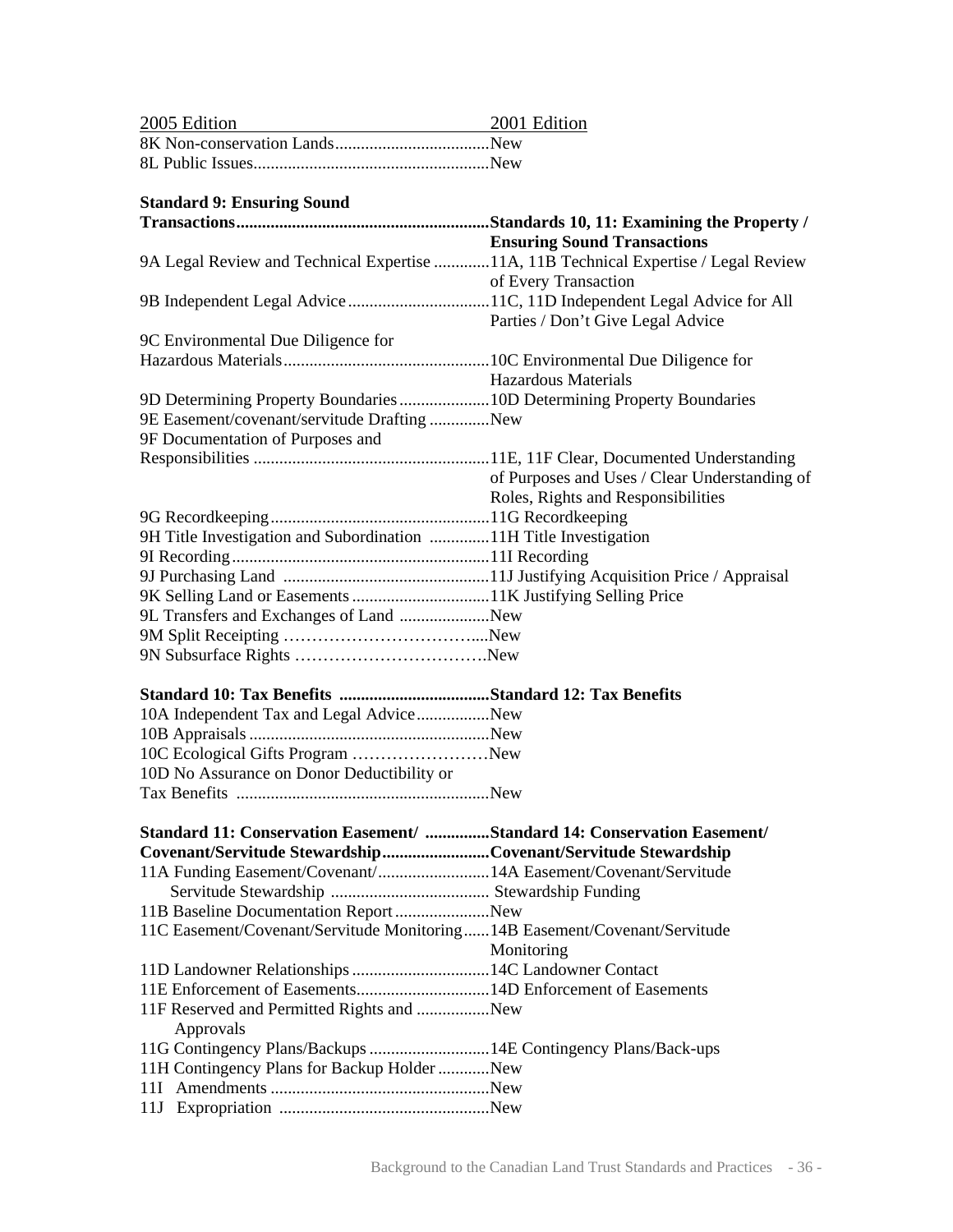| 2005 Edition | 2001 Edition |
|--------------|--------------|
|              |              |
|              |              |

### **Standard 9: Ensuring Sound**

| Standard 9: Ensuring Sound                                                          |                                               |
|-------------------------------------------------------------------------------------|-----------------------------------------------|
|                                                                                     |                                               |
|                                                                                     | <b>Ensuring Sound Transactions</b>            |
| 9A Legal Review and Technical Expertise 11A, 11B Technical Expertise / Legal Review |                                               |
|                                                                                     | of Every Transaction                          |
|                                                                                     |                                               |
|                                                                                     | Parties / Don't Give Legal Advice             |
| 9C Environmental Due Diligence for                                                  |                                               |
|                                                                                     |                                               |
|                                                                                     | <b>Hazardous Materials</b>                    |
|                                                                                     |                                               |
| 9E Easement/covenant/servitude Drafting New                                         |                                               |
| 9F Documentation of Purposes and                                                    |                                               |
|                                                                                     |                                               |
|                                                                                     | of Purposes and Uses / Clear Understanding of |
|                                                                                     | Roles, Rights and Responsibilities            |
|                                                                                     |                                               |
| 9H Title Investigation and Subordination 11H Title Investigation                    |                                               |
|                                                                                     |                                               |
|                                                                                     |                                               |
|                                                                                     |                                               |
|                                                                                     |                                               |
| 9L Transfers and Exchanges of Land New                                              |                                               |
|                                                                                     |                                               |
|                                                                                     |                                               |
|                                                                                     |                                               |
| 10A Independent Tax and Legal AdviceNew                                             |                                               |
|                                                                                     |                                               |
| 10C Ecological Gifts Program New                                                    |                                               |
| 10D No Assurance on Donor Deductibility or                                          |                                               |
|                                                                                     |                                               |
| Standard 11: Conservation Easement/ Standard 14: Conservation Easement/             |                                               |
| Covenant/Servitude StewardshipCovenant/Servitude Stewardship                        |                                               |
| 11A Funding Easement/Covenant/14A Easement/Covenant/Servitude                       |                                               |
|                                                                                     |                                               |
| 11B Baseline Documentation Report New                                               |                                               |
| 11C Easement/Covenant/Servitude Monitoring14B Easement/Covenant/Servitude           |                                               |
|                                                                                     |                                               |
|                                                                                     | Monitoring                                    |
| 11D Landowner Relationships  14C Landowner Contact                                  |                                               |
|                                                                                     |                                               |
| 11F Reserved and Permitted Rights and New                                           |                                               |
| Approvals                                                                           |                                               |
| 11G Contingency Plans/Backups 14E Contingency Plans/Back-ups                        |                                               |
| 11H Contingency Plans for Backup Holder  New                                        |                                               |
|                                                                                     |                                               |
| 11J                                                                                 |                                               |